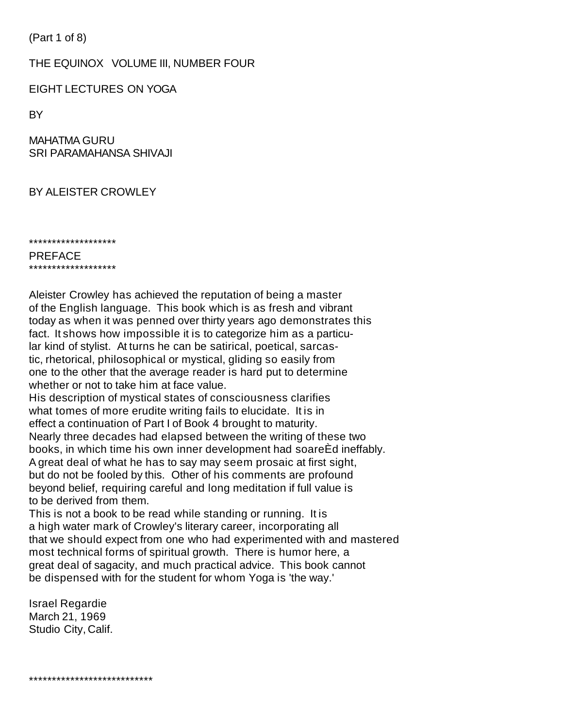(Part 1 of 8)

THE EQUINOX VOLUME III, NUMBER FOUR

EIGHT LECTURES ON YOGA

BY

MAHATMA GURU SRI PARAMAHANSA SHIVAJI

## BY ALEISTER CROWLEY

\*\*\*\*\*\*\*\*\*\*\*\*\*\*\*\*\*\*\*

PREFACE \*\*\*\*\*\*\*\*\*\*\*\*\*\*\*\*\*\*\*

Aleister Crowley has achieved the reputation of being a master of the English language. This book which is as fresh and vibrant today as when it was penned over thirty years ago demonstrates this fact. It shows how impossible it is to categorize him as a particular kind of stylist. At turns he can be satirical, poetical, sarcastic, rhetorical, philosophical or mystical, gliding so easily from one to the other that the average reader is hard put to determine whether or not to take him at face value.

His description of mystical states of consciousness clarifies what tomes of more erudite writing fails to elucidate. It is in effect a continuation of Part I of Book 4 brought to maturity. Nearly three decades had elapsed between the writing of these two books, in which time his own inner development had soareÈd ineffably. Agreat deal of what he has to say may seem prosaic at first sight, but do not be fooled by this. Other of his comments are profound beyond belief, requiring careful and long meditation if full value is to be derived from them.

This is not a book to be read while standing or running. It is a high water mark of Crowley's literary career, incorporating all that we should expect from one who had experimented with and mastered most technical forms of spiritual growth. There is humor here, a great deal of sagacity, and much practical advice. This book cannot be dispensed with for the student for whom Yoga is 'the way.'

Israel Regardie March 21, 1969 Studio City, Calif.

\*\*\*\*\*\*\*\*\*\*\*\*\*\*\*\*\*\*\*\*\*\*\*\*\*\*\*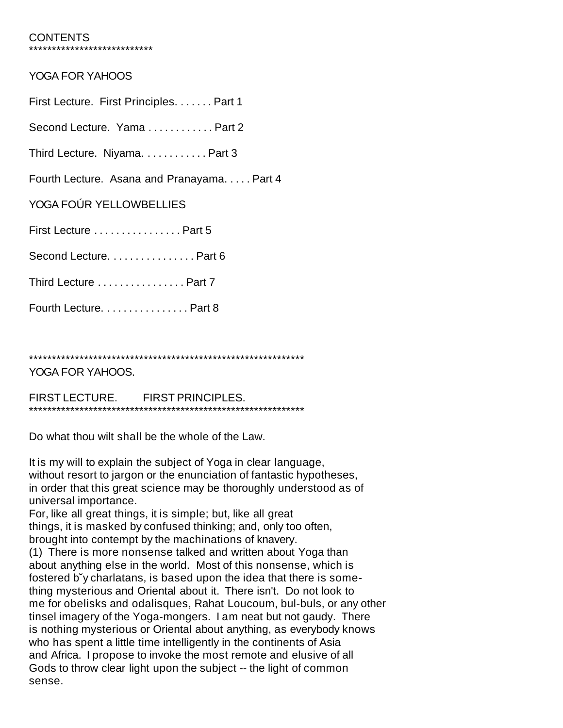## **CONTENTS**

\*\*\*\*\*\*\*\*\*\*\*\*\*\*\*\*\*\*\*\*\*\*\*\*\*\*\*

## YOGA FOR YAHOOS

First Lecture. First Principles. . . . . . . Part 1 Second Lecture. Yama . . . . . . . . . . . Part 2 Third Lecture. Niyama. . . . . . . . . . . . Part 3 Fourth Lecture. Asana and Pranayama. . . . . Part 4 YOGA FOÚR YELLOWBELLIES First Lecture . . . . . . . . . . . . . . . Part 5 Second Lecture. . . . . . . . . . . . . . . . Part 6 Third Lecture ................ Part 7 Fourth Lecture. . . . . . . . . . . . . . . . Part 8

\*\*\*\*\*\*\*\*\*\*\*\*\*\*\*\*\*\*\*\*\*\*\*\*\*\*\*\*\*\*\*\*\*\*\*\*\*\*\*\*\*\*\*\*\*\*\*\*\*\*\*\*\*\*\*\*\*\*\*\*

YOGA FOR YAHOOS.

FIRST LECTURE. FIRST PRINCIPLES. \*\*\*\*\*\*\*\*\*\*\*\*\*\*\*\*\*\*\*\*\*\*\*\*\*\*\*\*\*\*\*\*\*\*\*\*\*\*\*\*\*\*\*\*\*\*\*\*\*\*\*\*\*\*\*\*\*\*\*\*

Do what thou wilt shall be the whole of the Law.

It is my will to explain the subject of Yoga in clear language, without resort to jargon or the enunciation of fantastic hypotheses, in order that this great science may be thoroughly understood as of universal importance.

For, like all great things, it is simple; but, like all great things, it is masked by confused thinking; and, only too often, brought into contempt by the machinations of knavery.

(1) There is more nonsense talked and written about Yoga than about anything else in the world. Most of this nonsense, which is fostered b˘y charlatans, is based upon the idea that there is something mysterious and Oriental about it. There isn't. Do not look to me for obelisks and odalisques, Rahat Loucoum, bul-buls, or any other tinsel imagery of the Yoga-mongers. I am neat but not gaudy. There is nothing mysterious or Oriental about anything, as everybody knows who has spent a little time intelligently in the continents of Asia and Africa. I propose to invoke the most remote and elusive of all Gods to throw clear light upon the subject -- the light of common sense.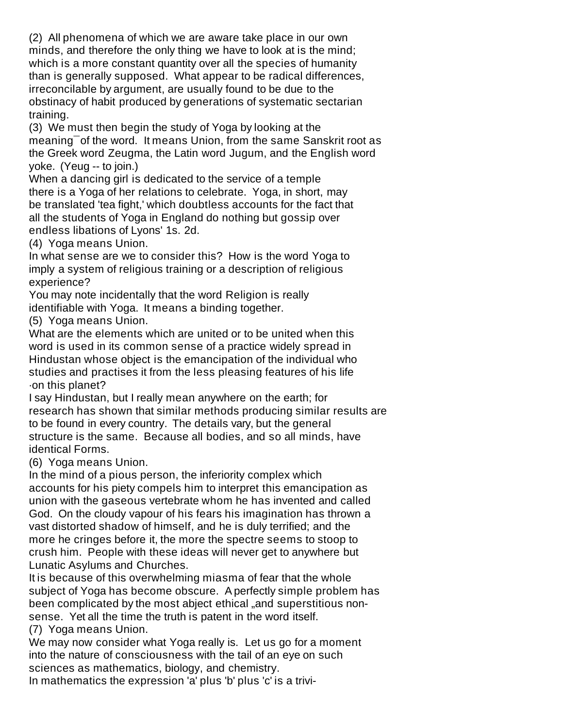(2) All phenomena of which we are aware take place in our own minds, and therefore the only thing we have to look at is the mind; which is a more constant quantity over all the species of humanity than is generally supposed. What appear to be radical differences, irreconcilable by argument, are usually found to be due to the obstinacy of habit produced by generations of systematic sectarian training.

(3) We must then begin the study of Yoga by looking at the meaning<sup>-</sup> of the word. It means Union, from the same Sanskrit root as the Greek word Zeugma, the Latin word Jugum, and the English word yoke. (Yeug -- to join.)

When a dancing girl is dedicated to the service of a temple there is a Yoga of her relations to celebrate. Yoga, in short, may be translated 'tea fight,' which doubtless accounts for the fact that all the students of Yoga in England do nothing but gossip over endless libations of Lyons' 1s. 2d.

(4) Yoga means Union.

In what sense are we to consider this? How is the word Yoga to imply a system of religious training or a description of religious experience?

You may note incidentally that the word Religion is really identifiable with Yoga. It means a binding together.

(5) Yoga means Union.

What are the elements which are united or to be united when this word is used in its common sense of a practice widely spread in Hindustan whose object is the emancipation of the individual who studies and practises it from the less pleasing features of his life ·on this planet?

I say Hindustan, but I really mean anywhere on the earth; for research has shown that similar methods producing similar results are to be found in every country. The details vary, but the general structure is the same. Because all bodies, and so all minds, have identical Forms.

(6) Yoga means Union.

In the mind of a pious person, the inferiority complex which accounts for his piety compels him to interpret this emancipation as union with the gaseous vertebrate whom he has invented and called God. On the cloudy vapour of his fears his imagination has thrown a vast distorted shadow of himself, and he is duly terrified; and the more he cringes before it, the more the spectre seems to stoop to crush him. People with these ideas will never get to anywhere but Lunatic Asylums and Churches.

It is because of this overwhelming miasma of fear that the whole subject of Yoga has become obscure. Aperfectly simple problem has been complicated by the most abject ethical "and superstitious nonsense. Yet all the time the truth is patent in the word itself.

(7) Yoga means Union.

We may now consider what Yoga really is. Let us go for a moment into the nature of consciousness with the tail of an eye on such sciences as mathematics, biology, and chemistry. In mathematics the expression 'a' plus 'b' plus 'c' is a trivi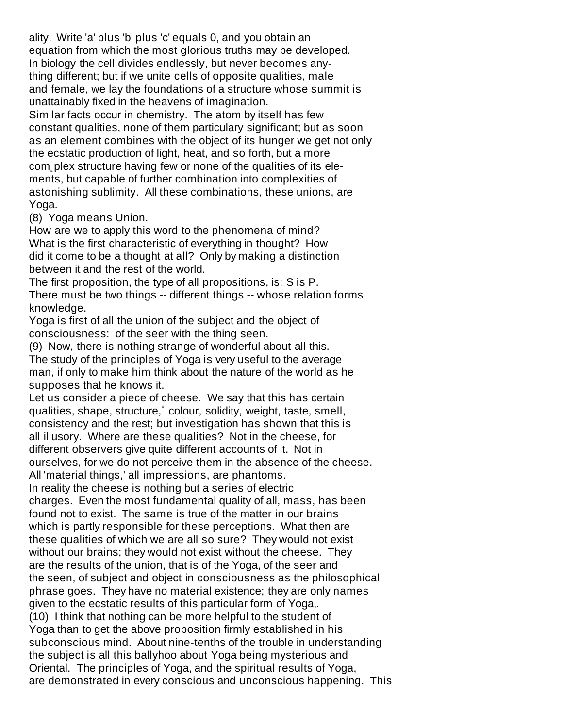ality. Write 'a' plus 'b' plus 'c' equals 0, and you obtain an equation from which the most glorious truths may be developed. In biology the cell divides endlessly, but never becomes anything different; but if we unite cells of opposite qualities, male and female, we lay the foundations of a structure whose summit is unattainably fixed in the heavens of imagination.

Similar facts occur in chemistry. The atom by itself has few constant qualities, none of them particulary significant; but as soon as an element combines with the object of its hunger we get not only the ecstatic production of light, heat, and so forth, but a more com plex structure having few or none of the qualities of its elements, but capable of further combination into complexities of astonishing sublimity. All these combinations, these unions, are Yoga.

(8) Yoga means Union.

How are we to apply this word to the phenomena of mind? What is the first characteristic of everything in thought? How did it come to be a thought at all? Only by making a distinction between it and the rest of the world.

The first proposition, the type of all propositions, is: S is P. There must be two things -- different things -- whose relation forms knowledge.

Yoga is first of all the union of the subject and the object of consciousness: of the seer with the thing seen.

(9) Now, there is nothing strange of wonderful about all this. The study of the principles of Yoga is very useful to the average man, if only to make him think about the nature of the world as he supposes that he knows it.

Let us consider a piece of cheese. We say that this has certain qualities, shape, structure,˚ colour, solidity, weight, taste, smell, consistency and the rest; but investigation has shown that this is all illusory. Where are these qualities? Not in the cheese, for different observers give quite different accounts of it. Not in ourselves, for we do not perceive them in the absence of the cheese. All 'material things,' all impressions, are phantoms.

In reality the cheese is nothing but a series of electric

charges. Even the most fundamental quality of all, mass, has been found not to exist. The same is true of the matter in our brains which is partly responsible for these perceptions. What then are these qualities of which we are all so sure? They would not exist without our brains; they would not exist without the cheese. They are the results of the union, that is of the Yoga, of the seer and the seen, of subject and object in consciousness as the philosophical phrase goes. They have no material existence; they are only names given to the ecstatic results of this particular form of Yoga.. (10) I think that nothing can be more helpful to the student of Yoga than to get the above proposition firmly established in his subconscious mind. About nine-tenths of the trouble in understanding the subject is all this ballyhoo about Yoga being mysterious and Oriental. The principles of Yoga, and the spiritual results of Yoga, are demonstrated in every conscious and unconscious happening. This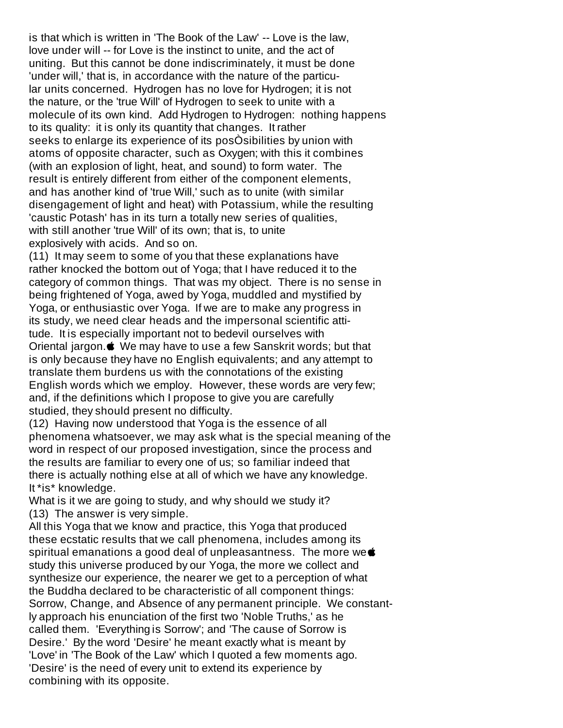is that which is written in 'The Book of the Law' -- Love is the law, love under will -- for Love is the instinct to unite, and the act of uniting. But this cannot be done indiscriminately, it must be done 'under will,' that is, in accordance with the nature of the particular units concerned. Hydrogen has no love for Hydrogen; it is not the nature, or the 'true Will' of Hydrogen to seek to unite with a molecule of its own kind. Add Hydrogen to Hydrogen: nothing happens to its quality: it is only its quantity that changes. It rather seeks to enlarge its experience of its posÒsibilities by union with atoms of opposite character, such as Oxygen; with this it combines (with an explosion of light, heat, and sound) to form water. The result is entirely different from either of the component elements, and has another kind of 'true Will,' such as to unite (with similar disengagement of light and heat) with Potassium, while the resulting 'caustic Potash' has in its turn a totally new series of qualities, with still another 'true Will' of its own; that is, to unite explosively with acids. And so on.

(11) It may seem to some of you that these explanations have rather knocked the bottom out of Yoga; that I have reduced it to the category of common things. That was my object. There is no sense in being frightened of Yoga, awed by Yoga, muddled and mystified by Yoga, or enthusiastic over Yoga. If we are to make any progress in its study, we need clear heads and the impersonal scientific attitude. It is especially important not to bedevil ourselves with Oriental jargon. We may have to use a few Sanskrit words; but that is only because they have no English equivalents; and any attempt to translate them burdens us with the connotations of the existing English words which we employ. However, these words are very few; and, if the definitions which I propose to give you are carefully studied, they should present no difficulty.

(12) Having now understood that Yoga is the essence of all phenomena whatsoever, we may ask what is the special meaning of the word in respect of our proposed investigation, since the process and the results are familiar to every one of us; so familiar indeed that there is actually nothing else at all of which we have any knowledge. It \*is\* knowledge.

What is it we are going to study, and why should we study it? (13) The answer is very simple.

All this Yoga that we know and practice, this Yoga that produced these ecstatic results that we call phenomena, includes among its spiritual emanations a good deal of unpleasantness. The more wed study this universe produced by our Yoga, the more we collect and synthesize our experience, the nearer we get to a perception of what the Buddha declared to be characteristic of all component things: Sorrow, Change, and Absence of any permanent principle. We constantly approach his enunciation of the first two 'Noble Truths,' as he called them. 'Everything is Sorrow'; and 'The cause of Sorrow is Desire.' By the word 'Desire' he meant exactly what is meant by 'Love' in 'The Book of the Law' which I quoted a few moments ago. 'Desire' is the need of every unit to extend its experience by combining with its opposite.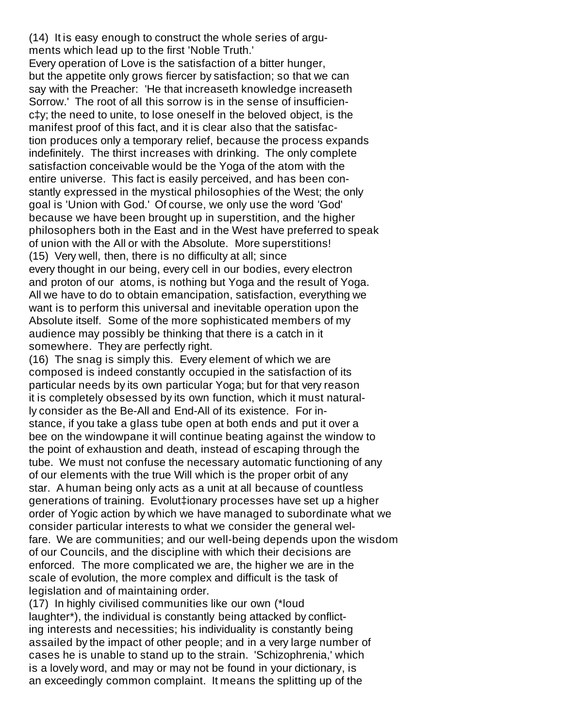(14) It is easy enough to construct the whole series of arguments which lead up to the first 'Noble Truth.' Every operation of Love is the satisfaction of a bitter hunger, but the appetite only grows fiercer by satisfaction; so that we can say with the Preacher: 'He that increaseth knowledge increaseth Sorrow.' The root of all this sorrow is in the sense of insufficienc‡y; the need to unite, to lose oneself in the beloved object, is the manifest proof of this fact, and it is clear also that the satisfaction produces only a temporary relief, because the process expands indefinitely. The thirst increases with drinking. The only complete satisfaction conceivable would be the Yoga of the atom with the entire universe. This fact is easily perceived, and has been constantly expressed in the mystical philosophies of the West; the only goal is 'Union with God.' Of course, we only use the word 'God' because we have been brought up in superstition, and the higher philosophers both in the East and in the West have preferred to speak of union with the All or with the Absolute. More superstitions! (15) Very well, then, there is no difficulty at all; since every thought in our being, every cell in our bodies, every electron and proton of our atoms, is nothing but Yoga and the result of Yoga. All we have to do to obtain emancipation, satisfaction, everything we want is to perform this universal and inevitable operation upon the Absolute itself. Some of the more sophisticated members of my audience may possibly be thinking that there is a catch in it somewhere. They are perfectly right.

(16) The snag is simply this. Every element of which we are composed is indeed constantly occupied in the satisfaction of its particular needs by its own particular Yoga; but for that very reason it is completely obsessed by its own function, which it must naturally consider as the Be-All and End-All of its existence. For instance, if you take a glass tube open at both ends and put it over a bee on the windowpane it will continue beating against the window to the point of exhaustion and death, instead of escaping through the tube. We must not confuse the necessary automatic functioning of any of our elements with the true Will which is the proper orbit of any star. Ahuman being only acts as a unit at all because of countless generations of training. Evolut‡ionary processes have set up a higher order of Yogic action by which we have managed to subordinate what we consider particular interests to what we consider the general welfare. We are communities; and our well-being depends upon the wisdom of our Councils, and the discipline with which their decisions are enforced. The more complicated we are, the higher we are in the scale of evolution, the more complex and difficult is the task of legislation and of maintaining order.

(17) In highly civilised communities like our own (\*loud laughter\*), the individual is constantly being attacked by conflicting interests and necessities; his individuality is constantly being assailed by the impact of other people; and in a very large number of cases he is unable to stand up to the strain. 'Schizophrenia,' which is a lovely word, and may or may not be found in your dictionary, is an exceedingly common complaint. It means the splitting up of the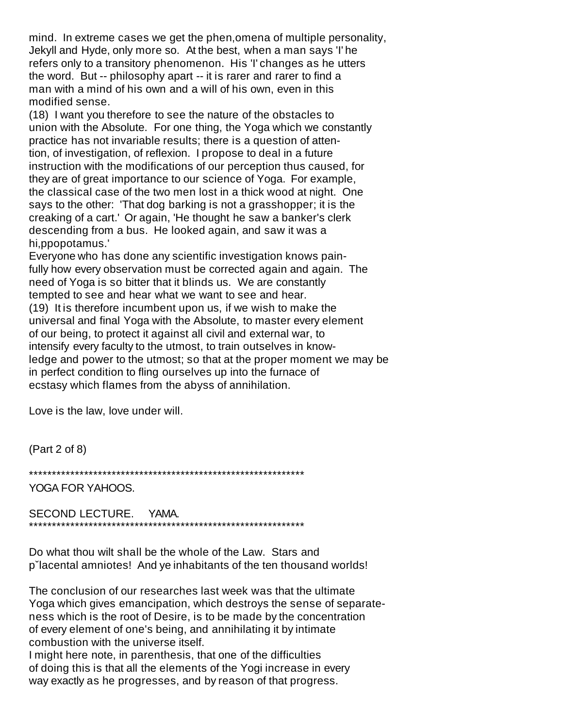mind. In extreme cases we get the phen, omena of multiple personality, Jekyll and Hyde, only more so. At the best, when a man says 'I' he refers only to a transitory phenomenon. His 'I' changes as he utters the word. But -- philosophy apart -- it is rarer and rarer to find a man with a mind of his own and a will of his own, even in this modified sense.

(18) I want you therefore to see the nature of the obstacles to union with the Absolute. For one thing, the Yoga which we constantly practice has not invariable results; there is a question of attention, of investigation, of reflexion. I propose to deal in a future instruction with the modifications of our perception thus caused, for they are of great importance to our science of Yoga. For example, the classical case of the two men lost in a thick wood at night. One says to the other: 'That dog barking is not a grasshopper; it is the creaking of a cart.' Or again, 'He thought he saw a banker's clerk descending from a bus. He looked again, and saw it was a hi, ppopotamus.'

Everyone who has done any scientific investigation knows painfully how every observation must be corrected again and again. The need of Yoga is so bitter that it blinds us. We are constantly tempted to see and hear what we want to see and hear. (19) It is therefore incumbent upon us, if we wish to make the universal and final Yoga with the Absolute, to master every element of our being, to protect it against all civil and external war, to intensify every faculty to the utmost, to train outselves in knowledge and power to the utmost; so that at the proper moment we may be in perfect condition to fling ourselves up into the furnace of ecstasy which flames from the abyss of annihilation.

Love is the law, love under will.

(Part 2 of 8)

\*\*\*\*\*\*\*\*\*\*\*\*\*\*\*\*\*\*\*\*\*\*\*\*\*\*\*\*\*\*\*\*\*\*\*\*\*\*\*\*\*\*\*\*\*\*\*\*\*\*\*\*\*\*\*\*\*\*\*\*

YOGA FOR YAHOOS.

SECOND LECTURE. YAMA. \*\*\*\*\*\*\*\*\*\*\*\*\*\*\*\*\*\*\*\*\*\*\*\*\*\*\*\*\*\*\*\*\*\*\*\*\*\*\*\*\*\*\*\*\*\*\*\*\*\*\*\*\*\*\*\*\*\*\*\*

Do what thou wilt shall be the whole of the Law. Stars and pˇlacental amniotes! And ye inhabitants of the ten thousand worlds!

The conclusion of our researches last week was that the ultimate Yoga which gives emancipation, which destroys the sense of separateness which is the root of Desire, is to be made by the concentration of every element of one's being, and annihilating it by intimate combustion with the universe itself.

I might here note, in parenthesis, that one of the difficulties of doing this is that all the elements of the Yogi increase in every way exactly as he progresses, and by reason of that progress.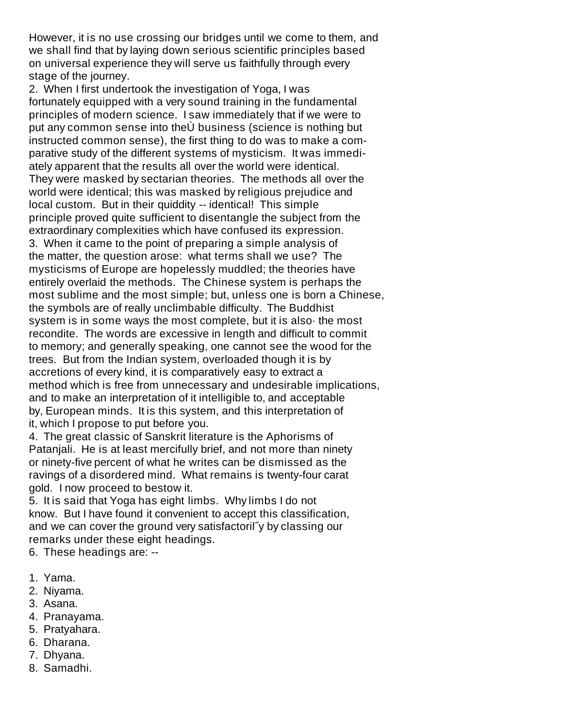However, it is no use crossing our bridges until we come to them, and we shall find that by laying down serious scientific principles based on universal experience they will serve us faithfully through every stage of the journey.

2. When I first undertook the investigation of Yoga, I was fortunately equipped with a very sound training in the fundamental principles of modern science. I saw immediately that if we were to put any common sense into theÙ business (science is nothing but instructed common sense), the first thing to do was to make a comparative study of the different systems of mysticism. It was immediately apparent that the results all over the world were identical. They were masked by sectarian theories. The methods all over the world were identical; this was masked by religious prejudice and local custom. But in their quiddity -- identical! This simple principle proved quite sufficient to disentangle the subject from the extraordinary complexities which have confused its expression. 3. When it came to the point of preparing a simple analysis of the matter, the question arose: what terms shall we use? The mysticisms of Europe are hopelessly muddled; the theories have entirely overlaid the methods. The Chinese system is perhaps the most sublime and the most simple; but, unless one is born a Chinese, the symbols are of really unclimbable difficulty. The Buddhist system is in some ways the most complete, but it is also· the most recondite. The words are excessive in length and difficult to commit to memory; and generally speaking, one cannot see the wood for the trees. But from the Indian system, overloaded though it is by accretions of every kind, it is comparatively easy to extract a method which is free from unnecessary and undesirable implications, and to make an interpretation of it intelligible to, and acceptable by, European minds. It is this system, and this interpretation of it, which I propose to put before you.

4. The great classic of Sanskrit literature is the Aphorisms of Patanjali. He is at least mercifully brief, and not more than ninety or ninety-five percent of what he writes can be dismissed as the ravings of a disordered mind. What remains is twenty-four carat gold. I now proceed to bestow it.

5. It is said that Yoga has eight limbs. Why limbs I do not know. But I have found it convenient to accept this classification, and we can cover the ground very satisfactoril˝y by classing our remarks under these eight headings.

6. These headings are: --

- 1. Yama.
- 2. Niyama.
- 3. Asana.
- 4. Pranayama.
- 5. Pratyahara.
- 6. Dharana.
- 7. Dhyana.
- 8. Samadhi.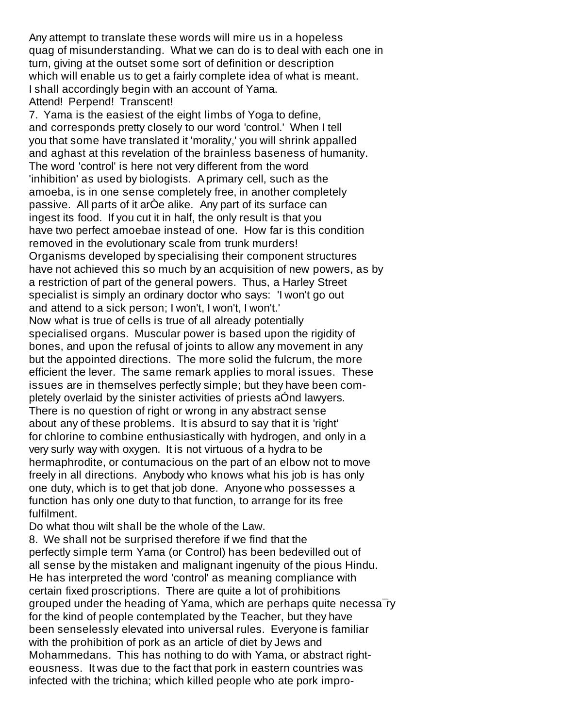Any attempt to translate these words will mire us in a hopeless quag of misunderstanding. What we can do is to deal with each one in turn, giving at the outset some sort of definition or description which will enable us to get a fairly complete idea of what is meant. I shall accordingly begin with an account of Yama. Attend! Perpend! Transcent!

7. Yama is the easiest of the eight limbs of Yoga to define, and corresponds pretty closely to our word 'control.' When I tell you that some have translated it 'morality,' you will shrink appalled and aghast at this revelation of the brainless baseness of humanity. The word 'control' is here not very different from the word 'inhibition' as used by biologists. Aprimary cell, such as the amoeba, is in one sense completely free, in another completely passive. All parts of it arÒe alike. Any part of its surface can ingest its food. If you cut it in half, the only result is that you have two perfect amoebae instead of one. How far is this condition removed in the evolutionary scale from trunk murders! Organisms developed by specialising their component structures have not achieved this so much by an acquisition of new powers, as by a restriction of part of the general powers. Thus, a Harley Street specialist is simply an ordinary doctor who says: 'I won't go out and attend to a sick person; I won't, I won't, I won't.' Now what is true of cells is true of all already potentially specialised organs. Muscular power is based upon the rigidity of bones, and upon the refusal of joints to allow any movement in any but the appointed directions. The more solid the fulcrum, the more efficient the lever. The same remark applies to moral issues. These issues are in themselves perfectly simple; but they have been completely overlaid by the sinister activities of priests aÓnd lawyers. There is no question of right or wrong in any abstract sense about any of these problems. It is absurd to say that it is 'right' for chlorine to combine enthusiastically with hydrogen, and only in a very surly way with oxygen. It is not virtuous of a hydra to be hermaphrodite, or contumacious on the part of an elbow not to move freely in all directions. Anybody who knows what his job is has only one duty, which is to get that job done. Anyone who possesses a function has only one duty to that function, to arrange for its free fulfilment.

Do what thou wilt shall be the whole of the Law.

8. We shall not be surprised therefore if we find that the perfectly simple term Yama (or Control) has been bedevilled out of all sense by the mistaken and malignant ingenuity of the pious Hindu. He has interpreted the word 'control' as meaning compliance with certain fixed proscriptions. There are quite a lot of prohibitions grouped under the heading of Yama, which are perhaps quite necessa¯ry for the kind of people contemplated by the Teacher, but they have been senselessly elevated into universal rules. Everyone is familiar with the prohibition of pork as an article of diet by Jews and Mohammedans. This has nothing to do with Yama, or abstract righteousness. It was due to the fact that pork in eastern countries was infected with the trichina; which killed people who ate pork impro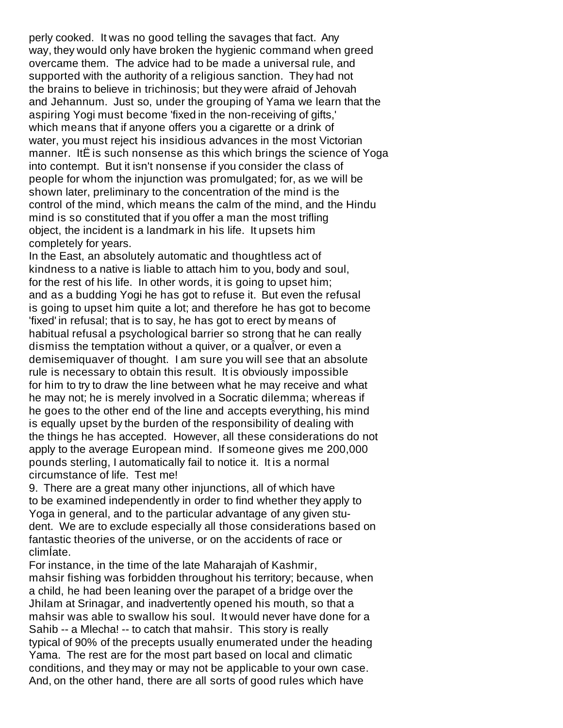perly cooked. It was no good telling the savages that fact. Any way, they would only have broken the hygienic command when greed overcame them. The advice had to be made a universal rule, and supported with the authority of a religious sanction. They had not the brains to believe in trichinosis; but they were afraid of Jehovah and Jehannum. Just so, under the grouping of Yama we learn that the aspiring Yogi must become 'fixed in the non-receiving of gifts,' which means that if anyone offers you a cigarette or a drink of water, you must reject his insidious advances in the most Victorian manner. ItË is such nonsense as this which brings the science of Yoga into contempt. But it isn't nonsense if you consider the class of people for whom the injunction was promulgated; for, as we will be shown later, preliminary to the concentration of the mind is the control of the mind, which means the calm of the mind, and the Hindu mind is so constituted that if you offer a man the most trifling object, the incident is a landmark in his life. It upsets him completely for years.

In the East, an absolutely automatic and thoughtless act of kindness to a native is liable to attach him to you, body and soul, for the rest of his life. In other words, it is going to upset him; and as a budding Yogi he has got to refuse it. But even the refusal is going to upset him quite a lot; and therefore he has got to become 'fixed' in refusal; that is to say, he has got to erect by means of habitual refusal a psychological barrier so strong that he can really dismiss the temptation without a quiver, or a quaÎver, or even a demisemiquaver of thought. I am sure you will see that an absolute rule is necessary to obtain this result. It is obviously impossible for him to try to draw the line between what he may receive and what he may not; he is merely involved in a Socratic dilemma; whereas if he goes to the other end of the line and accepts everything, his mind is equally upset by the burden of the responsibility of dealing with the things he has accepted. However, all these considerations do not apply to the average European mind. If someone gives me 200,000 pounds sterling, I automatically fail to notice it. It is a normal circumstance of life. Test me!

9. There are a great many other injunctions, all of which have to be examined independently in order to find whether they apply to Yoga in general, and to the particular advantage of any given student. We are to exclude especially all those considerations based on fantastic theories of the universe, or on the accidents of race or climÍate.

For instance, in the time of the late Maharajah of Kashmir, mahsir fishing was forbidden throughout his territory; because, when a child, he had been leaning over the parapet of a bridge over the Jhilam at Srinagar, and inadvertently opened his mouth, so that a mahsir was able to swallow his soul. It would never have done for a Sahib -- a Mlecha! -- to catch that mahsir. This story is really typical of 90% of the precepts usually enumerated under the heading Yama. The rest are for the most part based on local and climatic conditions, and they may or may not be applicable to your own case. And, on the other hand, there are all sorts of good rules which have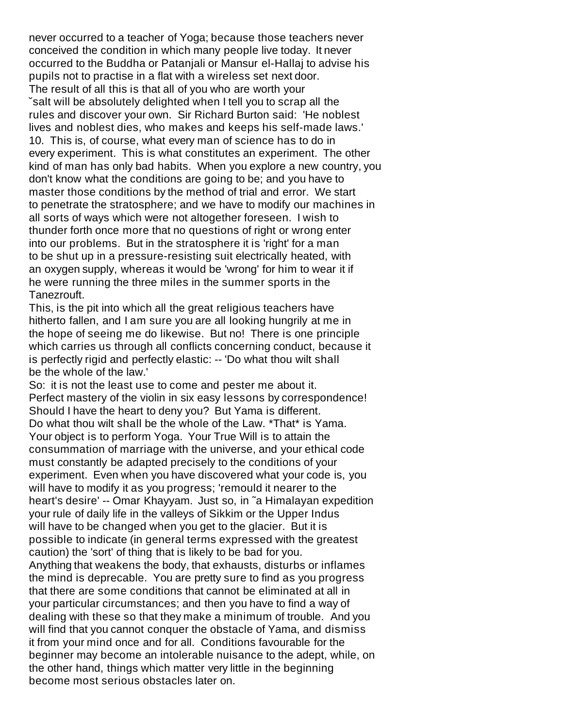never occurred to a teacher of Yoga; because those teachers never conceived the condition in which many people live today. It never occurred to the Buddha or Patanjali or Mansur el-Hallaj to advise his pupils not to practise in a flat with a wireless set next door. The result of all this is that all of you who are worth your ˘salt will be absolutely delighted when I tell you to scrap all the rules and discover your own. Sir Richard Burton said: 'He noblest lives and noblest dies, who makes and keeps his self-made laws.' 10. This is, of course, what every man of science has to do in every experiment. This is what constitutes an experiment. The other kind of man has only bad habits. When you explore a new country, you don't know what the conditions are going to be; and you have to master those conditions by the method of trial and error. We start to penetrate the stratosphere; and we have to modify our machines in all sorts of ways which were not altogether foreseen. I wish to thunder forth once more that no questions of right or wrong enter into our problems. But in the stratosphere it is 'right' for a man to be shut up in a pressure-resisting suit electrically heated, with an oxygen supply, whereas it would be 'wrong' for him to wear it if he were running the three miles in the summer sports in the Tanezrouft.

This, is the pit into which all the great religious teachers have hitherto fallen, and I am sure you are all looking hungrily at me in the hope of seeing me do likewise. But no! There is one principle which carries us through all conflicts concerning conduct, because it is perfectly rigid and perfectly elastic: -- 'Do what thou wilt shall be the whole of the law.'

So: it is not the least use to come and pester me about it. Perfect mastery of the violin in six easy lessons by correspondence! Should I have the heart to deny you? But Yama is different. Do what thou wilt shall be the whole of the Law. \*That\* is Yama. Your object is to perform Yoga. Your True Will is to attain the consummation of marriage with the universe, and your ethical code must constantly be adapted precisely to the conditions of your experiment. Even when you have discovered what your code is, you will have to modify it as you progress; 'remould it nearer to the heart's desire' -- Omar Khayyam. Just so, in ˜a Himalayan expedition your rule of daily life in the valleys of Sikkim or the Upper Indus will have to be changed when you get to the glacier. But it is possible to indicate (in general terms expressed with the greatest caution) the 'sort' of thing that is likely to be bad for you. Anything that weakens the body, that exhausts, disturbs or inflames the mind is deprecable. You are pretty sure to find as you progress that there are some conditions that cannot be eliminated at all in your particular circumstances; and then you have to find a way of dealing with these so that they make a minimum of trouble. And you will find that you cannot conquer the obstacle of Yama, and dismiss it from your mind once and for all. Conditions favourable for the beginner may become an intolerable nuisance to the adept, while, on the other hand, things which matter very little in the beginning become most serious obstacles later on.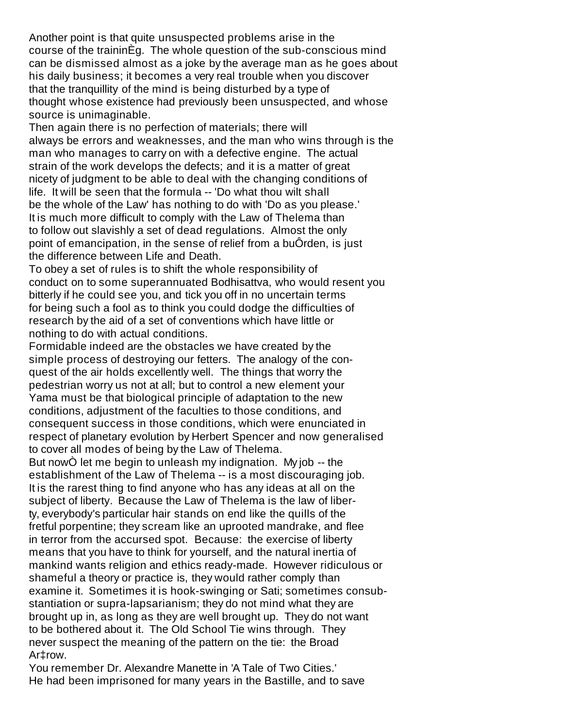Another point is that quite unsuspected problems arise in the course of the traininÈg. The whole question of the sub-conscious mind can be dismissed almost as a joke by the average man as he goes about his daily business; it becomes a very real trouble when you discover that the tranquillity of the mind is being disturbed by a type of thought whose existence had previously been unsuspected, and whose source is unimaginable.

Then again there is no perfection of materials; there will always be errors and weaknesses, and the man who wins through is the man who manages to carry on with a defective engine. The actual strain of the work develops the defects; and it is a matter of great nicety of judgment to be able to deal with the changing conditions of life. It will be seen that the formula -- 'Do what thou wilt shall be the whole of the Law' has nothing to do with 'Do as you please.' It is much more difficult to comply with the Law of Thelema than to follow out slavishly a set of dead regulations. Almost the only point of emancipation, in the sense of relief from a buÔrden, is just the difference between Life and Death.

To obey a set of rules is to shift the whole responsibility of conduct on to some superannuated Bodhisattva, who would resent you bitterly if he could see you, and tick you off in no uncertain terms for being such a fool as to think you could dodge the difficulties of research by the aid of a set of conventions which have little or nothing to do with actual conditions.

Formidable indeed are the obstacles we have created by the simple process of destroying our fetters. The analogy of the conquest of the air holds excellently well. The things that worry the pedestrian worry us not at all; but to control a new element your Yama must be that biological principle of adaptation to the new conditions, adjustment of the faculties to those conditions, and consequent success in those conditions, which were enunciated in respect of planetary evolution by Herbert Spencer and now generalised to cover all modes of being by the Law of Thelema.

But nowÒ let me begin to unleash my indignation. My job -- the establishment of the Law of Thelema -- is a most discouraging job. It is the rarest thing to find anyone who has any ideas at all on the subject of liberty. Because the Law of Thelema is the law of liberty, everybody's particular hair stands on end like the quills of the fretful porpentine; they scream like an uprooted mandrake, and flee in terror from the accursed spot. Because: the exercise of liberty means that you have to think for yourself, and the natural inertia of mankind wants religion and ethics ready-made. However ridiculous or shameful a theory or practice is, they would rather comply than examine it. Sometimes it is hook-swinging or Sati; sometimes consubstantiation or supra-lapsarianism; they do not mind what they are brought up in, as long as they are well brought up. They do not want to be bothered about it. The Old School Tie wins through. They never suspect the meaning of the pattern on the tie: the Broad Ar‡row.

You remember Dr. Alexandre Manette in 'A Tale of Two Cities.' He had been imprisoned for many years in the Bastille, and to save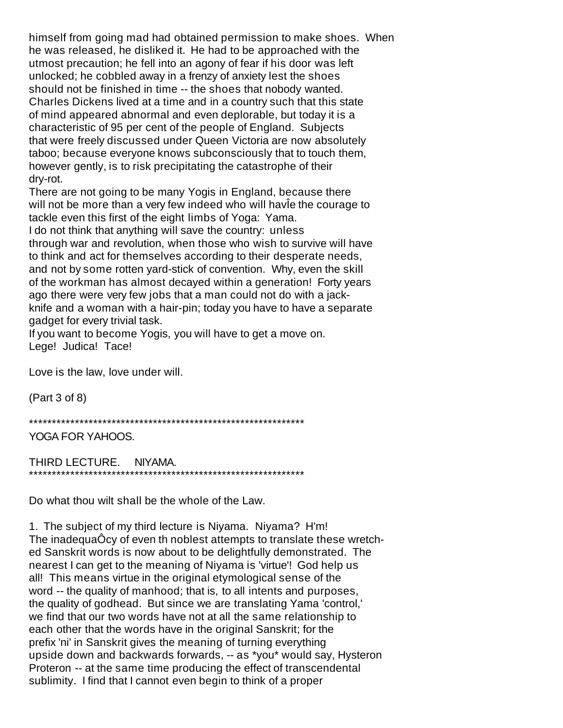himself from going mad had obtained permission to make shoes. When he was released, he disliked it. He had to be approached with the utmost precaution; he fell into an agony of fear if his door was left unlocked; he cobbled away in a frenzy of anxiety lest the shoes should not be finished in time -- the shoes that nobody wanted. Charles Dickens lived at a time and in a country such that this state of mind appeared abnormal and even deplorable, but today it is a characteristic of 95 per cent of the people of England. Subjects that were freely discussed under Queen Victoria are now absolutely taboo; because everyone knows subconsciously that to touch them, however gently, is to risk precipitating the catastrophe of their dry-rot.

There are not going to be many Yogis in England, because there will not be more than a very few indeed who will havÎe the courage to tackle even this first of the eight limbs of Yoga: Yama.

I do not think that anything will save the country: unless through war and revolution, when those who wish to survive will have to think and act for themselves according to their desperate needs, and not by some rotten yard-stick of convention. Why, even the skill of the workman has almost decayed within a generation! Forty years ago there were very few jobs that a man could not do with a jackknife and a woman with a hair-pin; today you have to have a separate gadget for every trivial task.

If you want to become Yogis, you will have to get a move on. Lege! Judica! Tace!

Love is the law, love under will.

(Part 3 of 8)

\*\*\*\*\*\*\*\*\*\*\*\*\*\*\*\*\*\*\*\*\*\*\*\*\*\*\*\*\*\*\*\*\*\*\*\*\*\*\*\*\*\*\*\*\*\*\*\*\*\*\*\*\*\*\*\*\*\*\*\*

YOGA FOR YAHOOS.

THIRD LECTURE. NIYAMA. \*\*\*\*\*\*\*\*\*\*\*\*\*\*\*\*\*\*\*\*\*\*\*\*\*\*\*\*\*\*\*\*\*\*\*\*\*\*\*\*\*\*\*\*\*\*\*\*\*\*\*\*\*\*\*\*\*\*\*\*

Do what thou wilt shall be the whole of the Law.

1. The subject of my third lecture is Niyama. Niyama? H'm! The inadequaÔcy of even th noblest attempts to translate these wretched Sanskrit words is now about to be delightfully demonstrated. The nearest I can get to the meaning of Niyama is 'virtue'! God help us all! This means virtue in the original etymological sense of the word -- the quality of manhood; that is, to all intents and purposes, the quality of godhead. But since we are translating Yama 'control,' we find that our two words have not at all the same relationship to each other that the words have in the original Sanskrit; for the prefix 'ni' in Sanskrit gives the meaning of turning everything upside down and backwards forwards, -- as \*you\* would say, Hysteron Proteron -- at the same time producing the effect of transcendental sublimity. I find that I cannot even begin to think of a proper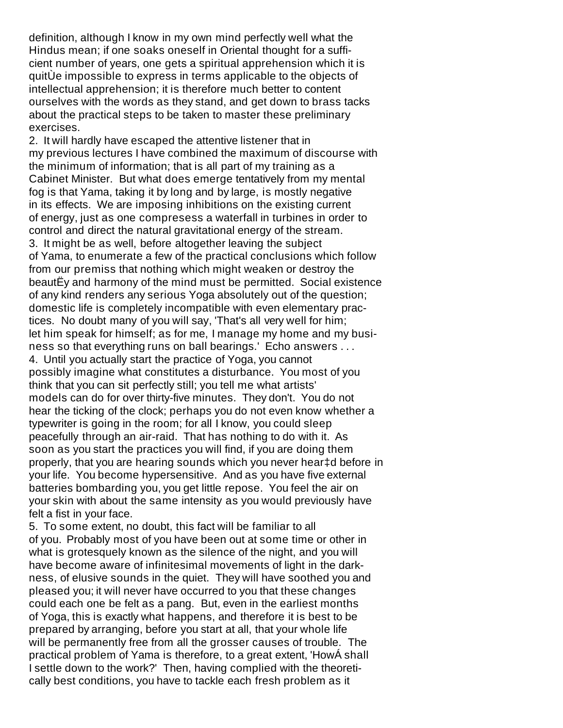definition, although I know in my own mind perfectly well what the Hindus mean; if one soaks oneself in Oriental thought for a sufficient number of years, one gets a spiritual apprehension which it is quitÙe impossible to express in terms applicable to the objects of intellectual apprehension; it is therefore much better to content ourselves with the words as they stand, and get down to brass tacks about the practical steps to be taken to master these preliminary exercises.

2. It will hardly have escaped the attentive listener that in my previous lectures I have combined the maximum of discourse with the minimum of information; that is all part of my training as a Cabinet Minister. But what does emerge tentatively from my mental fog is that Yama, taking it by long and by large, is mostly negative in its effects. We are imposing inhibitions on the existing current of energy, just as one compresess a waterfall in turbines in order to control and direct the natural gravitational energy of the stream. 3. It might be as well, before altogether leaving the subject of Yama, to enumerate a few of the practical conclusions which follow from our premiss that nothing which might weaken or destroy the beautËy and harmony of the mind must be permitted. Social existence of any kind renders any serious Yoga absolutely out of the question; domestic life is completely incompatible with even elementary practices. No doubt many of you will say, 'That's all very well for him; let him speak for himself; as for me, I manage my home and my business so that everything runs on ball bearings.' Echo answers . . . 4. Until you actually start the practice of Yoga, you cannot possibly imagine what constitutes a disturbance. You most of you think that you can sit perfectly still; you tell me what artists' models can do for over thirty-five minutes. They don't. You do not hear the ticking of the clock; perhaps you do not even know whether a typewriter is going in the room; for all I know, you could sleep peacefully through an air-raid. That has nothing to do with it. As soon as you start the practices you will find, if you are doing them properly, that you are hearing sounds which you never hear‡d before in your life. You become hypersensitive. And as you have five external batteries bombarding you, you get little repose. You feel the air on your skin with about the same intensity as you would previously have felt a fist in your face.

5. To some extent, no doubt, this fact will be familiar to all of you. Probably most of you have been out at some time or other in what is grotesquely known as the silence of the night, and you will have become aware of infinitesimal movements of light in the darkness, of elusive sounds in the quiet. They will have soothed you and pleased you; it will never have occurred to you that these changes could each one be felt as a pang. But, even in the earliest months of Yoga, this is exactly what happens, and therefore it is best to be prepared by arranging, before you start at all, that your whole life will be permanently free from all the grosser causes of trouble. The practical problem of Yama is therefore, to a great extent, 'HowÁ shall I settle down to the work?' Then, having complied with the theoretically best conditions, you have to tackle each fresh problem as it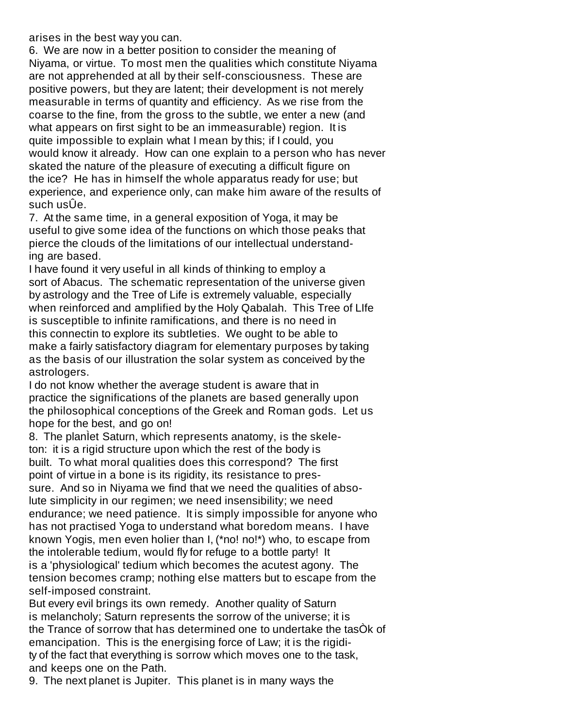arises in the best way you can.

6. We are now in a better position to consider the meaning of Niyama, or virtue. To most men the qualities which constitute Niyama are not apprehended at all by their self-consciousness. These are positive powers, but they are latent; their development is not merely measurable in terms of quantity and efficiency. As we rise from the coarse to the fine, from the gross to the subtle, we enter a new (and what appears on first sight to be an immeasurable) region. It is quite impossible to explain what I mean by this; if I could, you would know it already. How can one explain to a person who has never skated the nature of the pleasure of executing a difficult figure on the ice? He has in himself the whole apparatus ready for use; but experience, and experience only, can make him aware of the results of such usÛe.

7. At the same time, in a general exposition of Yoga, it may be useful to give some idea of the functions on which those peaks that pierce the clouds of the limitations of our intellectual understanding are based.

I have found it very useful in all kinds of thinking to employ a sort of Abacus. The schematic representation of the universe given by astrology and the Tree of Life is extremely valuable, especially when reinforced and amplified by the Holy Qabalah. This Tree of LIfe is susceptible to infinite ramifications, and there is no need in this connectin to explore its subtleties. We ought to be able to make a fairly satisfactory diagram for elementary purposes by taking as the basis of our illustration the solar system as conceived by the astrologers.

I do not know whether the average student is aware that in practice the significations of the planets are based generally upon the philosophical conceptions of the Greek and Roman gods. Let us hope for the best, and go on!

8. The planÌet Saturn, which represents anatomy, is the skeleton: it is a rigid structure upon which the rest of the body is built. To what moral qualities does this correspond? The first point of virtue in a bone is its rigidity, its resistance to pressure. And so in Niyama we find that we need the qualities of absolute simplicity in our regimen; we need insensibility; we need endurance; we need patience. It is simply impossible for anyone who has not practised Yoga to understand what boredom means. I have known Yogis, men even holier than I, (\*no! no!\*) who, to escape from the intolerable tedium, would fly for refuge to a bottle party! It is a 'physiological' tedium which becomes the acutest agony. The tension becomes cramp; nothing else matters but to escape from the self-imposed constraint.

But every evil brings its own remedy. Another quality of Saturn is melancholy; Saturn represents the sorrow of the universe; it is the Trance of sorrow that has determined one to undertake the tasÒk of emancipation. This is the energising force of Law; it is the rigidity of the fact that everything is sorrow which moves one to the task, and keeps one on the Path.

9. The next planet is Jupiter. This planet is in many ways the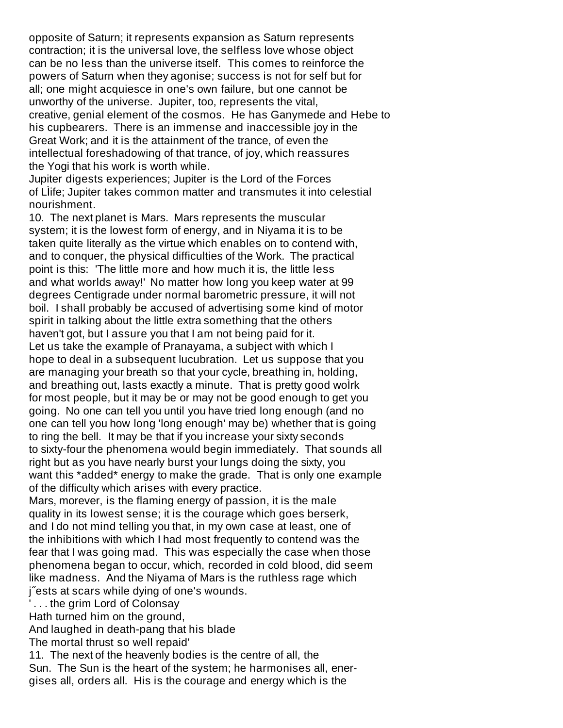opposite of Saturn; it represents expansion as Saturn represents contraction; it is the universal love, the selfless love whose object can be no less than the universe itself. This comes to reinforce the powers of Saturn when they agonise; success is not for self but for all; one might acquiesce in one's own failure, but one cannot be unworthy of the universe. Jupiter, too, represents the vital, creative, genial element of the cosmos. He has Ganymede and Hebe to his cupbearers. There is an immense and inaccessible joy in the Great Work; and it is the attainment of the trance, of even the intellectual foreshadowing of that trance, of joy, which reassures the Yogi that his work is worth while.

Jupiter digests experiences; Jupiter is the Lord of the Forces of LÌife; Jupiter takes common matter and transmutes it into celestial nourishment.

10. The next planet is Mars. Mars represents the muscular system; it is the lowest form of energy, and in Niyama it is to be taken quite literally as the virtue which enables on to contend with, and to conquer, the physical difficulties of the Work. The practical point is this: 'The little more and how much it is, the little less and what worlds away!' No matter how long you keep water at 99 degrees Centigrade under normal barometric pressure, it will not boil. I shall probably be accused of advertising some kind of motor spirit in talking about the little extra something that the others haven't got, but I assure you that I am not being paid for it. Let us take the example of Pranayama, a subject with which I hope to deal in a subsequent lucubration. Let us suppose that you are managing your breath so that your cycle, breathing in, holding, and breathing out, lasts exactly a minute. That is pretty good woÌrk for most people, but it may be or may not be good enough to get you going. No one can tell you until you have tried long enough (and no one can tell you how long 'long enough' may be) whether that is going to ring the bell. It may be that if you increase your sixty seconds to sixty-four the phenomena would begin immediately. That sounds all right but as you have nearly burst your lungs doing the sixty, you want this \*added\* energy to make the grade. That is only one example of the difficulty which arises with every practice.

Mars, morever, is the flaming energy of passion, it is the male quality in its lowest sense; it is the courage which goes berserk, and I do not mind telling you that, in my own case at least, one of the inhibitions with which I had most frequently to contend was the fear that I was going mad. This was especially the case when those phenomena began to occur, which, recorded in cold blood, did seem like madness. And the Niyama of Mars is the ruthless rage which j˝ests at scars while dying of one's wounds.

' . . . the grim Lord of Colonsay

Hath turned him on the ground,

And laughed in death-pang that his blade

The mortal thrust so well repaid'

11. The next of the heavenly bodies is the centre of all, the Sun. The Sun is the heart of the system; he harmonises all, energises all, orders all. His is the courage and energy which is the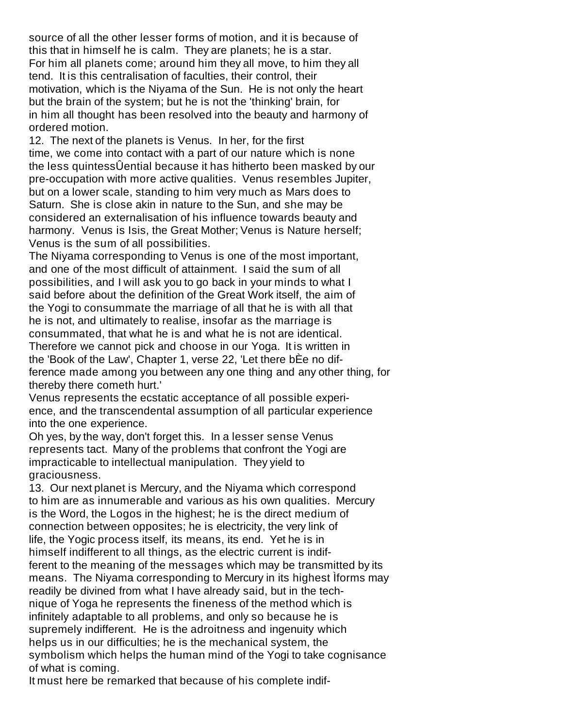source of all the other lesser forms of motion, and it is because of this that in himself he is calm. They are planets; he is a star. For him all planets come; around him they all move, to him they all tend. It is this centralisation of faculties, their control, their motivation, which is the Niyama of the Sun. He is not only the heart but the brain of the system; but he is not the 'thinking' brain, for in him all thought has been resolved into the beauty and harmony of ordered motion.

12. The next of the planets is Venus. In her, for the first time, we come into contact with a part of our nature which is none the less quintessÛential because it has hitherto been masked by our pre-occupation with more active qualities. Venus resembles Jupiter, but on a lower scale, standing to him very much as Mars does to Saturn. She is close akin in nature to the Sun, and she may be considered an externalisation of his influence towards beauty and harmony. Venus is Isis, the Great Mother; Venus is Nature herself; Venus is the sum of all possibilities.

The Niyama corresponding to Venus is one of the most important, and one of the most difficult of attainment. I said the sum of all possibilities, and I will ask you to go back in your minds to what I said before about the definition of the Great Work itself, the aim of the Yogi to consummate the marriage of all that he is with all that he is not, and ultimately to realise, insofar as the marriage is consummated, that what he is and what he is not are identical. Therefore we cannot pick and choose in our Yoga. It is written in the 'Book of the Law', Chapter 1, verse 22, 'Let there bÈe no difference made among you between any one thing and any other thing, for thereby there cometh hurt.'

Venus represents the ecstatic acceptance of all possible experience, and the transcendental assumption of all particular experience into the one experience.

Oh yes, by the way, don't forget this. In a lesser sense Venus represents tact. Many of the problems that confront the Yogi are impracticable to intellectual manipulation. They yield to graciousness.

13. Our next planet is Mercury, and the Niyama which correspond to him are as innumerable and various as his own qualities. Mercury is the Word, the Logos in the highest; he is the direct medium of connection between opposites; he is electricity, the very link of life, the Yogic process itself, its means, its end. Yet he is in himself indifferent to all things, as the electric current is indifferent to the meaning of the messages which may be transmitted by its means. The Niyama corresponding to Mercury in its highest Ìforms may readily be divined from what I have already said, but in the technique of Yoga he represents the fineness of the method which is infinitely adaptable to all problems, and only so because he is supremely indifferent. He is the adroitness and ingenuity which helps us in our difficulties; he is the mechanical system, the symbolism which helps the human mind of the Yogi to take cognisance of what is coming.

It must here be remarked that because of his complete indif-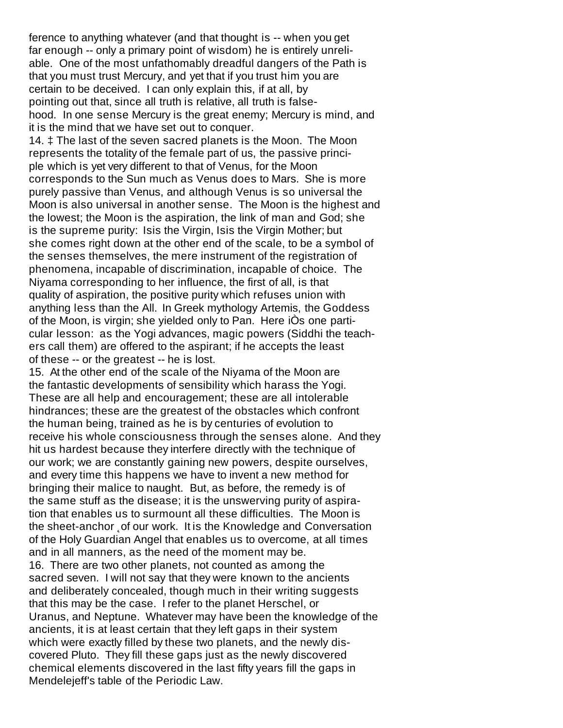ference to anything whatever (and that thought is -- when you get far enough -- only a primary point of wisdom) he is entirely unreliable. One of the most unfathomably dreadful dangers of the Path is that you must trust Mercury, and yet that if you trust him you are certain to be deceived. I can only explain this, if at all, by pointing out that, since all truth is relative, all truth is falsehood. In one sense Mercury is the great enemy; Mercury is mind, and it is the mind that we have set out to conquer.

14. ‡ The last of the seven sacred planets is the Moon. The Moon represents the totality of the female part of us, the passive principle which is yet very different to that of Venus, for the Moon corresponds to the Sun much as Venus does to Mars. She is more purely passive than Venus, and although Venus is so universal the Moon is also universal in another sense. The Moon is the highest and the lowest; the Moon is the aspiration, the link of man and God; she is the supreme purity: Isis the Virgin, Isis the Virgin Mother; but she comes right down at the other end of the scale, to be a symbol of the senses themselves, the mere instrument of the registration of phenomena, incapable of discrimination, incapable of choice. The Niyama corresponding to her influence, the first of all, is that quality of aspiration, the positive purity which refuses union with anything less than the All. In Greek mythology Artemis, the Goddess of the Moon, is virgin; she yielded only to Pan. Here iÒs one particular lesson: as the Yogi advances, magic powers (Siddhi the teachers call them) are offered to the aspirant; if he accepts the least of these -- or the greatest -- he is lost.

15. At the other end of the scale of the Niyama of the Moon are the fantastic developments of sensibility which harass the Yogi. These are all help and encouragement; these are all intolerable hindrances; these are the greatest of the obstacles which confront the human being, trained as he is by centuries of evolution to receive his whole consciousness through the senses alone. And they hit us hardest because they interfere directly with the technique of our work; we are constantly gaining new powers, despite ourselves, and every time this happens we have to invent a new method for bringing their malice to naught. But, as before, the remedy is of the same stuff as the disease; it is the unswerving purity of aspiration that enables us to surmount all these difficulties. The Moon is the sheet-anchor of our work. It is the Knowledge and Conversation of the Holy Guardian Angel that enables us to overcome, at all times and in all manners, as the need of the moment may be. 16. There are two other planets, not counted as among the

sacred seven. I will not say that they were known to the ancients and deliberately concealed, though much in their writing suggests that this may be the case. I refer to the planet Herschel, or Uranus, and Neptune. Whatever may have been the knowledge of the ancients, it is at least certain that they left gaps in their system which were exactly filled by these two planets, and the newly discovered Pluto. They fill these gaps just as the newly discovered chemical elements discovered in the last fifty years fill the gaps in Mendelejeff's table of the Periodic Law.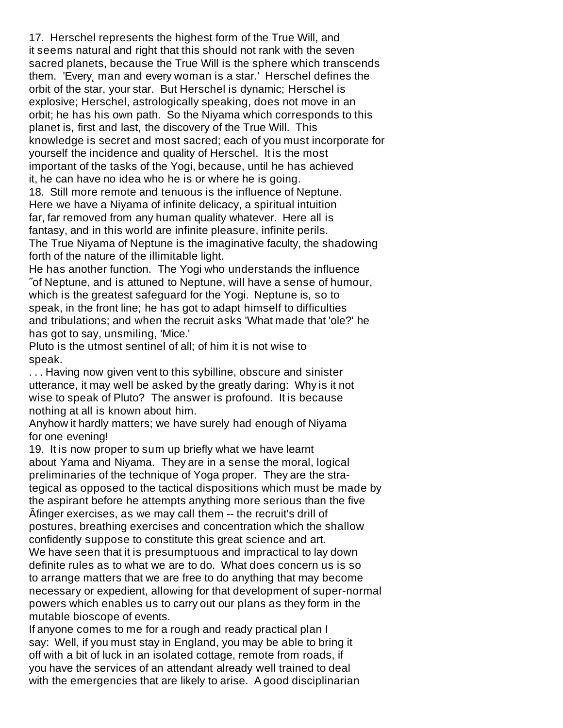17. Herschel represents the highest form of the True Will, and it seems natural and right that this should not rank with the seven sacred planets, because the True Will is the sphere which transcends them. 'Every man and every woman is a star.' Herschel defines the orbit of the star, your star. But Herschel is dynamic; Herschel is explosive; Herschel, astrologically speaking, does not move in an orbit; he has his own path. So the Niyama which corresponds to this planet is, first and last, the discovery of the True Will. This knowledge is secret and most sacred; each of you must incorporate for yourself the incidence and quality of Herschel. It is the most important of the tasks of the Yogi, because, until he has achieved it, he can have no idea who he is or where he is going. 18. Still more remote and tenuous is the influence of Neptune. Here we have a Niyama of infinite delicacy, a spiritual intuition far, far removed from any human quality whatever. Here all is fantasy, and in this world are infinite pleasure, infinite perils.

The True Niyama of Neptune is the imaginative faculty, the shadowing forth of the nature of the illimitable light.

He has another function. The Yogi who understands the influence ˝of Neptune, and is attuned to Neptune, will have a sense of humour, which is the greatest safeguard for the Yogi. Neptune is, so to speak, in the front line; he has got to adapt himself to difficulties and tribulations; and when the recruit asks 'What made that 'ole?' he has got to say, unsmiling, 'Mice.'

Pluto is the utmost sentinel of all; of him it is not wise to speak.

. . . Having now given vent to this sybilline, obscure and sinister utterance, it may well be asked by the greatly daring: Why is it not wise to speak of Pluto? The answer is profound. It is because nothing at all is known about him.

Anyhow it hardly matters; we have surely had enough of Niyama for one evening!

19. It is now proper to sum up briefly what we have learnt about Yama and Niyama. They are in a sense the moral, logical preliminaries of the technique of Yoga proper. They are the strategical as opposed to the tactical dispositions which must be made by the aspirant before he attempts anything more serious than the five Âfinger exercises, as we may call them -- the recruit's drill of postures, breathing exercises and concentration which the shallow confidently suppose to constitute this great science and art.

We have seen that it is presumptuous and impractical to lay down definite rules as to what we are to do. What does concern us is so to arrange matters that we are free to do anything that may become necessary or expedient, allowing for that development of super-normal powers which enables us to carry out our plans as they form in the mutable bioscope of events.

If anyone comes to me for a rough and ready practical plan I say: Well, if you must stay in England, you may be able to bring it off with a bit of luck in an isolated cottage, remote from roads, if you have the services of an attendant already well trained to deal with the emergencies that are likely to arise. Agood disciplinarian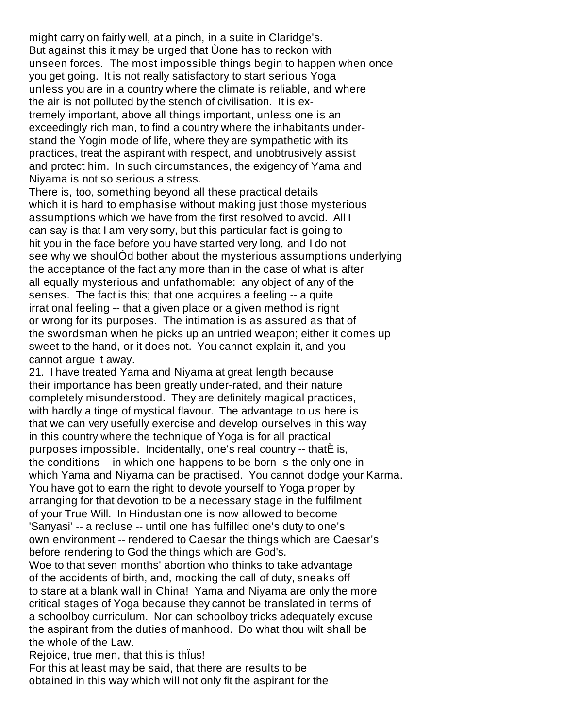might carry on fairly well, at a pinch, in a suite in Claridge's. But against this it may be urged that Ùone has to reckon with unseen forces. The most impossible things begin to happen when once you get going. It is not really satisfactory to start serious Yoga unless you are in a country where the climate is reliable, and where the air is not polluted by the stench of civilisation. It is extremely important, above all things important, unless one is an exceedingly rich man, to find a country where the inhabitants understand the Yogin mode of life, where they are sympathetic with its practices, treat the aspirant with respect, and unobtrusively assist and protect him. In such circumstances, the exigency of Yama and Niyama is not so serious a stress.

There is, too, something beyond all these practical details which it is hard to emphasise without making just those mysterious assumptions which we have from the first resolved to avoid. All I can say is that I am very sorry, but this particular fact is going to hit you in the face before you have started very long, and I do not see why we shoulÓd bother about the mysterious assumptions underlying the acceptance of the fact any more than in the case of what is after all equally mysterious and unfathomable: any object of any of the senses. The fact is this; that one acquires a feeling -- a quite irrational feeling -- that a given place or a given method is right or wrong for its purposes. The intimation is as assured as that of the swordsman when he picks up an untried weapon; either it comes up sweet to the hand, or it does not. You cannot explain it, and you cannot argue it away.

21. I have treated Yama and Niyama at great length because their importance has been greatly under-rated, and their nature completely misunderstood. They are definitely magical practices, with hardly a tinge of mystical flavour. The advantage to us here is that we can very usefully exercise and develop ourselves in this way in this country where the technique of Yoga is for all practical purposes impossible. Incidentally, one's real country -- thatÈ is, the conditions -- in which one happens to be born is the only one in which Yama and Niyama can be practised. You cannot dodge your Karma. You have got to earn the right to devote yourself to Yoga proper by arranging for that devotion to be a necessary stage in the fulfilment of your True Will. In Hindustan one is now allowed to become 'Sanyasi' -- a recluse -- until one has fulfilled one's duty to one's own environment -- rendered to Caesar the things which are Caesar's before rendering to God the things which are God's.

Woe to that seven months' abortion who thinks to take advantage of the accidents of birth, and, mocking the call of duty, sneaks off to stare at a blank wall in China! Yama and Niyama are only the more critical stages of Yoga because they cannot be translated in terms of a schoolboy curriculum. Nor can schoolboy tricks adequately excuse the aspirant from the duties of manhood. Do what thou wilt shall be the whole of the Law.

Rejoice, true men, that this is thius!

For this at least may be said, that there are results to be obtained in this way which will not only fit the aspirant for the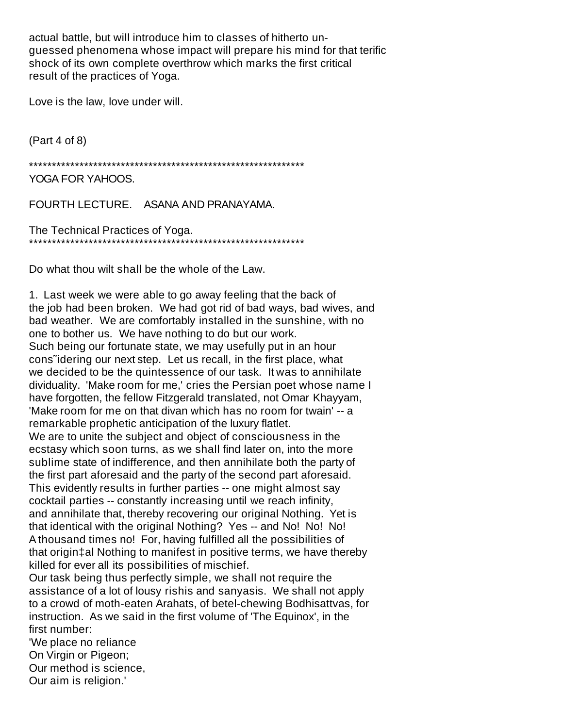actual battle, but will introduce him to classes of hitherto unguessed phenomena whose impact will prepare his mind for that terific shock of its own complete overthrow which marks the first critical result of the practices of Yoga.

Love is the law, love under will.

(Part 4 of 8)

\*\*\*\*\*\*\*\*\*\*\*\*\*\*\*\*\*\*\*\*\*\*\*\*\*\*\*\*\*\*\*\*\*\*\*\*\*\*\*\*\*\*\*\*\*\*\*\*\*\*\*\*\*\*\*\*\*\*\*\*

YOGA FOR YAHOOS.

FOURTH LECTURE. ASANA AND PRANAYAMA.

The Technical Practices of Yoga. \*\*\*\*\*\*\*\*\*\*\*\*\*\*\*\*\*\*\*\*\*\*\*\*\*\*\*\*\*\*\*\*\*\*\*\*\*\*\*\*\*\*\*\*\*\*\*\*\*\*\*\*\*\*\*\*\*\*\*\*

Do what thou wilt shall be the whole of the Law.

1. Last week we were able to go away feeling that the back of the job had been broken. We had got rid of bad ways, bad wives, and bad weather. We are comfortably installed in the sunshine, with no one to bother us. We have nothing to do but our work. Such being our fortunate state, we may usefully put in an hour cons˜idering our next step. Let us recall, in the first place, what we decided to be the quintessence of our task. It was to annihilate dividuality. 'Make room for me,' cries the Persian poet whose name I have forgotten, the fellow Fitzgerald translated, not Omar Khayyam, 'Make room for me on that divan which has no room for twain' -- a remarkable prophetic anticipation of the luxury flatlet. We are to unite the subject and object of consciousness in the ecstasy which soon turns, as we shall find later on, into the more sublime state of indifference, and then annihilate both the party of the first part aforesaid and the party of the second part aforesaid. This evidently results in further parties -- one might almost say cocktail parties -- constantly increasing until we reach infinity, and annihilate that, thereby recovering our original Nothing. Yet is that identical with the original Nothing? Yes -- and No! No! No! Athousand times no! For, having fulfilled all the possibilities of that origin‡al Nothing to manifest in positive terms, we have thereby killed for ever all its possibilities of mischief.

Our task being thus perfectly simple, we shall not require the assistance of a lot of lousy rishis and sanyasis. We shall not apply to a crowd of moth-eaten Arahats, of betel-chewing Bodhisattvas, for instruction. As we said in the first volume of 'The Equinox', in the first number:

'We place no reliance On Virgin or Pigeon; Our method is science, Our aim is religion.'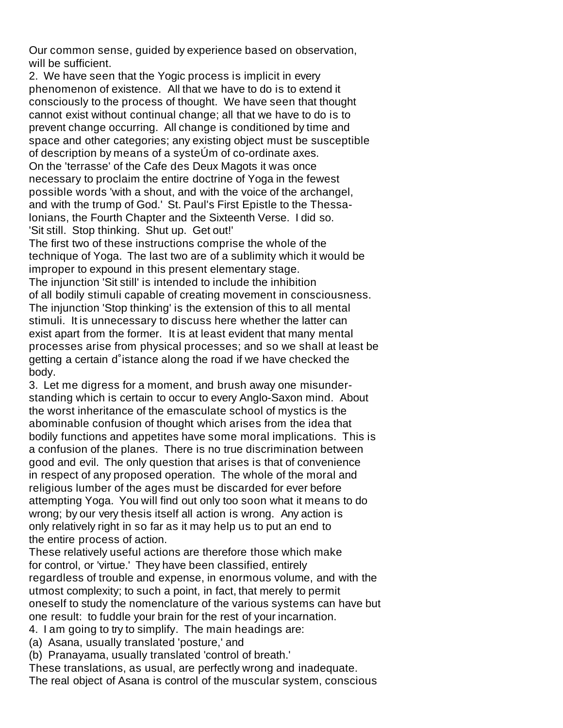Our common sense, guided by experience based on observation, will be sufficient.

2. We have seen that the Yogic process is implicit in every phenomenon of existence. All that we have to do is to extend it consciously to the process of thought. We have seen that thought cannot exist without continual change; all that we have to do is to prevent change occurring. All change is conditioned by time and space and other categories; any existing object must be susceptible of description by means of a systeÚm of co-ordinate axes. On the 'terrasse' of the Cafe des Deux Magots it was once necessary to proclaim the entire doctrine of Yoga in the fewest possible words 'with a shout, and with the voice of the archangel, and with the trump of God.' St. Paul's First Epistle to the Thessalonians, the Fourth Chapter and the Sixteenth Verse. I did so. 'Sit still. Stop thinking. Shut up. Get out!'

The first two of these instructions comprise the whole of the technique of Yoga. The last two are of a sublimity which it would be improper to expound in this present elementary stage. The injunction 'Sit still' is intended to include the inhibition of all bodily stimuli capable of creating movement in consciousness. The injunction 'Stop thinking' is the extension of this to all mental stimuli. It is unnecessary to discuss here whether the latter can exist apart from the former. It is at least evident that many mental processes arise from physical processes; and so we shall at least be getting a certain d˚istance along the road if we have checked the body.

3. Let me digress for a moment, and brush away one misunderstanding which is certain to occur to every Anglo-Saxon mind. About the worst inheritance of the emasculate school of mystics is the abominable confusion of thought which arises from the idea that bodily functions and appetites have some moral implications. This is a confusion of the planes. There is no true discrimination between good and evil. The only question that arises is that of convenience in respect of any proposed operation. The whole of the moral and religious lumber of the ages must be discarded for ever before attempting Yoga. You will find out only too soon what it means to do wrong; by our very thesis itself all action is wrong. Any action is only relatively right in so far as it may help us to put an end to the entire process of action.

These relatively useful actions are therefore those which make for control, or 'virtue.' They have been classified, entirely regardless of trouble and expense, in enormous volume, and with the utmost complexity; to such a point, in fact, that merely to permit oneself to study the nomenclature of the various systems can have but one result: to fuddle your brain for the rest of your incarnation.

4. I am going to try to simplify. The main headings are:

(a) Asana, usually translated 'posture,' and

(b) Pranayama, usually translated 'control of breath.'

These translations, as usual, are perfectly wrong and inadequate. The real object of Asana is control of the muscular system, conscious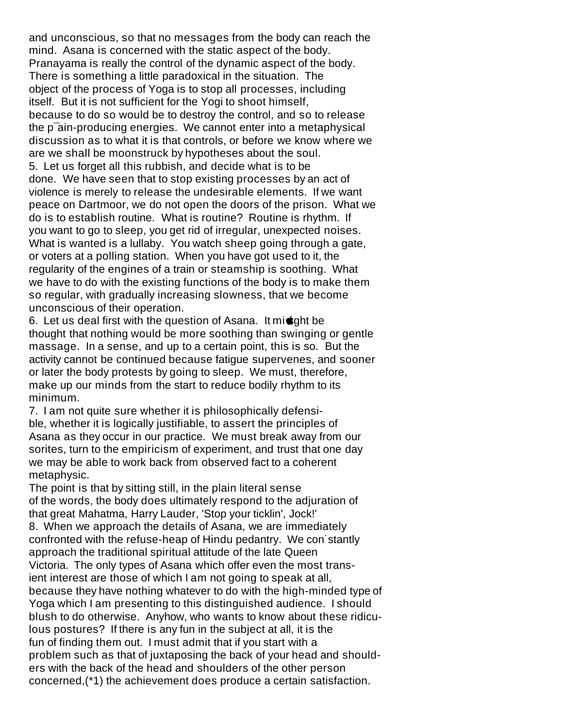and unconscious, so that no messages from the body can reach the mind. Asana is concerned with the static aspect of the body. Pranayama is really the control of the dynamic aspect of the body. There is something a little paradoxical in the situation. The object of the process of Yoga is to stop all processes, including itself. But it is not sufficient for the Yogi to shoot himself, because to do so would be to destroy the control, and so to release the p¯ain-producing energies. We cannot enter into a metaphysical discussion as to what it is that controls, or before we know where we are we shall be moonstruck by hypotheses about the soul. 5. Let us forget all this rubbish, and decide what is to be done. We have seen that to stop existing processes by an act of violence is merely to release the undesirable elements. If we want peace on Dartmoor, we do not open the doors of the prison. What we do is to establish routine. What is routine? Routine is rhythm. If you want to go to sleep, you get rid of irregular, unexpected noises. What is wanted is a lullaby. You watch sheep going through a gate, or voters at a polling station. When you have got used to it, the regularity of the engines of a train or steamship is soothing. What we have to do with the existing functions of the body is to make them so regular, with gradually increasing slowness, that we become unconscious of their operation.

6. Let us deal first with the question of Asana. It midight be thought that nothing would be more soothing than swinging or gentle massage. In a sense, and up to a certain point, this is so. But the activity cannot be continued because fatigue supervenes, and sooner or later the body protests by going to sleep. We must, therefore, make up our minds from the start to reduce bodily rhythm to its minimum.

7. I am not quite sure whether it is philosophically defensible, whether it is logically justifiable, to assert the principles of Asana as they occur in our practice. We must break away from our sorites, turn to the empiricism of experiment, and trust that one day we may be able to work back from observed fact to a coherent metaphysic.

The point is that by sitting still, in the plain literal sense of the words, the body does ultimately respond to the adjuration of that great Mahatma, Harry Lauder, 'Stop your ticklin', Jock!' 8. When we approach the details of Asana, we are immediately confronted with the refuse-heap of Hindu pedantry. We con˙stantly approach the traditional spiritual attitude of the late Queen Victoria. The only types of Asana which offer even the most transient interest are those of which I am not going to speak at all, because they have nothing whatever to do with the high-minded type of Yoga which I am presenting to this distinguished audience. I should blush to do otherwise. Anyhow, who wants to know about these ridiculous postures? If there is any fun in the subject at all, it is the fun of finding them out. I must admit that if you start with a problem such as that of juxtaposing the back of your head and shoulders with the back of the head and shoulders of the other person concerned,(\*1) the achievement does produce a certain satisfaction.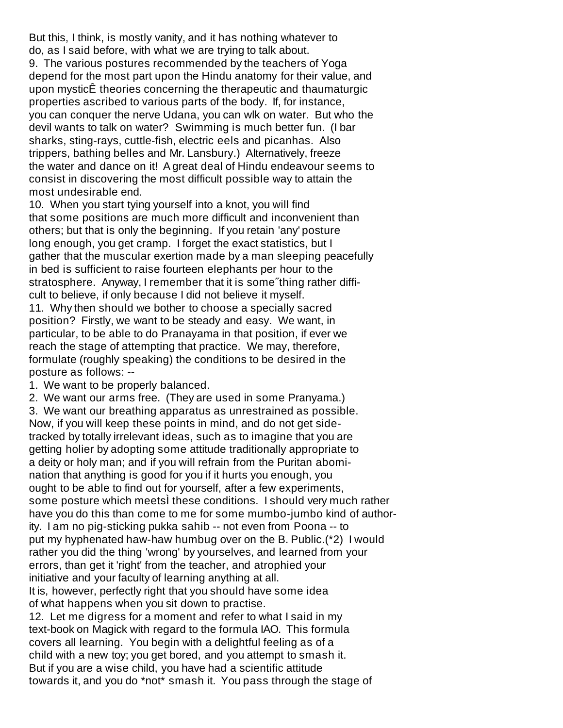But this, I think, is mostly vanity, and it has nothing whatever to do, as I said before, with what we are trying to talk about. 9. The various postures recommended by the teachers of Yoga depend for the most part upon the Hindu anatomy for their value, and upon mysticÊ theories concerning the therapeutic and thaumaturgic properties ascribed to various parts of the body. If, for instance, you can conquer the nerve Udana, you can wlk on water. But who the devil wants to talk on water? Swimming is much better fun. (I bar sharks, sting-rays, cuttle-fish, electric eels and picanhas. Also trippers, bathing belles and Mr. Lansbury.) Alternatively, freeze the water and dance on it! Agreat deal of Hindu endeavour seems to consist in discovering the most difficult possible way to attain the most undesirable end.

10. When you start tying yourself into a knot, you will find that some positions are much more difficult and inconvenient than others; but that is only the beginning. If you retain 'any' posture long enough, you get cramp. I forget the exact statistics, but I gather that the muscular exertion made by a man sleeping peacefully in bed is sufficient to raise fourteen elephants per hour to the stratosphere. Anyway, I remember that it is some˝thing rather difficult to believe, if only because I did not believe it myself.

11. Why then should we bother to choose a specially sacred position? Firstly, we want to be steady and easy. We want, in particular, to be able to do Pranayama in that position, if ever we reach the stage of attempting that practice. We may, therefore, formulate (roughly speaking) the conditions to be desired in the posture as follows: --

1. We want to be properly balanced.

2. We want our arms free. (They are used in some Pranyama.) 3. We want our breathing apparatus as unrestrained as possible. Now, if you will keep these points in mind, and do not get sidetracked by totally irrelevant ideas, such as to imagine that you are getting holier by adopting some attitude traditionally appropriate to a deity or holy man; and if you will refrain from the Puritan abomination that anything is good for you if it hurts you enough, you ought to be able to find out for yourself, after a few experiments, some posture which meetsÌ these conditions. I should very much rather have you do this than come to me for some mumbo-jumbo kind of authority. I am no pig-sticking pukka sahib -- not even from Poona -- to put my hyphenated haw-haw humbug over on the B. Public.(\*2) I would rather you did the thing 'wrong' by yourselves, and learned from your errors, than get it 'right' from the teacher, and atrophied your initiative and your faculty of learning anything at all. It is, however, perfectly right that you should have some idea of what happens when you sit down to practise. 12. Let me digress for a moment and refer to what I said in my text-book on Magick with regard to the formula IAO. This formula covers all learning. You begin with a delightful feeling as of a child with a new toy; you get bored, and you attempt to smash it.

But if you are a wise child, you have had a scientific attitude

towards it, and you do \*not\* smash it. You pass through the stage of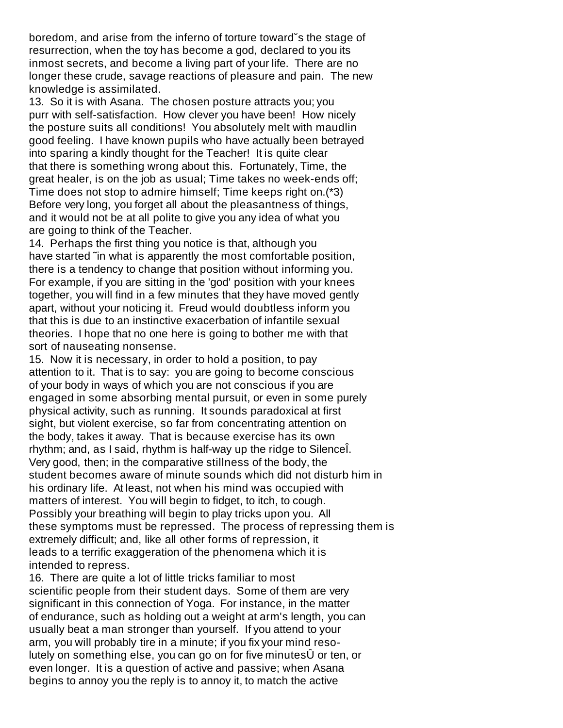boredom, and arise from the inferno of torture toward˘s the stage of resurrection, when the toy has become a god, declared to you its inmost secrets, and become a living part of your life. There are no longer these crude, savage reactions of pleasure and pain. The new knowledge is assimilated.

13. So it is with Asana. The chosen posture attracts you; you purr with self-satisfaction. How clever you have been! How nicely the posture suits all conditions! You absolutely melt with maudlin good feeling. I have known pupils who have actually been betrayed into sparing a kindly thought for the Teacher! It is quite clear that there is something wrong about this. Fortunately, Time, the great healer, is on the job as usual; Time takes no week-ends off; Time does not stop to admire himself; Time keeps right on.(\*3) Before very long, you forget all about the pleasantness of things, and it would not be at all polite to give you any idea of what you are going to think of the Teacher.

14. Perhaps the first thing you notice is that, although you have started "in what is apparently the most comfortable position, there is a tendency to change that position without informing you. For example, if you are sitting in the 'god' position with your knees together, you will find in a few minutes that they have moved gently apart, without your noticing it. Freud would doubtless inform you that this is due to an instinctive exacerbation of infantile sexual theories. I hope that no one here is going to bother me with that sort of nauseating nonsense.

15. Now it is necessary, in order to hold a position, to pay attention to it. That is to say: you are going to become conscious of your body in ways of which you are not conscious if you are engaged in some absorbing mental pursuit, or even in some purely physical activity, such as running. It sounds paradoxical at first sight, but violent exercise, so far from concentrating attention on the body, takes it away. That is because exercise has its own rhythm; and, as I said, rhythm is half-way up the ridge to SilenceÎ. Very good, then; in the comparative stillness of the body, the student becomes aware of minute sounds which did not disturb him in his ordinary life. At least, not when his mind was occupied with matters of interest. You will begin to fidget, to itch, to cough. Possibly your breathing will begin to play tricks upon you. All these symptoms must be repressed. The process of repressing them is extremely difficult; and, like all other forms of repression, it leads to a terrific exaggeration of the phenomena which it is intended to repress.

16. There are quite a lot of little tricks familiar to most scientific people from their student days. Some of them are very significant in this connection of Yoga. For instance, in the matter of endurance, such as holding out a weight at arm's length, you can usually beat a man stronger than yourself. If you attend to your arm, you will probably tire in a minute; if you fix your mind resolutely on something else, you can go on for five minutesÛ or ten, or even longer. It is a question of active and passive; when Asana begins to annoy you the reply is to annoy it, to match the active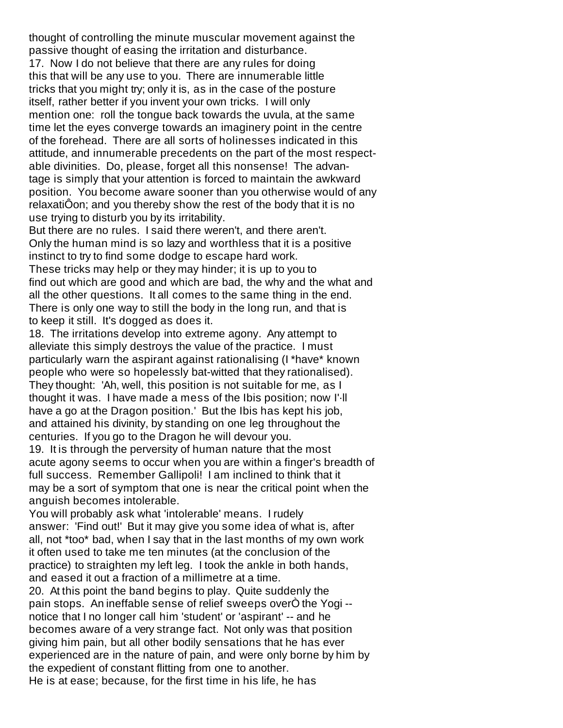thought of controlling the minute muscular movement against the passive thought of easing the irritation and disturbance. 17. Now I do not believe that there are any rules for doing this that will be any use to you. There are innumerable little tricks that you might try; only it is, as in the case of the posture itself, rather better if you invent your own tricks. I will only mention one: roll the tongue back towards the uvula, at the same time let the eyes converge towards an imaginery point in the centre of the forehead. There are all sorts of holinesses indicated in this attitude, and innumerable precedents on the part of the most respectable divinities. Do, please, forget all this nonsense! The advantage is simply that your attention is forced to maintain the awkward position. You become aware sooner than you otherwise would of any relaxatiÔon; and you thereby show the rest of the body that it is no use trying to disturb you by its irritability.

But there are no rules. I said there weren't, and there aren't. Only the human mind is so lazy and worthless that it is a positive instinct to try to find some dodge to escape hard work. These tricks may help or they may hinder; it is up to you to find out which are good and which are bad, the why and the what and all the other questions. It all comes to the same thing in the end. There is only one way to still the body in the long run, and that is to keep it still. It's dogged as does it.

18. The irritations develop into extreme agony. Any attempt to alleviate this simply destroys the value of the practice. I must particularly warn the aspirant against rationalising (I \*have\* known people who were so hopelessly bat-witted that they rationalised). They thought: 'Ah, well, this position is not suitable for me, as I thought it was. I have made a mess of the Ibis position; now I'·ll have a go at the Dragon position.' But the Ibis has kept his job, and attained his divinity, by standing on one leg throughout the centuries. If you go to the Dragon he will devour you.

19. It is through the perversity of human nature that the most acute agony seems to occur when you are within a finger's breadth of full success. Remember Gallipoli! I am inclined to think that it may be a sort of symptom that one is near the critical point when the anguish becomes intolerable.

You will probably ask what 'intolerable' means. I rudely answer: 'Find out!' But it may give you some idea of what is, after all, not \*too\* bad, when I say that in the last months of my own work it often used to take me ten minutes (at the conclusion of the practice) to straighten my left leg. I took the ankle in both hands, and eased it out a fraction of a millimetre at a time.

20. At this point the band begins to play. Quite suddenly the pain stops. An ineffable sense of relief sweeps overÒ the Yogi - notice that I no longer call him 'student' or 'aspirant' -- and he becomes aware of a very strange fact. Not only was that position giving him pain, but all other bodily sensations that he has ever experienced are in the nature of pain, and were only borne by him by the expedient of constant flitting from one to another. He is at ease; because, for the first time in his life, he has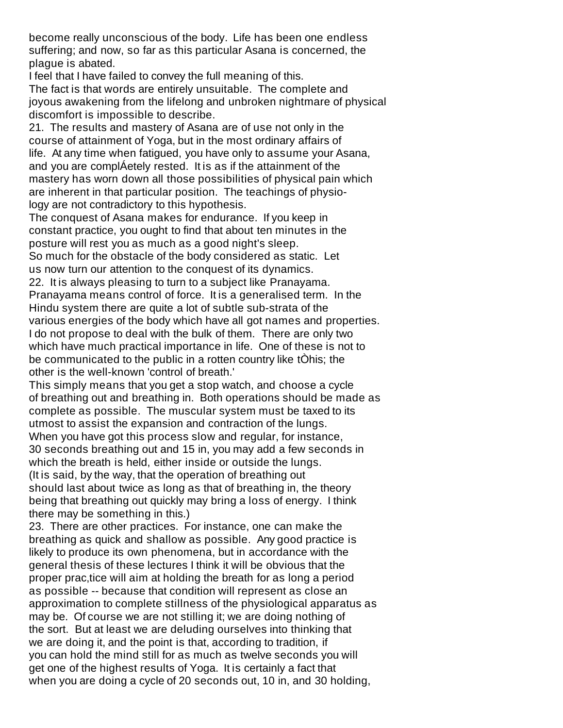become really unconscious of the body. Life has been one endless suffering; and now, so far as this particular Asana is concerned, the plague is abated.

I feel that I have failed to convey the full meaning of this.

The fact is that words are entirely unsuitable. The complete and joyous awakening from the lifelong and unbroken nightmare of physical discomfort is impossible to describe.

21. The results and mastery of Asana are of use not only in the course of attainment of Yoga, but in the most ordinary affairs of life. At any time when fatigued, you have only to assume your Asana, and you are complÁetely rested. It is as if the attainment of the mastery has worn down all those possibilities of physical pain which are inherent in that particular position. The teachings of physiology are not contradictory to this hypothesis.

The conquest of Asana makes for endurance. If you keep in constant practice, you ought to find that about ten minutes in the posture will rest you as much as a good night's sleep.

So much for the obstacle of the body considered as static. Let us now turn our attention to the conquest of its dynamics.

22. It is always pleasing to turn to a subject like Pranayama. Pranayama means control of force. It is a generalised term. In the Hindu system there are quite a lot of subtle sub-strata of the various energies of the body which have all got names and properties. I do not propose to deal with the bulk of them. There are only two which have much practical importance in life. One of these is not to be communicated to the public in a rotten country like tÒhis; the other is the well-known 'control of breath.'

This simply means that you get a stop watch, and choose a cycle of breathing out and breathing in. Both operations should be made as complete as possible. The muscular system must be taxed to its utmost to assist the expansion and contraction of the lungs. When you have got this process slow and regular, for instance, 30 seconds breathing out and 15 in, you may add a few seconds in which the breath is held, either inside or outside the lungs. (It is said, by the way, that the operation of breathing out should last about twice as long as that of breathing in, the theory being that breathing out quickly may bring a loss of energy. I think there may be something in this.)

23. There are other practices. For instance, one can make the breathing as quick and shallow as possible. Any good practice is likely to produce its own phenomena, but in accordance with the general thesis of these lectures I think it will be obvious that the proper practice will aim at holding the breath for as long a period as possible -- because that condition will represent as close an approximation to complete stillness of the physiological apparatus as may be. Of course we are not stilling it; we are doing nothing of the sort. But at least we are deluding ourselves into thinking that we are doing it, and the point is that, according to tradition, if you can hold the mind still for as much as twelve seconds you will get one of the highest results of Yoga. It is certainly a fact that when you are doing a cycle of 20 seconds out, 10 in, and 30 holding,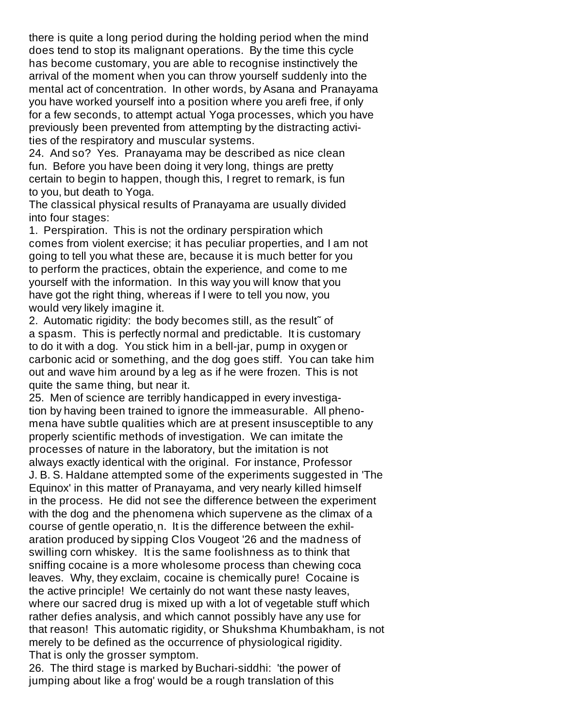there is quite a long period during the holding period when the mind does tend to stop its malignant operations. By the time this cycle has become customary, you are able to recognise instinctively the arrival of the moment when you can throw yourself suddenly into the mental act of concentration. In other words, by Asana and Pranayama you have worked yourself into a position where you arefi free, if only for a few seconds, to attempt actual Yoga processes, which you have previously been prevented from attempting by the distracting activities of the respiratory and muscular systems.

24. And so? Yes. Pranayama may be described as nice clean fun. Before you have been doing it very long, things are pretty certain to begin to happen, though this, I regret to remark, is fun to you, but death to Yoga.

The classical physical results of Pranayama are usually divided into four stages:

1. Perspiration. This is not the ordinary perspiration which comes from violent exercise; it has peculiar properties, and I am not going to tell you what these are, because it is much better for you to perform the practices, obtain the experience, and come to me yourself with the information. In this way you will know that you have got the right thing, whereas if I were to tell you now, you would very likely imagine it.

2. Automatic rigidity: the body becomes still, as the result<sup>or</sup> of a spasm. This is perfectly normal and predictable. It is customary to do it with a dog. You stick him in a bell-jar, pump in oxygen or carbonic acid or something, and the dog goes stiff. You can take him out and wave him around by a leg as if he were frozen. This is not quite the same thing, but near it.

25. Men of science are terribly handicapped in every investigation by having been trained to ignore the immeasurable. All phenomena have subtle qualities which are at present insusceptible to any properly scientific methods of investigation. We can imitate the processes of nature in the laboratory, but the imitation is not always exactly identical with the original. For instance, Professor J. B. S. Haldane attempted some of the experiments suggested in 'The Equinox' in this matter of Pranayama, and very nearly killed himself in the process. He did not see the difference between the experiment with the dog and the phenomena which supervene as the climax of a course of gentle operation. It is the difference between the exhilaration produced by sipping Clos Vougeot '26 and the madness of swilling corn whiskey. It is the same foolishness as to think that sniffing cocaine is a more wholesome process than chewing coca leaves. Why, they exclaim, cocaine is chemically pure! Cocaine is the active principle! We certainly do not want these nasty leaves, where our sacred drug is mixed up with a lot of vegetable stuff which rather defies analysis, and which cannot possibly have any use for that reason! This automatic rigidity, or Shukshma Khumbakham, is not merely to be defined as the occurrence of physiological rigidity. That is only the grosser symptom.

26. The third stage is marked by Buchari-siddhi: 'the power of jumping about like a frog' would be a rough translation of this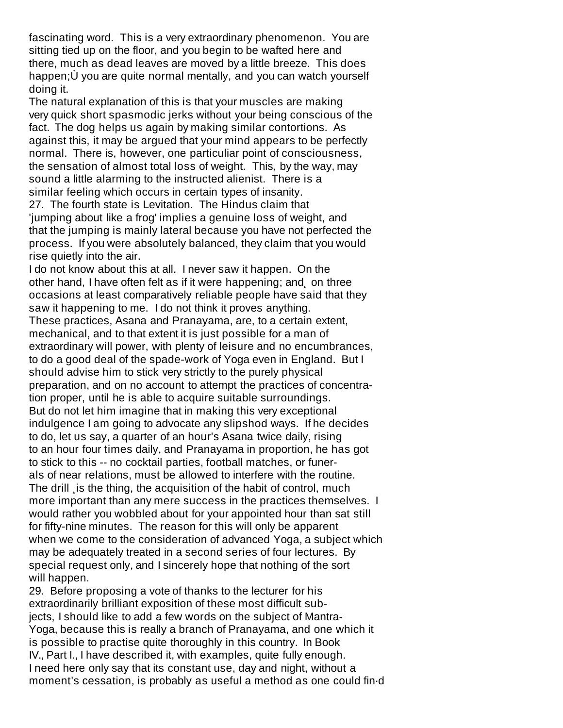fascinating word. This is a very extraordinary phenomenon. You are sitting tied up on the floor, and you begin to be wafted here and there, much as dead leaves are moved by a little breeze. This does happen;Ù you are quite normal mentally, and you can watch yourself doing it.

The natural explanation of this is that your muscles are making very quick short spasmodic jerks without your being conscious of the fact. The dog helps us again by making similar contortions. As against this, it may be argued that your mind appears to be perfectly normal. There is, however, one particuliar point of consciousness, the sensation of almost total loss of weight. This, by the way, may sound a little alarming to the instructed alienist. There is a similar feeling which occurs in certain types of insanity.

27. The fourth state is Levitation. The Hindus claim that 'jumping about like a frog' implies a genuine loss of weight, and that the jumping is mainly lateral because you have not perfected the process. If you were absolutely balanced, they claim that you would rise quietly into the air.

I do not know about this at all. I never saw it happen. On the other hand, I have often felt as if it were happening; and on three occasions at least comparatively reliable people have said that they saw it happening to me. I do not think it proves anything. These practices, Asana and Pranayama, are, to a certain extent, mechanical, and to that extent it is just possible for a man of extraordinary will power, with plenty of leisure and no encumbrances, to do a good deal of the spade-work of Yoga even in England. But I should advise him to stick very strictly to the purely physical preparation, and on no account to attempt the practices of concentration proper, until he is able to acquire suitable surroundings. But do not let him imagine that in making this very exceptional indulgence I am going to advocate any slipshod ways. If he decides to do, let us say, a quarter of an hour's Asana twice daily, rising to an hour four times daily, and Pranayama in proportion, he has got to stick to this -- no cocktail parties, football matches, or funerals of near relations, must be allowed to interfere with the routine. The drill is the thing, the acquisition of the habit of control, much more important than any mere success in the practices themselves. I would rather you wobbled about for your appointed hour than sat still for fifty-nine minutes. The reason for this will only be apparent when we come to the consideration of advanced Yoga, a subject which may be adequately treated in a second series of four lectures. By special request only, and I sincerely hope that nothing of the sort will happen.

29. Before proposing a vote of thanks to the lecturer for his extraordinarily brilliant exposition of these most difficult subjects, I should like to add a few words on the subject of Mantra-Yoga, because this is really a branch of Pranayama, and one which it is possible to practise quite thoroughly in this country. In Book IV., Part I., I have described it, with examples, quite fully enough. I need here only say that its constant use, day and night, without a moment's cessation, is probably as useful a method as one could fin·d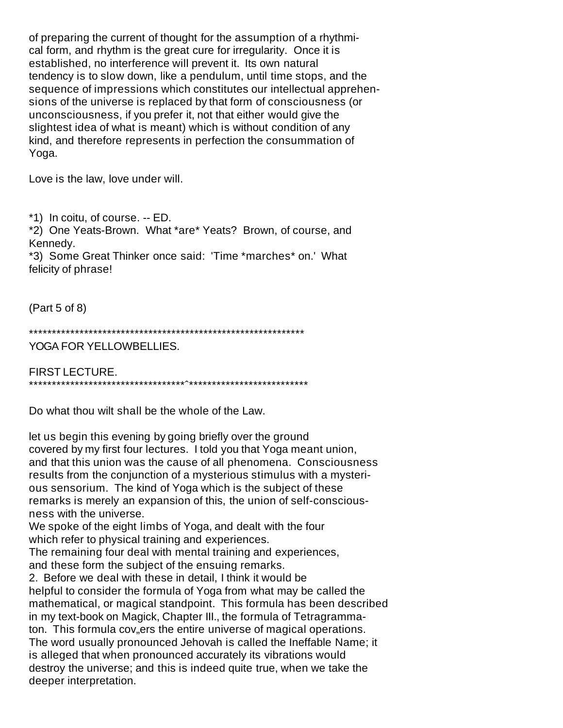of preparing the current of thought for the assumption of a rhythmical form, and rhythm is the great cure for irregularity. Once it is established, no interference will prevent it. Its own natural tendency is to slow down, like a pendulum, until time stops, and the sequence of impressions which constitutes our intellectual apprehensions of the universe is replaced by that form of consciousness (or unconsciousness, if you prefer it, not that either would give the slightest idea of what is meant) which is without condition of any kind, and therefore represents in perfection the consummation of Yoga.

Love is the law, love under will.

\*1) In coitu, of course. -- ED.

\*2) One Yeats-Brown. What \*are\* Yeats? Brown, of course, and Kennedy.

\*3) Some Great Thinker once said: 'Time \*marches\* on.' What felicity of phrase!

(Part 5 of 8)

\*\*\*\*\*\*\*\*\*\*\*\*\*\*\*\*\*\*\*\*\*\*\*\*\*\*\*\*\*\*\*\*\*\*\*\*\*\*\*\*\*\*\*\*\*\*\*\*\*\*\*\*\*\*\*\*\*\*\*\*

YOGA FOR YELLOWBELLIES.

FIRST LECTURE. \*\*\*\*\*\*\*\*\*\*\*\*\*\*\*\*\*\*\*\*\*\*\*\*\*\*\*\*\*\*\*\*\*\*ˆ\*\*\*\*\*\*\*\*\*\*\*\*\*\*\*\*\*\*\*\*\*\*\*\*\*\*

Do what thou wilt shall be the whole of the Law.

let us begin this evening by going briefly over the ground covered by my first four lectures. I told you that Yoga meant union, and that this union was the cause of all phenomena. Consciousness results from the conjunction of a mysterious stimulus with a mysterious sensorium. The kind of Yoga which is the subject of these remarks is merely an expansion of this, the union of self-consciousness with the universe.

We spoke of the eight limbs of Yoga, and dealt with the four which refer to physical training and experiences.

The remaining four deal with mental training and experiences, and these form the subject of the ensuing remarks.

2. Before we deal with these in detail, I think it would be helpful to consider the formula of Yoga from what may be called the mathematical, or magical standpoint. This formula has been described

in my text-book on Magick, Chapter III., the formula of Tetragrammaton. This formula cov, ers the entire universe of magical operations. The word usually pronounced Jehovah is called the Ineffable Name; it is alleged that when pronounced accurately its vibrations would destroy the universe; and this is indeed quite true, when we take the deeper interpretation.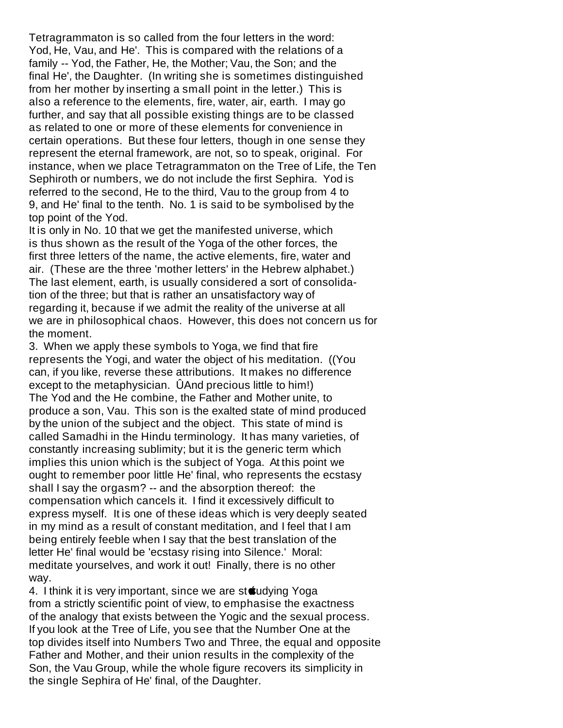Tetragrammaton is so called from the four letters in the word: Yod, He, Vau, and He'. This is compared with the relations of a family -- Yod, the Father, He, the Mother; Vau, the Son; and the final He', the Daughter. (In writing she is sometimes distinguished from her mother by inserting a small point in the letter.) This is also a reference to the elements, fire, water, air, earth. I may go further, and say that all possible existing things are to be classed as related to one or more of these elements for convenience in certain operations. But these four letters, though in one sense they represent the eternal framework, are not, so to speak, original. For instance, when we place Tetragrammaton on the Tree of Life, the Ten Sephiroth or numbers, we do not include the first Sephira. Yod is referred to the second, He to the third, Vau to the group from 4 to 9, and He' final to the tenth. No. 1 is said to be symbolised by the top point of the Yod.

It is only in No. 10 that we get the manifested universe, which is thus shown as the result of the Yoga of the other forces, the first three letters of the name, the active elements, fire, water and air. (These are the three 'mother letters' in the Hebrew alphabet.) The last element, earth, is usually considered a sort of consolidation of the three; but that is rather an unsatisfactory way of regarding it, because if we admit the reality of the universe at all we are in philosophical chaos. However, this does not concern us for the moment.

3. When we apply these symbols to Yoga, we find that fire represents the Yogi, and water the object of his meditation. ((You can, if you like, reverse these attributions. It makes no difference except to the metaphysician. ÛAnd precious little to him!) The Yod and the He combine, the Father and Mother unite, to produce a son, Vau. This son is the exalted state of mind produced by the union of the subject and the object. This state of mind is called Samadhi in the Hindu terminology. It has many varieties, of constantly increasing sublimity; but it is the generic term which implies this union which is the subject of Yoga. At this point we ought to remember poor little He' final, who represents the ecstasy shall I say the orgasm? -- and the absorption thereof: the compensation which cancels it. I find it excessively difficult to express myself. It is one of these ideas which is very deeply seated in my mind as a result of constant meditation, and I feel that I am being entirely feeble when I say that the best translation of the letter He' final would be 'ecstasy rising into Silence.' Moral: meditate yourselves, and work it out! Finally, there is no other way.

4. I think it is very important, since we are staudying Yoga from a strictly scientific point of view, to emphasise the exactness of the analogy that exists between the Yogic and the sexual process. If you look at the Tree of Life, you see that the Number One at the top divides itself into Numbers Two and Three, the equal and opposite Father and Mother, and their union results in the complexity of the Son, the Vau Group, while the whole figure recovers its simplicity in the single Sephira of He' final, of the Daughter.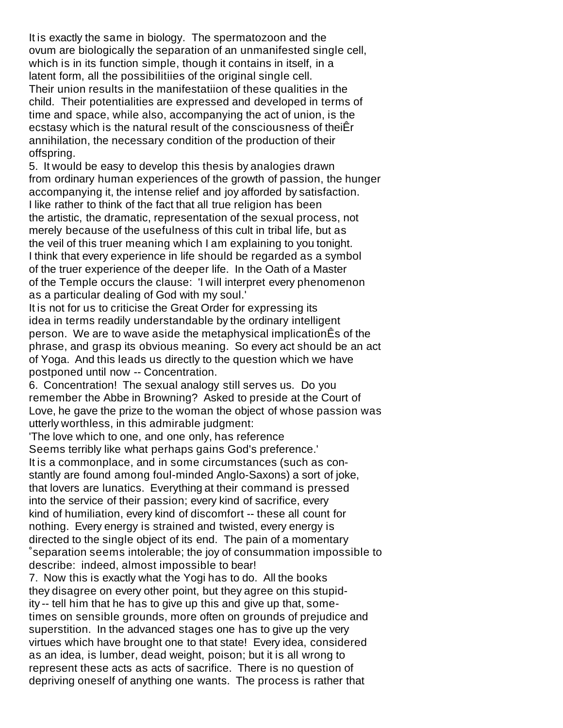It is exactly the same in biology. The spermatozoon and the ovum are biologically the separation of an unmanifested single cell, which is in its function simple, though it contains in itself, in a latent form, all the possibilitiies of the original single cell.

Their union results in the manifestatiion of these qualities in the child. Their potentialities are expressed and developed in terms of time and space, while also, accompanying the act of union, is the ecstasy which is the natural result of the consciousness of theiÊr annihilation, the necessary condition of the production of their offspring.

5. It would be easy to develop this thesis by analogies drawn from ordinary human experiences of the growth of passion, the hunger accompanying it, the intense relief and joy afforded by satisfaction. I like rather to think of the fact that all true religion has been the artistic, the dramatic, representation of the sexual process, not merely because of the usefulness of this cult in tribal life, but as the veil of this truer meaning which I am explaining to you tonight. I think that every experience in life should be regarded as a symbol of the truer experience of the deeper life. In the Oath of a Master of the Temple occurs the clause: 'I will interpret every phenomenon as a particular dealing of God with my soul.'

It is not for us to criticise the Great Order for expressing its idea in terms readily understandable by the ordinary intelligent person. We are to wave aside the metaphysical implicationÊs of the phrase, and grasp its obvious meaning. So every act should be an act of Yoga. And this leads us directly to the question which we have postponed until now -- Concentration.

6. Concentration! The sexual analogy still serves us. Do you remember the Abbe in Browning? Asked to preside at the Court of Love, he gave the prize to the woman the object of whose passion was utterly worthless, in this admirable judgment:

'The love which to one, and one only, has reference Seems terribly like what perhaps gains God's preference.' It is a commonplace, and in some circumstances (such as constantly are found among foul-minded Anglo-Saxons) a sort of joke, that lovers are lunatics. Everything at their command is pressed into the service of their passion; every kind of sacrifice, every kind of humiliation, every kind of discomfort -- these all count for nothing. Every energy is strained and twisted, every energy is directed to the single object of its end. The pain of a momentary ˚separation seems intolerable; the joy of consummation impossible to describe: indeed, almost impossible to bear!

7. Now this is exactly what the Yogi has to do. All the books they disagree on every other point, but they agree on this stupidity -- tell him that he has to give up this and give up that, sometimes on sensible grounds, more often on grounds of prejudice and superstition. In the advanced stages one has to give up the very virtues which have brought one to that state! Every idea, considered as an idea, is lumber, dead weight, poison; but it is all wrong to represent these acts as acts of sacrifice. There is no question of depriving oneself of anything one wants. The process is rather that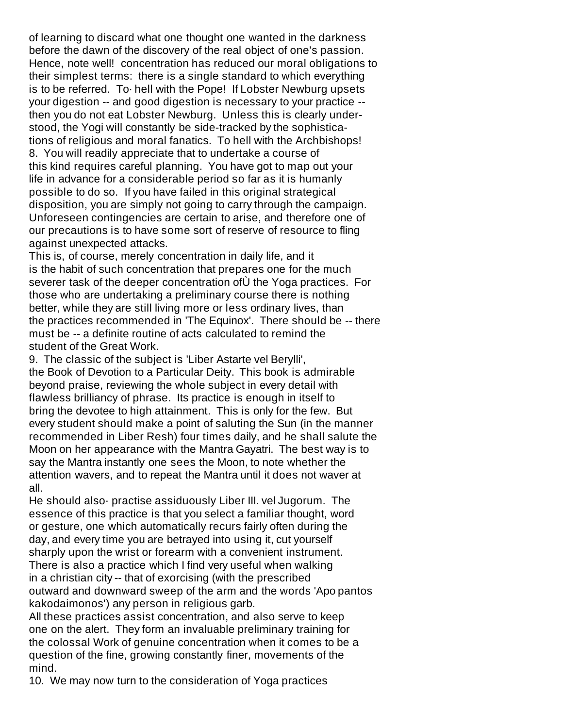of learning to discard what one thought one wanted in the darkness before the dawn of the discovery of the real object of one's passion. Hence, note well! concentration has reduced our moral obligations to their simplest terms: there is a single standard to which everything is to be referred. To· hell with the Pope! If Lobster Newburg upsets your digestion -- and good digestion is necessary to your practice - then you do not eat Lobster Newburg. Unless this is clearly understood, the Yogi will constantly be side-tracked by the sophistications of religious and moral fanatics. To hell with the Archbishops! 8. You will readily appreciate that to undertake a course of this kind requires careful planning. You have got to map out your life in advance for a considerable period so far as it is humanly possible to do so. If you have failed in this original strategical disposition, you are simply not going to carry through the campaign. Unforeseen contingencies are certain to arise, and therefore one of our precautions is to have some sort of reserve of resource to fling against unexpected attacks.

This is, of course, merely concentration in daily life, and it is the habit of such concentration that prepares one for the much severer task of the deeper concentration ofÙ the Yoga practices. For those who are undertaking a preliminary course there is nothing better, while they are still living more or less ordinary lives, than the practices recommended in 'The Equinox'. There should be -- there must be -- a definite routine of acts calculated to remind the student of the Great Work.

9. The classic of the subject is 'Liber Astarte vel Berylli', the Book of Devotion to a Particular Deity. This book is admirable beyond praise, reviewing the whole subject in every detail with flawless brilliancy of phrase. Its practice is enough in itself to bring the devotee to high attainment. This is only for the few. But every student should make a point of saluting the Sun (in the manner recommended in Liber Resh) four times daily, and he shall salute the Moon on her appearance with the Mantra Gayatri. The best way is to say the Mantra instantly one sees the Moon, to note whether the attention wavers, and to repeat the Mantra until it does not waver at all.

He should also· practise assiduously Liber III. vel Jugorum. The essence of this practice is that you select a familiar thought, word or gesture, one which automatically recurs fairly often during the day, and every time you are betrayed into using it, cut yourself sharply upon the wrist or forearm with a convenient instrument. There is also a practice which I find very useful when walking in a christian city -- that of exorcising (with the prescribed outward and downward sweep of the arm and the words 'Apo pantos kakodaimonos') any person in religious garb.

All these practices assist concentration, and also serve to keep one on the alert. They form an invaluable preliminary training for the colossal Work of genuine concentration when it comes to be a question of the fine, growing constantly finer, movements of the mind.

10. We may now turn to the consideration of Yoga practices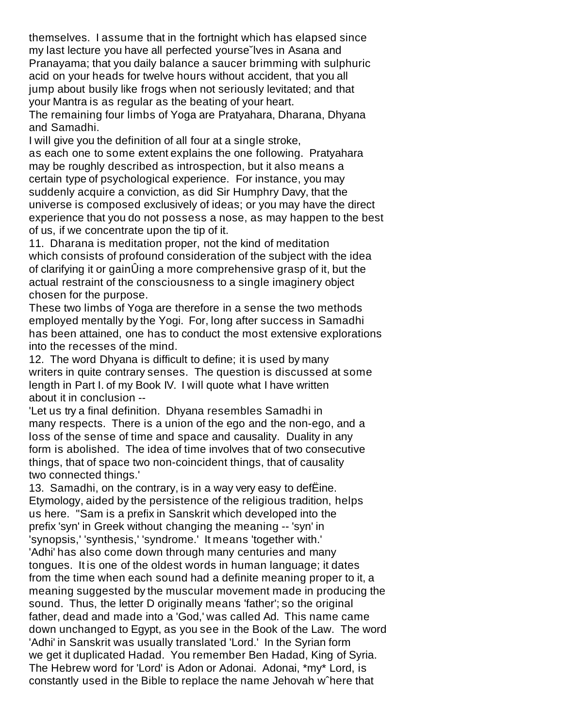themselves. I assume that in the fortnight which has elapsed since my last lecture you have all perfected yourse˘lves in Asana and Pranayama; that you daily balance a saucer brimming with sulphuric acid on your heads for twelve hours without accident, that you all jump about busily like frogs when not seriously levitated; and that your Mantra is as regular as the beating of your heart.

The remaining four limbs of Yoga are Pratyahara, Dharana, Dhyana and Samadhi.

I will give you the definition of all four at a single stroke, as each one to some extent explains the one following. Pratyahara may be roughly described as introspection, but it also means a certain type of psychological experience. For instance, you may suddenly acquire a conviction, as did Sir Humphry Davy, that the universe is composed exclusively of ideas; or you may have the direct experience that you do not possess a nose, as may happen to the best of us, if we concentrate upon the tip of it.

11. Dharana is meditation proper, not the kind of meditation which consists of profound consideration of the subject with the idea of clarifying it or gainÛing a more comprehensive grasp of it, but the actual restraint of the consciousness to a single imaginery object chosen for the purpose.

These two limbs of Yoga are therefore in a sense the two methods employed mentally by the Yogi. For, long after success in Samadhi has been attained, one has to conduct the most extensive explorations into the recesses of the mind.

12. The word Dhyana is difficult to define; it is used by many writers in quite contrary senses. The question is discussed at some length in Part I. of my Book IV. I will quote what I have written about it in conclusion --

'Let us try a final definition. Dhyana resembles Samadhi in many respects. There is a union of the ego and the non-ego, and a loss of the sense of time and space and causality. Duality in any form is abolished. The idea of time involves that of two consecutive things, that of space two non-coincident things, that of causality two connected things.'

13. Samadhi, on the contrary, is in a way very easy to defËine. Etymology, aided by the persistence of the religious tradition, helps us here. "Sam is a prefix in Sanskrit which developed into the prefix 'syn' in Greek without changing the meaning -- 'syn' in 'synopsis,' 'synthesis,' 'syndrome.' It means 'together with.' 'Adhi' has also come down through many centuries and many tongues. It is one of the oldest words in human language; it dates from the time when each sound had a definite meaning proper to it, a meaning suggested by the muscular movement made in producing the sound. Thus, the letter D originally means 'father'; so the original father, dead and made into a 'God,' was called Ad. This name came down unchanged to Egypt, as you see in the Book of the Law. The word 'Adhi' in Sanskrit was usually translated 'Lord.' In the Syrian form we get it duplicated Hadad. You remember Ben Hadad, King of Syria. The Hebrew word for 'Lord' is Adon or Adonai. Adonai, \*my\* Lord, is constantly used in the Bible to replace the name Jehovah wˆhere that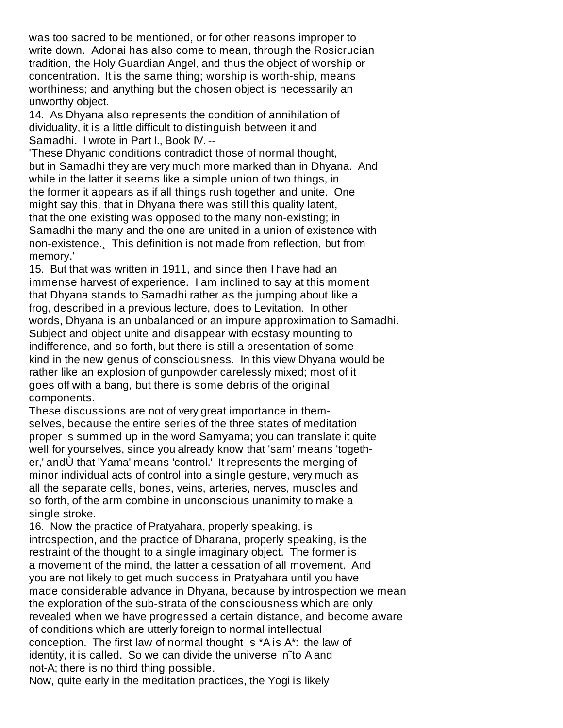was too sacred to be mentioned, or for other reasons improper to write down. Adonai has also come to mean, through the Rosicrucian tradition, the Holy Guardian Angel, and thus the object of worship or concentration. It is the same thing; worship is worth-ship, means worthiness; and anything but the chosen object is necessarily an unworthy object.

14. As Dhyana also represents the condition of annihilation of dividuality, it is a little difficult to distinguish between it and Samadhi. I wrote in Part I., Book IV. --

'These Dhyanic conditions contradict those of normal thought, but in Samadhi they are very much more marked than in Dhyana. And while in the latter it seems like a simple union of two things, in the former it appears as if all things rush together and unite. One might say this, that in Dhyana there was still this quality latent, that the one existing was opposed to the many non-existing; in Samadhi the many and the one are united in a union of existence with non-existence.˛ This definition is not made from reflection, but from memory.'

15. But that was written in 1911, and since then I have had an immense harvest of experience. I am inclined to say at this moment that Dhyana stands to Samadhi rather as the jumping about like a frog, described in a previous lecture, does to Levitation. In other words, Dhyana is an unbalanced or an impure approximation to Samadhi. Subject and object unite and disappear with ecstasy mounting to indifference, and so forth, but there is still a presentation of some kind in the new genus of consciousness. In this view Dhyana would be rather like an explosion of gunpowder carelessly mixed; most of it goes off with a bang, but there is some debris of the original components.

These discussions are not of very great importance in themselves, because the entire series of the three states of meditation proper is summed up in the word Samyama; you can translate it quite well for yourselves, since you already know that 'sam' means 'together,' andÙ that 'Yama' means 'control.' It represents the merging of minor individual acts of control into a single gesture, very much as all the separate cells, bones, veins, arteries, nerves, muscles and so forth, of the arm combine in unconscious unanimity to make a single stroke.

16. Now the practice of Pratyahara, properly speaking, is introspection, and the practice of Dharana, properly speaking, is the restraint of the thought to a single imaginary object. The former is a movement of the mind, the latter a cessation of all movement. And you are not likely to get much success in Pratyahara until you have made considerable advance in Dhyana, because by introspection we mean the exploration of the sub-strata of the consciousness which are only revealed when we have progressed a certain distance, and become aware of conditions which are utterly foreign to normal intellectual conception. The first law of normal thought is \*A is A\*: the law of identity, it is called. So we can divide the universe in˜to Aand not-A; there is no third thing possible.

Now, quite early in the meditation practices, the Yogi is likely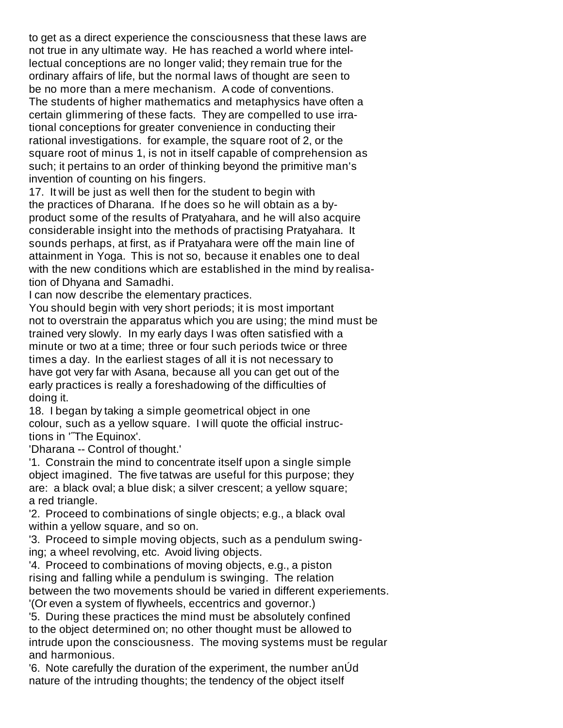to get as a direct experience the consciousness that these laws are not true in any ultimate way. He has reached a world where intellectual conceptions are no longer valid; they remain true for the ordinary affairs of life, but the normal laws of thought are seen to be no more than a mere mechanism. Acode of conventions. The students of higher mathematics and metaphysics have often a certain glimmering of these facts. They are compelled to use irrational conceptions for greater convenience in conducting their rational investigations. for example, the square root of 2, or the square root of minus 1, is not in itself capable of comprehension as such; it pertains to an order of thinking beyond the primitive man's invention of counting on his fingers.

17. It will be just as well then for the student to begin with the practices of Dharana. If he does so he will obtain as a byproduct some of the results of Pratyahara, and he will also acquire considerable insight into the methods of practising Pratyahara. It sounds perhaps, at first, as if Pratyahara were off the main line of attainment in Yoga. This is not so, because it enables one to deal with the new conditions which are established in the mind by realisation of Dhyana and Samadhi.

I can now describe the elementary practices.

You should begin with very short periods; it is most important not to overstrain the apparatus which you are using; the mind must be trained very slowly. In my early days I was often satisfied with a minute or two at a time; three or four such periods twice or three times a day. In the earliest stages of all it is not necessary to have got very far with Asana, because all you can get out of the early practices is really a foreshadowing of the difficulties of doing it.

18. I began by taking a simple geometrical object in one colour, such as a yellow square. I will quote the official instructions in '˝The Equinox'.

'Dharana -- Control of thought.'

'1. Constrain the mind to concentrate itself upon a single simple object imagined. The five tatwas are useful for this purpose; they are: a black oval; a blue disk; a silver crescent; a yellow square; a red triangle.

'2. Proceed to combinations of single objects; e.g., a black oval within a yellow square, and so on.

'3. Proceed to simple moving objects, such as a pendulum swinging; a wheel revolving, etc. Avoid living objects.

'4. Proceed to combinations of moving objects, e.g., a piston rising and falling while a pendulum is swinging. The relation between the two movements should be varied in different experiements. '(Or even a system of flywheels, eccentrics and governor.)

'5. During these practices the mind must be absolutely confined to the object determined on; no other thought must be allowed to intrude upon the consciousness. The moving systems must be regular and harmonious.

'6. Note carefully the duration of the experiment, the number anÚd nature of the intruding thoughts; the tendency of the object itself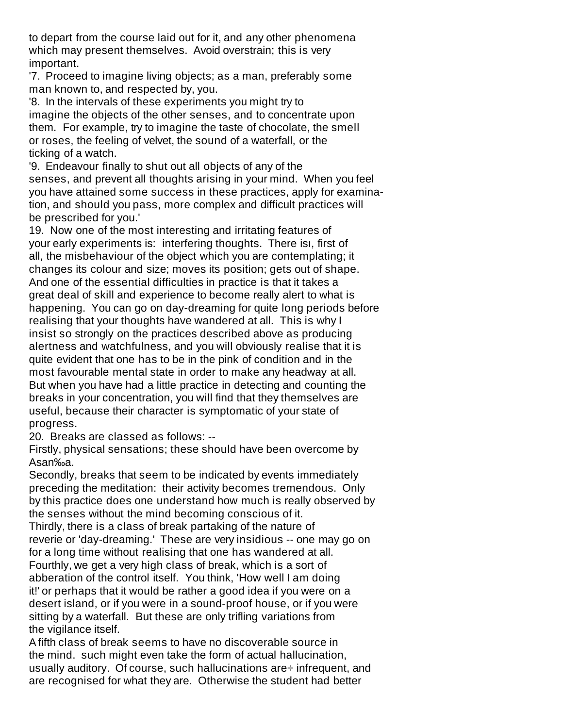to depart from the course laid out for it, and any other phenomena which may present themselves. Avoid overstrain; this is very important.

'7. Proceed to imagine living objects; as a man, preferably some man known to, and respected by, you.

'8. In the intervals of these experiments you might try to imagine the objects of the other senses, and to concentrate upon them. For example, try to imagine the taste of chocolate, the smell or roses, the feeling of velvet, the sound of a waterfall, or the ticking of a watch.

'9. Endeavour finally to shut out all objects of any of the senses, and prevent all thoughts arising in your mind. When you feel you have attained some success in these practices, apply for examination, and should you pass, more complex and difficult practices will be prescribed for you.'

19. Now one of the most interesting and irritating features of your early experiments is: interfering thoughts. There isı, first of all, the misbehaviour of the object which you are contemplating; it changes its colour and size; moves its position; gets out of shape. And one of the essential difficulties in practice is that it takes a great deal of skill and experience to become really alert to what is happening. You can go on day-dreaming for quite long periods before realising that your thoughts have wandered at all. This is why I insist so strongly on the practices described above as producing alertness and watchfulness, and you will obviously realise that it is quite evident that one has to be in the pink of condition and in the most favourable mental state in order to make any headway at all. But when you have had a little practice in detecting and counting the breaks in your concentration, you will find that they themselves are useful, because their character is symptomatic of your state of progress.

20. Breaks are classed as follows: --

Firstly, physical sensations; these should have been overcome by Asan‰a.

Secondly, breaks that seem to be indicated by events immediately preceding the meditation: their activity becomes tremendous. Only by this practice does one understand how much is really observed by the senses without the mind becoming conscious of it. Thirdly, there is a class of break partaking of the nature of reverie or 'day-dreaming.' These are very insidious -- one may go on for a long time without realising that one has wandered at all. Fourthly, we get a very high class of break, which is a sort of abberation of the control itself. You think, 'How well I am doing it!' or perhaps that it would be rather a good idea if you were on a desert island, or if you were in a sound-proof house, or if you were sitting by a waterfall. But these are only trifling variations from the vigilance itself.

Afifth class of break seems to have no discoverable source in the mind. such might even take the form of actual hallucination, usually auditory. Of course, such hallucinations are÷ infrequent, and are recognised for what they are. Otherwise the student had better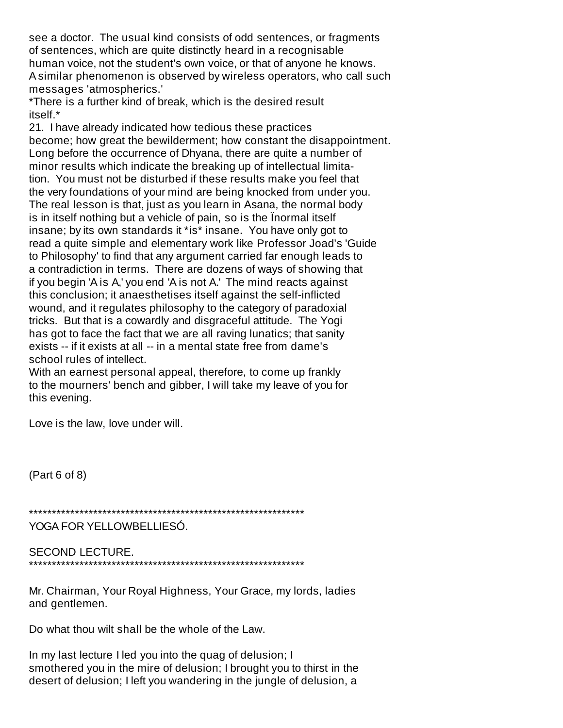see a doctor. The usual kind consists of odd sentences, or fragments of sentences, which are quite distinctly heard in a recognisable human voice, not the student's own voice, or that of anyone he knows. Asimilar phenomenon is observed by wireless operators, who call such messages 'atmospherics.'

\*There is a further kind of break, which is the desired result itself.\*

21. I have already indicated how tedious these practices become; how great the bewilderment; how constant the disappointment. Long before the occurrence of Dhyana, there are quite a number of minor results which indicate the breaking up of intellectual limitation. You must not be disturbed if these results make you feel that the very foundations of your mind are being knocked from under you. The real lesson is that, just as you learn in Asana, the normal body is in itself nothing but a vehicle of pain, so is the Ïnormal itself insane; by its own standards it \*is\* insane. You have only got to read a quite simple and elementary work like Professor Joad's 'Guide to Philosophy' to find that any argument carried far enough leads to a contradiction in terms. There are dozens of ways of showing that if you begin 'A is A,' you end 'A is not A.' The mind reacts against this conclusion; it anaesthetises itself against the self-inflicted wound, and it regulates philosophy to the category of paradoxial tricks. But that is a cowardly and disgraceful attitude. The Yogi has got to face the fact that we are all raving lunatics; that sanity exists -- if it exists at all -- in a mental state free from dame's school rules of intellect.

With an earnest personal appeal, therefore, to come up frankly to the mourners' bench and gibber, I will take my leave of you for this evening.

Love is the law, love under will.

(Part 6 of 8)

\*\*\*\*\*\*\*\*\*\*\*\*\*\*\*\*\*\*\*\*\*\*\*\*\*\*\*\*\*\*\*\*\*\*\*\*\*\*\*\*\*\*\*\*\*\*\*\*\*\*\*\*\*\*\*\*\*\*\*\*

YOGA FOR YELLOWBELLIESÓ.

SECOND LECTURE. \*\*\*\*\*\*\*\*\*\*\*\*\*\*\*\*\*\*\*\*\*\*\*\*\*\*\*\*\*\*\*\*\*\*\*\*\*\*\*\*\*\*\*\*\*\*\*\*\*\*\*\*\*\*\*\*\*\*\*\*

Mr. Chairman, Your Royal Highness, Your Grace, my lords, ladies and gentlemen.

Do what thou wilt shall be the whole of the Law.

In my last lecture I led you into the quag of delusion; I smothered you in the mire of delusion; I brought you to thirst in the desert of delusion; I left you wandering in the jungle of delusion, a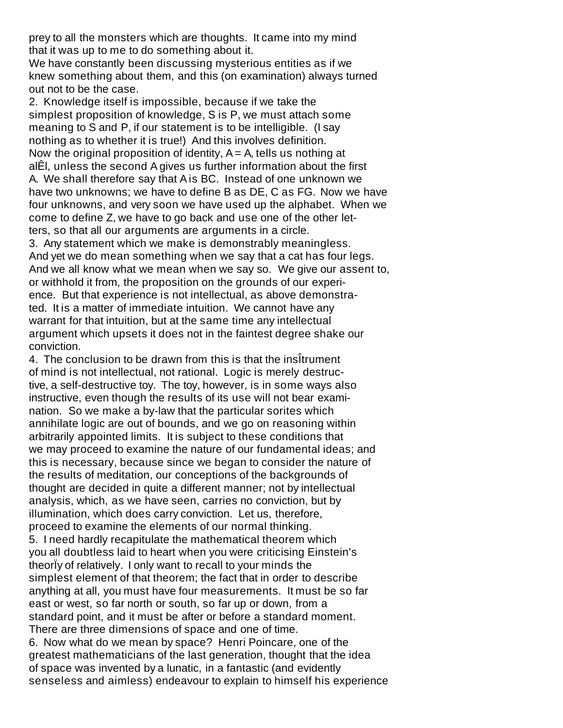prey to all the monsters which are thoughts. It came into my mind that it was up to me to do something about it.

We have constantly been discussing mysterious entities as if we knew something about them, and this (on examination) always turned out not to be the case.

2. Knowledge itself is impossible, because if we take the simplest proposition of knowledge, S is P, we must attach some meaning to S and P, if our statement is to be intelligible. (I say nothing as to whether it is true!) And this involves definition. Now the original proposition of identity,  $A = A$ , tells us nothing at alÊl, unless the second Agives us further information about the first A. We shall therefore say that Ais BC. Instead of one unknown we have two unknowns; we have to define B as DE, C as FG. Now we have four unknowns, and very soon we have used up the alphabet. When we come to define Z, we have to go back and use one of the other letters, so that all our arguments are arguments in a circle.

3. Any statement which we make is demonstrably meaningless. And yet we do mean something when we say that a cat has four legs. And we all know what we mean when we say so. We give our assent to, or withhold it from, the proposition on the grounds of our experience. But that experience is not intellectual, as above demonstrated. It is a matter of immediate intuition. We cannot have any warrant for that intuition, but at the same time any intellectual argument which upsets it does not in the faintest degree shake our conviction.

4. The conclusion to be drawn from this is that the insÎtrument of mind is not intellectual, not rational. Logic is merely destructive, a self-destructive toy. The toy, however, is in some ways also instructive, even though the results of its use will not bear examination. So we make a by-law that the particular sorites which annihilate logic are out of bounds, and we go on reasoning within arbitrarily appointed limits. It is subject to these conditions that we may proceed to examine the nature of our fundamental ideas; and this is necessary, because since we began to consider the nature of the results of meditation, our conceptions of the backgrounds of thought are decided in quite a different manner; not by intellectual analysis, which, as we have seen, carries no conviction, but by illumination, which does carry conviction. Let us, therefore, proceed to examine the elements of our normal thinking.

5. I need hardly recapitulate the mathematical theorem which you all doubtless laid to heart when you were criticising Einstein's theorÏy of relatively. I only want to recall to your minds the simplest element of that theorem; the fact that in order to describe anything at all, you must have four measurements. It must be so far east or west, so far north or south, so far up or down, from a standard point, and it must be after or before a standard moment. There are three dimensions of space and one of time.

6. Now what do we mean by space? Henri Poincare, one of the greatest mathematicians of the last generation, thought that the idea of space was invented by a lunatic, in a fantastic (and evidently senseless and aimless) endeavour to explain to himself his experience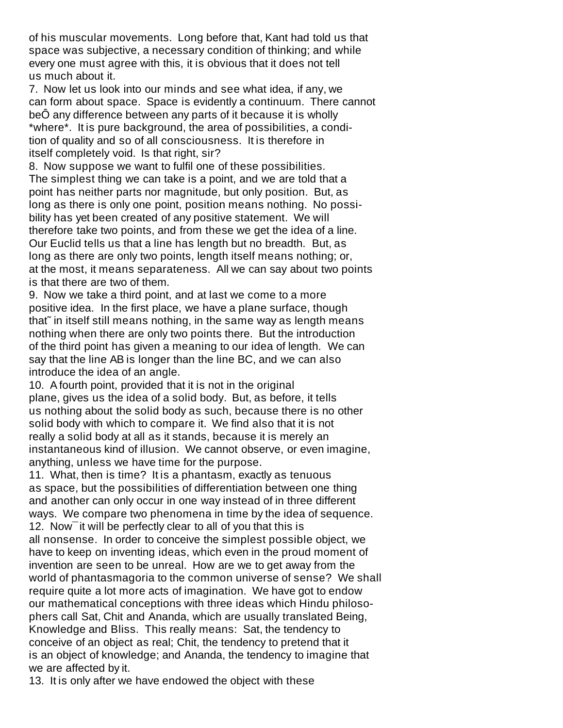of his muscular movements. Long before that, Kant had told us that space was subjective, a necessary condition of thinking; and while every one must agree with this, it is obvious that it does not tell us much about it.

7. Now let us look into our minds and see what idea, if any, we can form about space. Space is evidently a continuum. There cannot beÔ any difference between any parts of it because it is wholly \*where\*. It is pure background, the area of possibilities, a condition of quality and so of all consciousness. It is therefore in itself completely void. Is that right, sir?

8. Now suppose we want to fulfil one of these possibilities. The simplest thing we can take is a point, and we are told that a point has neither parts nor magnitude, but only position. But, as long as there is only one point, position means nothing. No possibility has yet been created of any positive statement. We will therefore take two points, and from these we get the idea of a line. Our Euclid tells us that a line has length but no breadth. But, as long as there are only two points, length itself means nothing; or, at the most, it means separateness. All we can say about two points is that there are two of them.

9. Now we take a third point, and at last we come to a more positive idea. In the first place, we have a plane surface, though that˜ in itself still means nothing, in the same way as length means nothing when there are only two points there. But the introduction of the third point has given a meaning to our idea of length. We can say that the line AB is longer than the line BC, and we can also introduce the idea of an angle.

10. Afourth point, provided that it is not in the original plane, gives us the idea of a solid body. But, as before, it tells us nothing about the solid body as such, because there is no other solid body with which to compare it. We find also that it is not really a solid body at all as it stands, because it is merely an instantaneous kind of illusion. We cannot observe, or even imagine, anything, unless we have time for the purpose.

11. What, then is time? It is a phantasm, exactly as tenuous as space, but the possibilities of differentiation between one thing and another can only occur in one way instead of in three different ways. We compare two phenomena in time by the idea of sequence. 12. Now<sup>-</sup> it will be perfectly clear to all of you that this is all nonsense. In order to conceive the simplest possible object, we have to keep on inventing ideas, which even in the proud moment of invention are seen to be unreal. How are we to get away from the world of phantasmagoria to the common universe of sense? We shall require quite a lot more acts of imagination. We have got to endow our mathematical conceptions with three ideas which Hindu philosophers call Sat, Chit and Ananda, which are usually translated Being, Knowledge and Bliss. This really means: Sat, the tendency to conceive of an object as real; Chit, the tendency to pretend that it is an object of knowledge; and Ananda, the tendency to imagine that we are affected by it.

13. It is only after we have endowed the object with these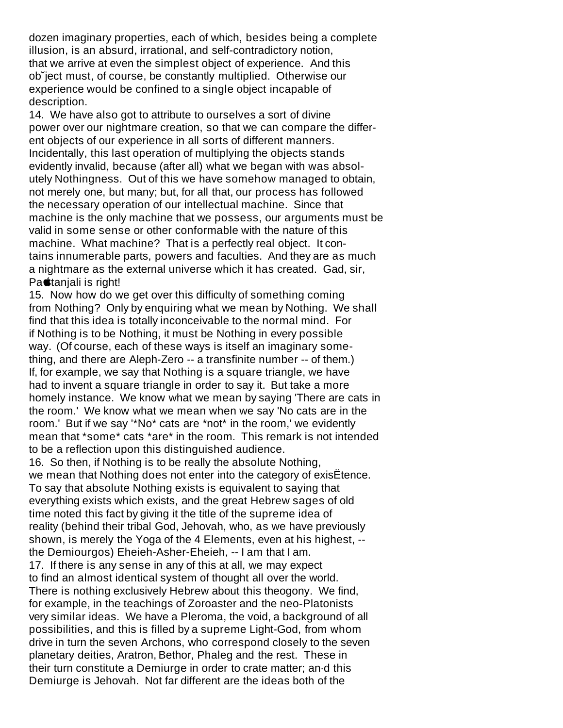dozen imaginary properties, each of which, besides being a complete illusion, is an absurd, irrational, and self-contradictory notion, that we arrive at even the simplest object of experience. And this ob˘ject must, of course, be constantly multiplied. Otherwise our experience would be confined to a single object incapable of description.

14. We have also got to attribute to ourselves a sort of divine power over our nightmare creation, so that we can compare the different objects of our experience in all sorts of different manners. Incidentally, this last operation of multiplying the objects stands evidently invalid, because (after all) what we began with was absolutely Nothingness. Out of this we have somehow managed to obtain, not merely one, but many; but, for all that, our process has followed the necessary operation of our intellectual machine. Since that machine is the only machine that we possess, our arguments must be valid in some sense or other conformable with the nature of this machine. What machine? That is a perfectly real object. It contains innumerable parts, powers and faculties. And they are as much a nightmare as the external universe which it has created. Gad, sir, Pa tanjali is right!

15. Now how do we get over this difficulty of something coming from Nothing? Only by enquiring what we mean by Nothing. We shall find that this idea is totally inconceivable to the normal mind. For if Nothing is to be Nothing, it must be Nothing in every possible way. (Of course, each of these ways is itself an imaginary something, and there are Aleph-Zero -- a transfinite number -- of them.) If, for example, we say that Nothing is a square triangle, we have had to invent a square triangle in order to say it. But take a more homely instance. We know what we mean by saying 'There are cats in the room.' We know what we mean when we say 'No cats are in the room.' But if we say '\*No\* cats are \*not\* in the room,' we evidently mean that \*some\* cats \*are\* in the room. This remark is not intended to be a reflection upon this distinguished audience.

16. So then, if Nothing is to be really the absolute Nothing, we mean that Nothing does not enter into the category of exisËtence. To say that absolute Nothing exists is equivalent to saying that everything exists which exists, and the great Hebrew sages of old time noted this fact by giving it the title of the supreme idea of reality (behind their tribal God, Jehovah, who, as we have previously shown, is merely the Yoga of the 4 Elements, even at his highest, - the Demiourgos) Eheieh-Asher-Eheieh, -- I am that I am. 17. If there is any sense in any of this at all, we may expect to find an almost identical system of thought all over the world. There is nothing exclusively Hebrew about this theogony. We find, for example, in the teachings of Zoroaster and the neo-Platonists very similar ideas. We have a Pleroma, the void, a background of all possibilities, and this is filled by a supreme Light-God, from whom drive in turn the seven Archons, who correspond closely to the seven planetary deities, Aratron, Bethor, Phaleg and the rest. These in their turn constitute a Demiurge in order to crate matter; an·d this Demiurge is Jehovah. Not far different are the ideas both of the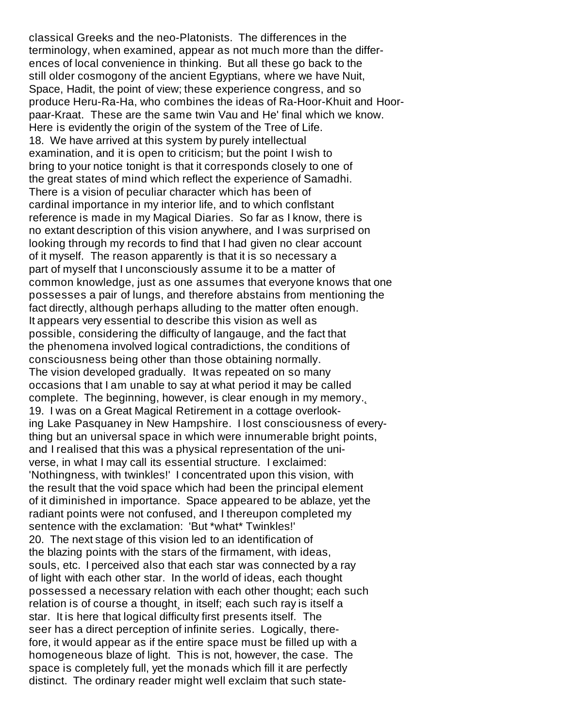classical Greeks and the neo-Platonists. The differences in the terminology, when examined, appear as not much more than the differences of local convenience in thinking. But all these go back to the still older cosmogony of the ancient Egyptians, where we have Nuit, Space, Hadit, the point of view; these experience congress, and so produce Heru-Ra-Ha, who combines the ideas of Ra-Hoor-Khuit and Hoorpaar-Kraat. These are the same twin Vau and He' final which we know. Here is evidently the origin of the system of the Tree of Life. 18. We have arrived at this system by purely intellectual examination, and it is open to criticism; but the point I wish to bring to your notice tonight is that it corresponds closely to one of the great states of mind which reflect the experience of Samadhi. There is a vision of peculiar character which has been of cardinal importance in my interior life, and to which conflstant reference is made in my Magical Diaries. So far as I know, there is no extant description of this vision anywhere, and I was surprised on looking through my records to find that I had given no clear account of it myself. The reason apparently is that it is so necessary a part of myself that I unconsciously assume it to be a matter of common knowledge, just as one assumes that everyone knows that one possesses a pair of lungs, and therefore abstains from mentioning the fact directly, although perhaps alluding to the matter often enough. It appears very essential to describe this vision as well as possible, considering the difficulty of langauge, and the fact that the phenomena involved logical contradictions, the conditions of consciousness being other than those obtaining normally. The vision developed gradually. It was repeated on so many occasions that I am unable to say at what period it may be called complete. The beginning, however, is clear enough in my memory. 19. I was on a Great Magical Retirement in a cottage overlooking Lake Pasquaney in New Hampshire. I lost consciousness of everything but an universal space in which were innumerable bright points, and I realised that this was a physical representation of the universe, in what I may call its essential structure. I exclaimed: 'Nothingness, with twinkles!' I concentrated upon this vision, with the result that the void space which had been the principal element of it diminished in importance. Space appeared to be ablaze, yet the radiant points were not confused, and I thereupon completed my sentence with the exclamation: 'But \*what\* Twinkles!' 20. The next stage of this vision led to an identification of the blazing points with the stars of the firmament, with ideas, souls, etc. I perceived also that each star was connected by a ray of light with each other star. In the world of ideas, each thought possessed a necessary relation with each other thought; each such relation is of course a thought, in itself; each such ray is itself a star. It is here that logical difficulty first presents itself. The seer has a direct perception of infinite series. Logically, therefore, it would appear as if the entire space must be filled up with a homogeneous blaze of light. This is not, however, the case. The space is completely full, yet the monads which fill it are perfectly distinct. The ordinary reader might well exclaim that such state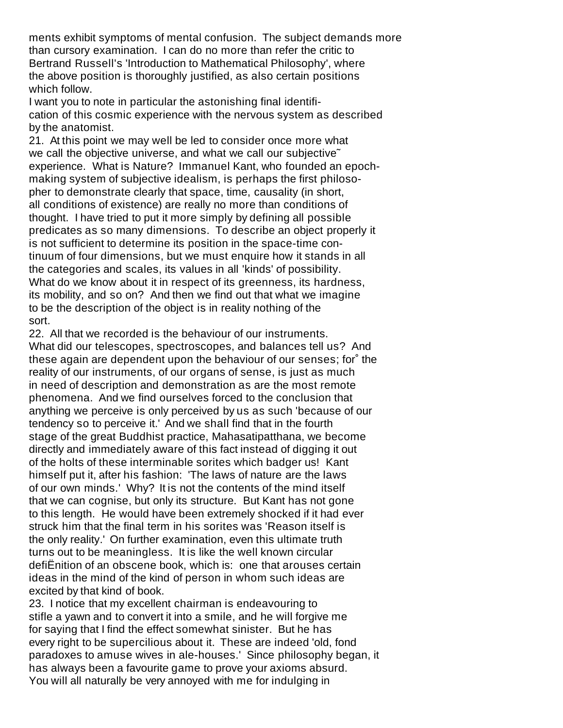ments exhibit symptoms of mental confusion. The subject demands more than cursory examination. I can do no more than refer the critic to Bertrand Russell's 'Introduction to Mathematical Philosophy', where the above position is thoroughly justified, as also certain positions which follow.

I want you to note in particular the astonishing final identification of this cosmic experience with the nervous system as described by the anatomist.

21. At this point we may well be led to consider once more what we call the objective universe, and what we call our subjective" experience. What is Nature? Immanuel Kant, who founded an epochmaking system of subjective idealism, is perhaps the first philosopher to demonstrate clearly that space, time, causality (in short, all conditions of existence) are really no more than conditions of thought. I have tried to put it more simply by defining all possible predicates as so many dimensions. To describe an object properly it is not sufficient to determine its position in the space-time continuum of four dimensions, but we must enquire how it stands in all the categories and scales, its values in all 'kinds' of possibility. What do we know about it in respect of its greenness, its hardness, its mobility, and so on? And then we find out that what we imagine to be the description of the object is in reality nothing of the sort.

22. All that we recorded is the behaviour of our instruments. What did our telescopes, spectroscopes, and balances tell us? And these again are dependent upon the behaviour of our senses; for˚ the reality of our instruments, of our organs of sense, is just as much in need of description and demonstration as are the most remote phenomena. And we find ourselves forced to the conclusion that anything we perceive is only perceived by us as such 'because of our tendency so to perceive it.' And we shall find that in the fourth stage of the great Buddhist practice, Mahasatipatthana, we become directly and immediately aware of this fact instead of digging it out of the holts of these interminable sorites which badger us! Kant himself put it, after his fashion: 'The laws of nature are the laws of our own minds.' Why? It is not the contents of the mind itself that we can cognise, but only its structure. But Kant has not gone to this length. He would have been extremely shocked if it had ever struck him that the final term in his sorites was 'Reason itself is the only reality.' On further examination, even this ultimate truth turns out to be meaningless. It is like the well known circular defiËnition of an obscene book, which is: one that arouses certain ideas in the mind of the kind of person in whom such ideas are excited by that kind of book.

23. I notice that my excellent chairman is endeavouring to stifle a yawn and to convert it into a smile, and he will forgive me for saying that I find the effect somewhat sinister. But he has every right to be supercilious about it. These are indeed 'old, fond paradoxes to amuse wives in ale-houses.' Since philosophy began, it has always been a favourite game to prove your axioms absurd. You will all naturally be very annoyed with me for indulging in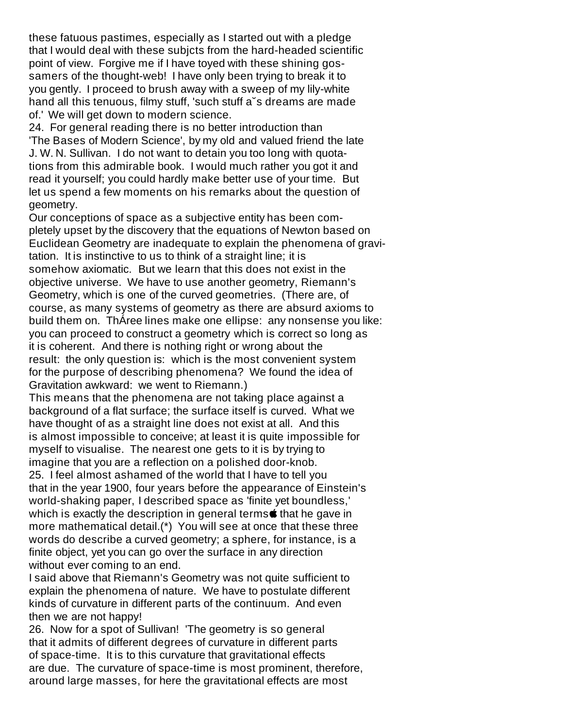these fatuous pastimes, especially as I started out with a pledge that I would deal with these subjcts from the hard-headed scientific point of view. Forgive me if I have toyed with these shining gossamers of the thought-web! I have only been trying to break it to you gently. I proceed to brush away with a sweep of my lily-white hand all this tenuous, filmy stuff, 'such stuff a s dreams are made of.' We will get down to modern science.

24. For general reading there is no better introduction than 'The Bases of Modern Science', by my old and valued friend the late J. W. N. Sullivan. I do not want to detain you too long with quotations from this admirable book. I would much rather you got it and read it yourself; you could hardly make better use of your time. But let us spend a few moments on his remarks about the question of geometry.

Our conceptions of space as a subjective entity has been completely upset by the discovery that the equations of Newton based on Euclidean Geometry are inadequate to explain the phenomena of gravitation. It is instinctive to us to think of a straight line; it is somehow axiomatic. But we learn that this does not exist in the objective universe. We have to use another geometry, Riemann's Geometry, which is one of the curved geometries. (There are, of course, as many systems of geometry as there are absurd axioms to build them on. ThÁree lines make one ellipse: any nonsense you like: you can proceed to construct a geometry which is correct so long as it is coherent. And there is nothing right or wrong about the result: the only question is: which is the most convenient system for the purpose of describing phenomena? We found the idea of Gravitation awkward: we went to Riemann.)

This means that the phenomena are not taking place against a background of a flat surface; the surface itself is curved. What we have thought of as a straight line does not exist at all. And this is almost impossible to conceive; at least it is quite impossible for myself to visualise. The nearest one gets to it is by trying to imagine that you are a reflection on a polished door-knob.

25. I feel almost ashamed of the world that I have to tell you that in the year 1900, four years before the appearance of Einstein's world-shaking paper, I described space as 'finite yet boundless,' which is exactly the description in general terms  $\bullet$  that he gave in more mathematical detail.(\*) You will see at once that these three words do describe a curved geometry; a sphere, for instance, is a finite object, yet you can go over the surface in any direction without ever coming to an end.

I said above that Riemann's Geometry was not quite sufficient to explain the phenomena of nature. We have to postulate different kinds of curvature in different parts of the continuum. And even then we are not happy!

26. Now for a spot of Sullivan! 'The geometry is so general that it admits of different degrees of curvature in different parts of space-time. It is to this curvature that gravitational effects are due. The curvature of space-time is most prominent, therefore, around large masses, for here the gravitational effects are most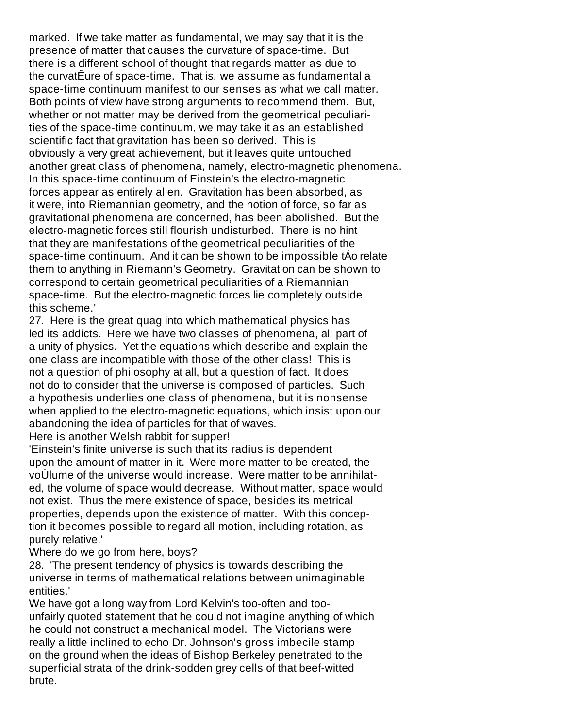marked. If we take matter as fundamental, we may say that it is the presence of matter that causes the curvature of space-time. But there is a different school of thought that regards matter as due to the curvatÊure of space-time. That is, we assume as fundamental a space-time continuum manifest to our senses as what we call matter. Both points of view have strong arguments to recommend them. But, whether or not matter may be derived from the geometrical peculiarities of the space-time continuum, we may take it as an established scientific fact that gravitation has been so derived. This is obviously a very great achievement, but it leaves quite untouched another great class of phenomena, namely, electro-magnetic phenomena. In this space-time continuum of Einstein's the electro-magnetic forces appear as entirely alien. Gravitation has been absorbed, as it were, into Riemannian geometry, and the notion of force, so far as gravitational phenomena are concerned, has been abolished. But the electro-magnetic forces still flourish undisturbed. There is no hint that they are manifestations of the geometrical peculiarities of the space-time continuum. And it can be shown to be impossible tÁo relate them to anything in Riemann's Geometry. Gravitation can be shown to correspond to certain geometrical peculiarities of a Riemannian space-time. But the electro-magnetic forces lie completely outside this scheme.'

27. Here is the great quag into which mathematical physics has led its addicts. Here we have two classes of phenomena, all part of a unity of physics. Yet the equations which describe and explain the one class are incompatible with those of the other class! This is not a question of philosophy at all, but a question of fact. It does not do to consider that the universe is composed of particles. Such a hypothesis underlies one class of phenomena, but it is nonsense when applied to the electro-magnetic equations, which insist upon our abandoning the idea of particles for that of waves. Here is another Welsh rabbit for supper!

'Einstein's finite universe is such that its radius is dependent upon the amount of matter in it. Were more matter to be created, the voÙlume of the universe would increase. Were matter to be annihilated, the volume of space would decrease. Without matter, space would not exist. Thus the mere existence of space, besides its metrical properties, depends upon the existence of matter. With this conception it becomes possible to regard all motion, including rotation, as purely relative.'

Where do we go from here, boys?

28. 'The present tendency of physics is towards describing the universe in terms of mathematical relations between unimaginable entities.'

We have got a long way from Lord Kelvin's too-often and toounfairly quoted statement that he could not imagine anything of which he could not construct a mechanical model. The Victorians were really a little inclined to echo Dr. Johnson's gross imbecile stamp on the ground when the ideas of Bishop Berkeley penetrated to the superficial strata of the drink-sodden grey cells of that beef-witted brute.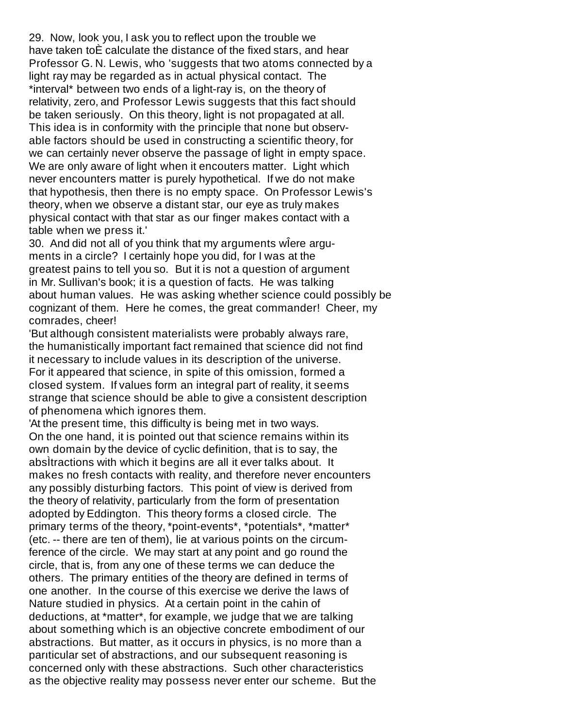29. Now, look you, I ask you to reflect upon the trouble we have taken toÈ calculate the distance of the fixed stars, and hear Professor G. N. Lewis, who 'suggests that two atoms connected by a light ray may be regarded as in actual physical contact. The \*interval\* between two ends of a light-ray is, on the theory of relativity, zero, and Professor Lewis suggests that this fact should be taken seriously. On this theory, light is not propagated at all. This idea is in conformity with the principle that none but observable factors should be used in constructing a scientific theory, for we can certainly never observe the passage of light in empty space. We are only aware of light when it encouters matter. Light which never encounters matter is purely hypothetical. If we do not make that hypothesis, then there is no empty space. On Professor Lewis's theory, when we observe a distant star, our eye as truly makes physical contact with that star as our finger makes contact with a table when we press it.'

30. And did not all of you think that my arguments wÎere arguments in a circle? I certainly hope you did, for I was at the greatest pains to tell you so. But it is not a question of argument in Mr. Sullivan's book; it is a question of facts. He was talking about human values. He was asking whether science could possibly be cognizant of them. Here he comes, the great commander! Cheer, my comrades, cheer!

'But although consistent materialists were probably always rare, the humanistically important fact remained that science did not find it necessary to include values in its description of the universe. For it appeared that science, in spite of this omission, formed a closed system. If values form an integral part of reality, it seems strange that science should be able to give a consistent description of phenomena which ignores them.

'At the present time, this difficulty is being met in two ways. On the one hand, it is pointed out that science remains within its own domain by the device of cyclic definition, that is to say, the absÌtractions with which it begins are all it ever talks about. It makes no fresh contacts with reality, and therefore never encounters any possibly disturbing factors. This point of view is derived from the theory of relativity, particularly from the form of presentation adopted by Eddington. This theory forms a closed circle. The primary terms of the theory,\*point-events\*, \*potentials\*, \*matter\* (etc. -- there are ten of them), lie at various points on the circumference of the circle. We may start at any point and go round the circle, that is, from any one of these terms we can deduce the others. The primary entities of the theory are defined in terms of one another. In the course of this exercise we derive the laws of Nature studied in physics. At a certain point in the cahin of deductions, at \*matter\*, for example, we judge that we are talking about something which is an objective concrete embodiment of our abstractions. But matter, as it occurs in physics, is no more than a parıticular set of abstractions, and our subsequent reasoning is concerned only with these abstractions. Such other characteristics as the objective reality may possess never enter our scheme. But the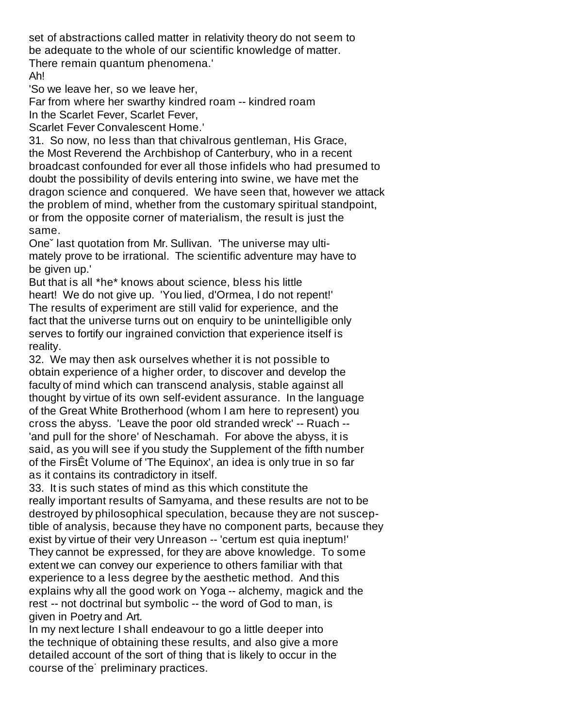set of abstractions called matter in relativity theory do not seem to be adequate to the whole of our scientific knowledge of matter. There remain quantum phenomena.'

Ah!

'So we leave her, so we leave her,

Far from where her swarthy kindred roam -- kindred roam

In the Scarlet Fever, Scarlet Fever,

Scarlet Fever Convalescent Home.'

31. So now, no less than that chivalrous gentleman, His Grace, the Most Reverend the Archbishop of Canterbury, who in a recent broadcast confounded for ever all those infidels who had presumed to doubt the possibility of devils entering into swine, we have met the dragon science and conquered. We have seen that, however we attack the problem of mind, whether from the customary spiritual standpoint, or from the opposite corner of materialism, the result is just the same.

Oneˇ last quotation from Mr. Sullivan. 'The universe may ultimately prove to be irrational. The scientific adventure may have to be given up.'

But that is all \*he\* knows about science, bless his little heart! We do not give up. 'You lied, d'Ormea, I do not repent!' The results of experiment are still valid for experience, and the fact that the universe turns out on enquiry to be unintelligible only serves to fortify our ingrained conviction that experience itself is reality.

32. We may then ask ourselves whether it is not possible to obtain experience of a higher order, to discover and develop the faculty of mind which can transcend analysis, stable against all thought by virtue of its own self-evident assurance. In the language of the Great White Brotherhood (whom I am here to represent) you cross the abyss. 'Leave the poor old stranded wreck' -- Ruach -- 'and pull for the shore' of Neschamah. For above the abyss, it is said, as you will see if you study the Supplement of the fifth number of the FirsÊt Volume of 'The Equinox', an idea is only true in so far as it contains its contradictory in itself.

33. It is such states of mind as this which constitute the really important results of Samyama, and these results are not to be destroyed by philosophical speculation, because they are not susceptible of analysis, because they have no component parts, because they exist by virtue of their very Unreason -- 'certum est quia ineptum!' They cannot be expressed, for they are above knowledge. To some extent we can convey our experience to others familiar with that experience to a less degree by the aesthetic method. And this explains why all the good work on Yoga -- alchemy, magick and the rest -- not doctrinal but symbolic -- the word of God to man, is given in Poetry and Art.

In my next lecture I shall endeavour to go a little deeper into the technique of obtaining these results, and also give a more detailed account of the sort of thing that is likely to occur in the course of the˙ preliminary practices.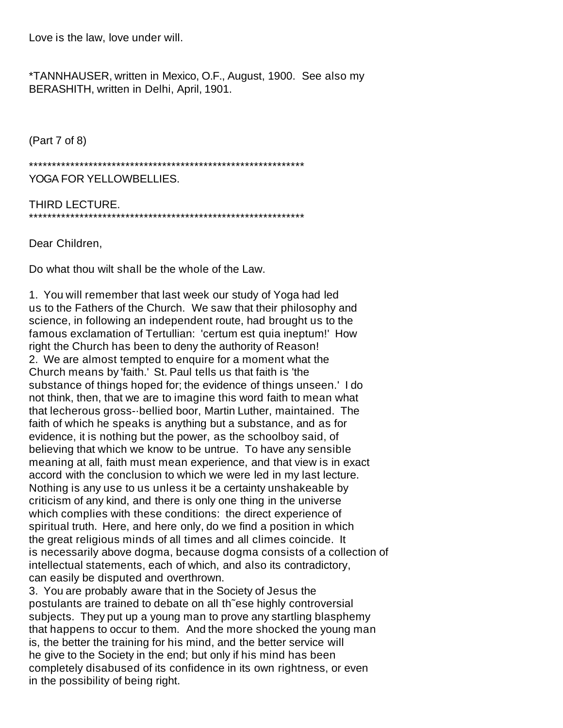Love is the law, love under will.

\*TANNHAUSER, written in Mexico, O.F., August, 1900. See also my BERASHITH, written in Delhi, April, 1901.

(Part 7 of 8)

\*\*\*\*\*\*\*\*\*\*\*\*\*\*\*\*\*\*\*\*\*\*\*\*\*\*\*\*\*\*\*\*\*\*\*\*\*\*\*\*\*\*\*\*\*\*\*\*\*\*\*\*\*\*\*\*\*\*\*\*

YOGA FOR YELLOWBELLIES.

THIRD LECTURE. \*\*\*\*\*\*\*\*\*\*\*\*\*\*\*\*\*\*\*\*\*\*\*\*\*\*\*\*\*\*\*\*\*\*\*\*\*\*\*\*\*\*\*\*\*\*\*\*\*\*\*\*\*\*\*\*\*\*\*\*

Dear Children,

Do what thou wilt shall be the whole of the Law.

1. You will remember that last week our study of Yoga had led us to the Fathers of the Church. We saw that their philosophy and science, in following an independent route, had brought us to the famous exclamation of Tertullian: 'certum est quia ineptum!' How right the Church has been to deny the authority of Reason! 2. We are almost tempted to enquire for a moment what the Church means by 'faith.' St. Paul tells us that faith is 'the substance of things hoped for; the evidence of things unseen.' I do not think, then, that we are to imagine this word faith to mean what that lecherous gross-·bellied boor, Martin Luther, maintained. The faith of which he speaks is anything but a substance, and as for evidence, it is nothing but the power, as the schoolboy said, of believing that which we know to be untrue. To have any sensible meaning at all, faith must mean experience, and that view is in exact accord with the conclusion to which we were led in my last lecture. Nothing is any use to us unless it be a certainty unshakeable by criticism of any kind, and there is only one thing in the universe which complies with these conditions: the direct experience of spiritual truth. Here, and here only, do we find a position in which the great religious minds of all times and all climes coincide. It is necessarily above dogma, because dogma consists of a collection of intellectual statements, each of which, and also its contradictory, can easily be disputed and overthrown.

3. You are probably aware that in the Society of Jesus the postulants are trained to debate on all th˜ese highly controversial subjects. They put up a young man to prove any startling blasphemy that happens to occur to them. And the more shocked the young man is, the better the training for his mind, and the better service will he give to the Society in the end; but only if his mind has been completely disabused of its confidence in its own rightness, or even in the possibility of being right.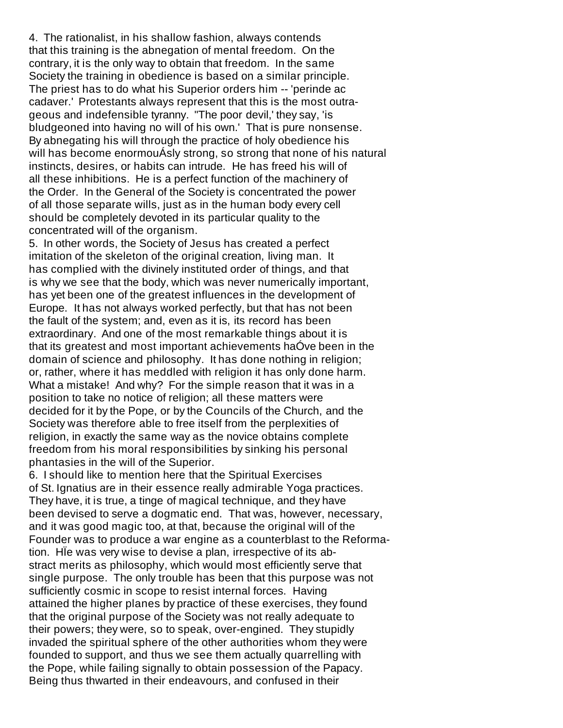4. The rationalist, in his shallow fashion, always contends that this training is the abnegation of mental freedom. On the contrary, it is the only way to obtain that freedom. In the same Society the training in obedience is based on a similar principle. The priest has to do what his Superior orders him -- 'perinde ac cadaver.' Protestants always represent that this is the most outrageous and indefensible tyranny. "The poor devil,' they say, 'is bludgeoned into having no will of his own.' That is pure nonsense. By abnegating his will through the practice of holy obedience his will has become enormouÁsly strong, so strong that none of his natural instincts, desires, or habits can intrude. He has freed his will of all these inhibitions. He is a perfect function of the machinery of the Order. In the General of the Society is concentrated the power of all those separate wills, just as in the human body every cell should be completely devoted in its particular quality to the concentrated will of the organism.

5. In other words, the Society of Jesus has created a perfect imitation of the skeleton of the original creation, living man. It has complied with the divinely instituted order of things, and that is why we see that the body, which was never numerically important, has yet been one of the greatest influences in the development of Europe. It has not always worked perfectly, but that has not been the fault of the system; and, even as it is, its record has been extraordinary. And one of the most remarkable things about it is that its greatest and most important achievements haÓve been in the domain of science and philosophy. It has done nothing in religion; or, rather, where it has meddled with religion it has only done harm. What a mistake! And why? For the simple reason that it was in a position to take no notice of religion; all these matters were decided for it by the Pope, or by the Councils of the Church, and the Society was therefore able to free itself from the perplexities of religion, in exactly the same way as the novice obtains complete freedom from his moral responsibilities by sinking his personal phantasies in the will of the Superior.

6. I should like to mention here that the Spiritual Exercises of St. Ignatius are in their essence really admirable Yoga practices. They have, it is true, a tinge of magical technique, and they have been devised to serve a dogmatic end. That was, however, necessary, and it was good magic too, at that, because the original will of the Founder was to produce a war engine as a counterblast to the Reformation. HÏe was very wise to devise a plan, irrespective of its abstract merits as philosophy, which would most efficiently serve that single purpose. The only trouble has been that this purpose was not sufficiently cosmic in scope to resist internal forces. Having attained the higher planes by practice of these exercises, they found that the original purpose of the Society was not really adequate to their powers; they were, so to speak, over-engined. They stupidly invaded the spiritual sphere of the other authorities whom they were founded to support, and thus we see them actually quarrelling with the Pope, while failing signally to obtain possession of the Papacy. Being thus thwarted in their endeavours, and confused in their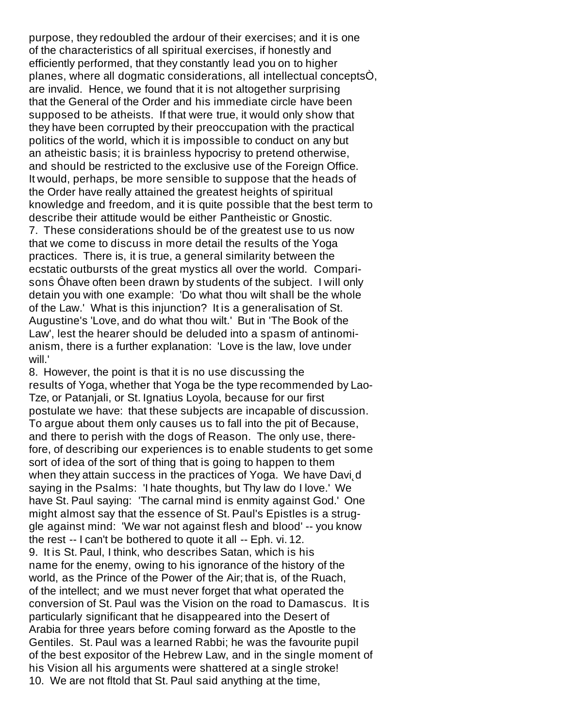purpose, they redoubled the ardour of their exercises; and it is one of the characteristics of all spiritual exercises, if honestly and efficiently performed, that they constantly lead you on to higher planes, where all dogmatic considerations, all intellectual conceptsÒ, are invalid. Hence, we found that it is not altogether surprising that the General of the Order and his immediate circle have been supposed to be atheists. If that were true, it would only show that they have been corrupted by their preoccupation with the practical politics of the world, which it is impossible to conduct on any but an atheistic basis; it is brainless hypocrisy to pretend otherwise, and should be restricted to the exclusive use of the Foreign Office. It would, perhaps, be more sensible to suppose that the heads of the Order have really attained the greatest heights of spiritual knowledge and freedom, and it is quite possible that the best term to describe their attitude would be either Pantheistic or Gnostic. 7. These considerations should be of the greatest use to us now that we come to discuss in more detail the results of the Yoga practices. There is, it is true, a general similarity between the ecstatic outbursts of the great mystics all over the world. Comparisons Ôhave often been drawn by students of the subject. I will only detain you with one example: 'Do what thou wilt shall be the whole of the Law.' What is this injunction? It is a generalisation of St. Augustine's 'Love, and do what thou wilt.' But in 'The Book of the Law', lest the hearer should be deluded into a spasm of antinomianism, there is a further explanation: 'Love is the law, love under will.'

8. However, the point is that it is no use discussing the results of Yoga, whether that Yoga be the type recommended by Lao-Tze, or Patanjali, or St. Ignatius Loyola, because for our first postulate we have: that these subjects are incapable of discussion. To argue about them only causes us to fall into the pit of Because, and there to perish with the dogs of Reason. The only use, therefore, of describing our experiences is to enable students to get some sort of idea of the sort of thing that is going to happen to them when they attain success in the practices of Yoga. We have Davi d saying in the Psalms: 'I hate thoughts, but Thy law do I love.' We have St. Paul saying: 'The carnal mind is enmity against God.' One might almost say that the essence of St. Paul's Epistles is a struggle against mind: 'We war not against flesh and blood' -- you know the rest -- I can't be bothered to quote it all -- Eph. vi. 12. 9. It is St. Paul, I think, who describes Satan, which is his name for the enemy, owing to his ignorance of the history of the world, as the Prince of the Power of the Air; that is, of the Ruach, of the intellect; and we must never forget that what operated the conversion of St. Paul was the Vision on the road to Damascus. It is particularly significant that he disappeared into the Desert of Arabia for three years before coming forward as the Apostle to the Gentiles. St. Paul was a learned Rabbi; he was the favourite pupil of the best expositor of the Hebrew Law, and in the single moment of his Vision all his arguments were shattered at a single stroke! 10. We are not fltold that St. Paul said anything at the time,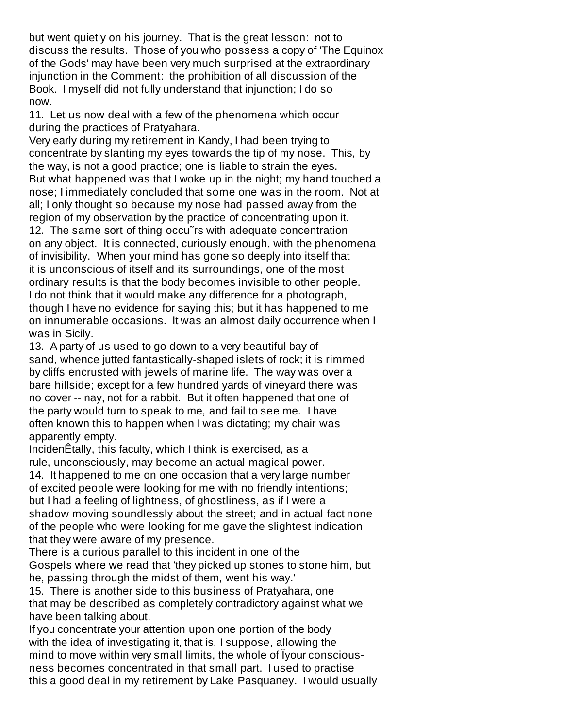but went quietly on his journey. That is the great lesson: not to discuss the results. Those of you who possess a copy of 'The Equinox of the Gods' may have been very much surprised at the extraordinary injunction in the Comment: the prohibition of all discussion of the Book. I myself did not fully understand that injunction; I do so now.

11. Let us now deal with a few of the phenomena which occur during the practices of Pratyahara.

Very early during my retirement in Kandy, I had been trying to concentrate by slanting my eyes towards the tip of my nose. This, by the way, is not a good practice; one is liable to strain the eyes. But what happened was that I woke up in the night; my hand touched a nose; I immediately concluded that some one was in the room. Not at all; I only thought so because my nose had passed away from the region of my observation by the practice of concentrating upon it. 12. The same sort of thing occu˜rs with adequate concentration on any object. It is connected, curiously enough, with the phenomena of invisibility. When your mind has gone so deeply into itself that it is unconscious of itself and its surroundings, one of the most ordinary results is that the body becomes invisible to other people. I do not think that it would make any difference for a photograph, though I have no evidence for saying this; but it has happened to me on innumerable occasions. It was an almost daily occurrence when I was in Sicily.

13. Aparty of us used to go down to a very beautiful bay of sand, whence jutted fantastically-shaped islets of rock; it is rimmed by cliffs encrusted with jewels of marine life. The way was over a bare hillside; except for a few hundred yards of vineyard there was no cover -- nay, not for a rabbit. But it often happened that one of the party would turn to speak to me, and fail to see me. I have often known this to happen when I was dictating; my chair was apparently empty.

IncidenÊtally, this faculty, which I think is exercised, as a rule, unconsciously, may become an actual magical power.

14. It happened to me on one occasion that a very large number of excited people were looking for me with no friendly intentions; but I had a feeling of lightness, of ghostliness, as if I were a shadow moving soundlessly about the street; and in actual fact none of the people who were looking for me gave the slightest indication that they were aware of my presence.

There is a curious parallel to this incident in one of the Gospels where we read that 'they picked up stones to stone him, but he, passing through the midst of them, went his way.'

15. There is another side to this business of Pratyahara, one that may be described as completely contradictory against what we have been talking about.

If you concentrate your attention upon one portion of the body with the idea of investigating it, that is, I suppose, allowing the mind to move within very small limits, the whole of Ïyour consciousness becomes concentrated in that small part. I used to practise this a good deal in my retirement by Lake Pasquaney. I would usually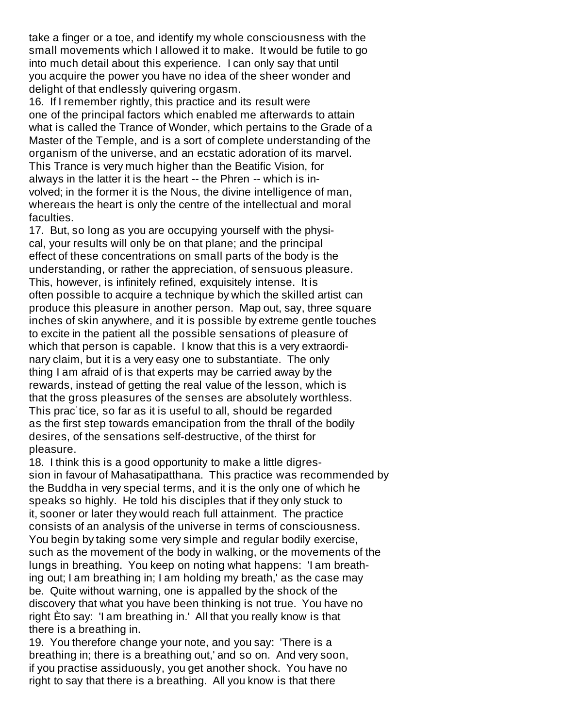take a finger or a toe, and identify my whole consciousness with the small movements which I allowed it to make. It would be futile to go into much detail about this experience. I can only say that until you acquire the power you have no idea of the sheer wonder and delight of that endlessly quivering orgasm.

16. If I remember rightly, this practice and its result were one of the principal factors which enabled me afterwards to attain what is called the Trance of Wonder, which pertains to the Grade of a Master of the Temple, and is a sort of complete understanding of the organism of the universe, and an ecstatic adoration of its marvel. This Trance is very much higher than the Beatific Vision, for always in the latter it is the heart -- the Phren -- which is involved; in the former it is the Nous, the divine intelligence of man, whereaıs the heart is only the centre of the intellectual and moral faculties.

17. But, so long as you are occupying yourself with the physical, your results will only be on that plane; and the principal effect of these concentrations on small parts of the body is the understanding, or rather the appreciation, of sensuous pleasure. This, however, is infinitely refined, exquisitely intense. It is often possible to acquire a technique by which the skilled artist can produce this pleasure in another person. Map out, say, three square inches of skin anywhere, and it is possible by extreme gentle touches to excite in the patient all the possible sensations of pleasure of which that person is capable. I know that this is a very extraordinary claim, but it is a very easy one to substantiate. The only thing I am afraid of is that experts may be carried away by the rewards, instead of getting the real value of the lesson, which is that the gross pleasures of the senses are absolutely worthless. This prac˙tice, so far as it is useful to all, should be regarded as the first step towards emancipation from the thrall of the bodily desires, of the sensations self-destructive, of the thirst for pleasure.

18. I think this is a good opportunity to make a little digression in favour of Mahasatipatthana. This practice was recommended by the Buddha in very special terms, and it is the only one of which he speaks so highly. He told his disciples that if they only stuck to it, sooner or later they would reach full attainment. The practice consists of an analysis of the universe in terms of consciousness. You begin by taking some very simple and regular bodily exercise, such as the movement of the body in walking, or the movements of the lungs in breathing. You keep on noting what happens: 'I am breathing out; I am breathing in; I am holding my breath,' as the case may be. Quite without warning, one is appalled by the shock of the discovery that what you have been thinking is not true. You have no right Èto say: 'I am breathing in.' All that you really know is that there is a breathing in.

19. You therefore change your note, and you say: 'There is a breathing in; there is a breathing out,' and so on. And very soon, if you practise assiduously, you get another shock. You have no right to say that there is a breathing. All you know is that there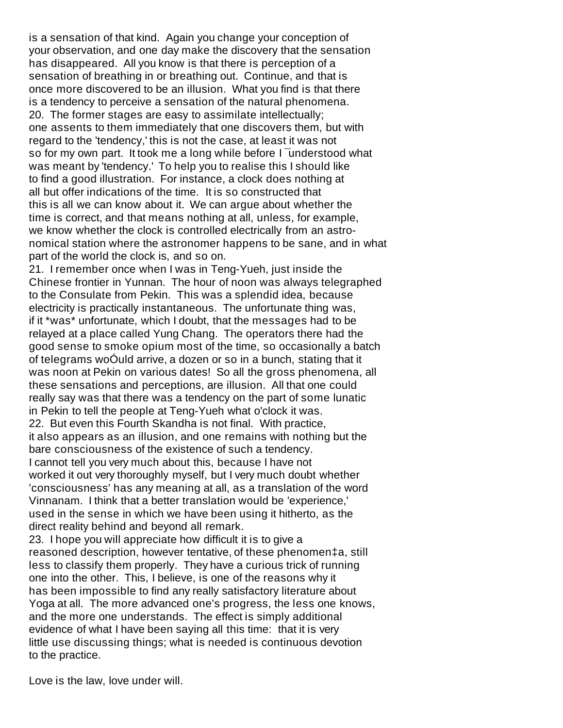is a sensation of that kind. Again you change your conception of your observation, and one day make the discovery that the sensation has disappeared. All you know is that there is perception of a sensation of breathing in or breathing out. Continue, and that is once more discovered to be an illusion. What you find is that there is a tendency to perceive a sensation of the natural phenomena. 20. The former stages are easy to assimilate intellectually; one assents to them immediately that one discovers them, but with regard to the 'tendency,' this is not the case, at least it was not so for my own part. It took me a long while before I understood what was meant by 'tendency.' To help you to realise this I should like to find a good illustration. For instance, a clock does nothing at all but offer indications of the time. It is so constructed that this is all we can know about it. We can argue about whether the time is correct, and that means nothing at all, unless, for example, we know whether the clock is controlled electrically from an astronomical station where the astronomer happens to be sane, and in what part of the world the clock is, and so on.

21. I remember once when I was in Teng-Yueh, just inside the Chinese frontier in Yunnan. The hour of noon was always telegraphed to the Consulate from Pekin. This was a splendid idea, because electricity is practically instantaneous. The unfortunate thing was, if it \*was\* unfortunate, which I doubt, that the messages had to be relayed at a place called Yung Chang. The operators there had the good sense to smoke opium most of the time, so occasionally a batch of telegrams woÓuld arrive, a dozen or so in a bunch, stating that it was noon at Pekin on various dates! So all the gross phenomena, all these sensations and perceptions, are illusion. All that one could really say was that there was a tendency on the part of some lunatic in Pekin to tell the people at Teng-Yueh what o'clock it was. 22. But even this Fourth Skandha is not final. With practice, it also appears as an illusion, and one remains with nothing but the bare consciousness of the existence of such a tendency. I cannot tell you very much about this, because I have not worked it out very thoroughly myself, but I very much doubt whether 'consciousness' has any meaning at all, as a translation of the word Vinnanam. I think that a better translation would be 'experience,' used in the sense in which we have been using it hitherto, as the direct reality behind and beyond all remark.

23. I hope you will appreciate how difficult it is to give a reasoned description, however tentative, of these phenomen‡a, still less to classify them properly. They have a curious trick of running one into the other. This, I believe, is one of the reasons why it has been impossible to find any really satisfactory literature about Yoga at all. The more advanced one's progress, the less one knows, and the more one understands. The effect is simply additional evidence of what I have been saying all this time: that it is very little use discussing things; what is needed is continuous devotion to the practice.

Love is the law, love under will.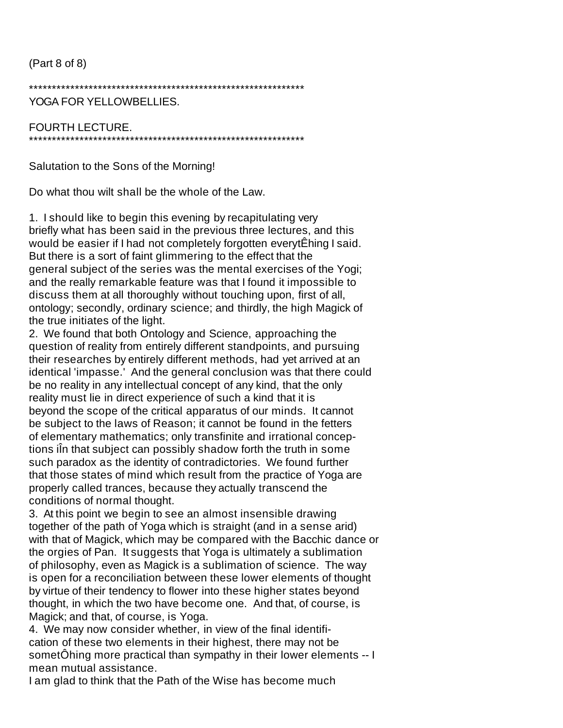(Part 8 of 8)

\*\*\*\*\*\*\*\*\*\*\*\*\*\*\*\*\*\*\*\*\*\*\*\*\*\*\*\*\*\*\*\*\*\*\*\*\*\*\*\*\*\*\*\*\*\*\*\*\*\*\*\*\*\*\*\*\*\*\*\*

YOGA FOR YELLOWBELLIES.

FOURTH LECTURE.

\*\*\*\*\*\*\*\*\*\*\*\*\*\*\*\*\*\*\*\*\*\*\*\*\*\*\*\*\*\*\*\*\*\*\*\*\*\*\*\*\*\*\*\*\*\*\*\*\*\*\*\*\*\*\*\*\*\*\*\*

Salutation to the Sons of the Morning!

Do what thou wilt shall be the whole of the Law.

1. I should like to begin this evening by recapitulating very briefly what has been said in the previous three lectures, and this would be easier if I had not completely forgotten everytÊhing I said. But there is a sort of faint glimmering to the effect that the general subject of the series was the mental exercises of the Yogi; and the really remarkable feature was that I found it impossible to discuss them at all thoroughly without touching upon, first of all, ontology; secondly, ordinary science; and thirdly, the high Magick of the true initiates of the light.

2. We found that both Ontology and Science, approaching the question of reality from entirely different standpoints, and pursuing their researches by entirely different methods, had yet arrived at an identical 'impasse.' And the general conclusion was that there could be no reality in any intellectual concept of any kind, that the only reality must lie in direct experience of such a kind that it is beyond the scope of the critical apparatus of our minds. It cannot be subject to the laws of Reason; it cannot be found in the fetters of elementary mathematics; only transfinite and irrational conceptions iÎn that subject can possibly shadow forth the truth in some such paradox as the identity of contradictories. We found further that those states of mind which result from the practice of Yoga are properly called trances, because they actually transcend the conditions of normal thought.

3. At this point we begin to see an almost insensible drawing together of the path of Yoga which is straight (and in a sense arid) with that of Magick, which may be compared with the Bacchic dance or the orgies of Pan. It suggests that Yoga is ultimately a sublimation of philosophy, even as Magick is a sublimation of science. The way is open for a reconciliation between these lower elements of thought by virtue of their tendency to flower into these higher states beyond thought, in which the two have become one. And that, of course, is Magick; and that, of course, is Yoga.

4. We may now consider whether, in view of the final identification of these two elements in their highest, there may not be sometÔhing more practical than sympathy in their lower elements -- I mean mutual assistance.

I am glad to think that the Path of the Wise has become much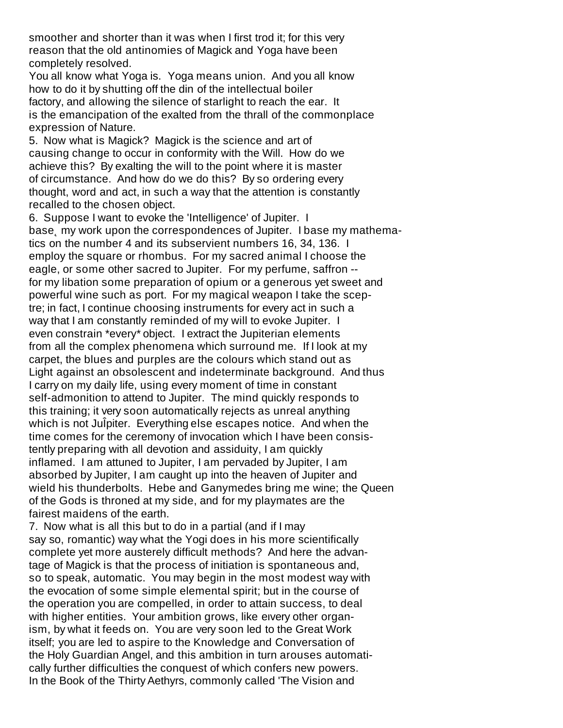smoother and shorter than it was when I first trod it; for this very reason that the old antinomies of Magick and Yoga have been completely resolved.

You all know what Yoga is. Yoga means union. And you all know how to do it by shutting off the din of the intellectual boiler factory, and allowing the silence of starlight to reach the ear. It is the emancipation of the exalted from the thrall of the commonplace expression of Nature.

5. Now what is Magick? Magick is the science and art of causing change to occur in conformity with the Will. How do we achieve this? By exalting the will to the point where it is master of circumstance. And how do we do this? By so ordering every thought, word and act, in such a way that the attention is constantly recalled to the chosen object.

6. Suppose I want to evoke the 'Intelligence' of Jupiter. I base, my work upon the correspondences of Jupiter. I base my mathematics on the number 4 and its subservient numbers 16, 34, 136. I employ the square or rhombus. For my sacred animal I choose the eagle, or some other sacred to Jupiter. For my perfume, saffron - for my libation some preparation of opium or a generous yet sweet and powerful wine such as port. For my magical weapon I take the sceptre; in fact, I continue choosing instruments for every act in such a way that I am constantly reminded of my will to evoke Jupiter. I even constrain \*every\* object. I extract the Jupiterian elements from all the complex phenomena which surround me. If I look at my carpet, the blues and purples are the colours which stand out as Light against an obsolescent and indeterminate background. And thus I carry on my daily life, using every moment of time in constant self-admonition to attend to Jupiter. The mind quickly responds to this training; it very soon automatically rejects as unreal anything which is not JuÎpiter. Everything else escapes notice. And when the time comes for the ceremony of invocation which I have been consistently preparing with all devotion and assiduity, I am quickly inflamed. I am attuned to Jupiter, I am pervaded by Jupiter, I am absorbed by Jupiter, I am caught up into the heaven of Jupiter and wield his thunderbolts. Hebe and Ganymedes bring me wine; the Queen of the Gods is throned at my side, and for my playmates are the fairest maidens of the earth.

7. Now what is all this but to do in a partial (and if I may say so, romantic) way what the Yogi does in his more scientifically complete yet more austerely difficult methods? And here the advantage of Magick is that the process of initiation is spontaneous and, so to speak, automatic. You may begin in the most modest way with the evocation of some simple elemental spirit; but in the course of the operation you are compelled, in order to attain success, to deal with higher entities. Your ambition grows, like eıvery other organism, by what it feeds on. You are very soon led to the Great Work itself; you are led to aspire to the Knowledge and Conversation of the Holy Guardian Angel, and this ambition in turn arouses automatically further difficulties the conquest of which confers new powers. In the Book of the Thirty Aethyrs, commonly called 'The Vision and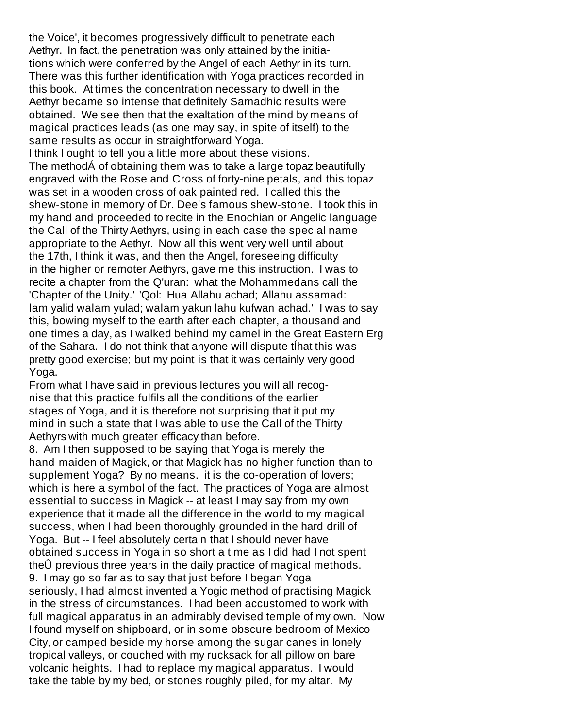the Voice', it becomes progressively difficult to penetrate each Aethyr. In fact, the penetration was only attained by the initiations which were conferred by the Angel of each Aethyr in its turn. There was this further identification with Yoga practices recorded in this book. At times the concentration necessary to dwell in the Aethyr became so intense that definitely Samadhic results were obtained. We see then that the exaltation of the mind by means of magical practices leads (as one may say, in spite of itself) to the same results as occur in straightforward Yoga.

I think I ought to tell you a little more about these visions. The methodÁ of obtaining them was to take a large topaz beautifully engraved with the Rose and Cross of forty-nine petals, and this topaz was set in a wooden cross of oak painted red. I called this the shew-stone in memory of Dr. Dee's famous shew-stone. I took this in my hand and proceeded to recite in the Enochian or Angelic language the Call of the Thirty Aethyrs, using in each case the special name appropriate to the Aethyr. Now all this went very well until about the 17th, I think it was, and then the Angel, foreseeing difficulty in the higher or remoter Aethyrs, gave me this instruction. I was to recite a chapter from the Q'uran: what the Mohammedans call the 'Chapter of the Unity.' 'Qol: Hua Allahu achad; Allahu assamad: lam yalid walam yulad; walam yakun lahu kufwan achad.' I was to say this, bowing myself to the earth after each chapter, a thousand and one times a day, as I walked behind my camel in the Great Eastern Erg of the Sahara. I do not think that anyone will dispute tÍhat this was pretty good exercise; but my point is that it was certainly very good Yoga.

From what I have said in previous lectures you will all recognise that this practice fulfils all the conditions of the earlier stages of Yoga, and it is therefore not surprising that it put my mind in such a state that I was able to use the Call of the Thirty Aethyrs with much greater efficacy than before.

8. Am I then supposed to be saying that Yoga is merely the hand-maiden of Magick, or that Magick has no higher function than to supplement Yoga? By no means. it is the co-operation of lovers; which is here a symbol of the fact. The practices of Yoga are almost essential to success in Magick -- at least I may say from my own experience that it made all the difference in the world to my magical success, when I had been thoroughly grounded in the hard drill of Yoga. But -- I feel absolutely certain that I should never have obtained success in Yoga in so short a time as I did had I not spent theÛ previous three years in the daily practice of magical methods. 9. I may go so far as to say that just before I began Yoga seriously, I had almost invented a Yogic method of practising Magick in the stress of circumstances. I had been accustomed to work with full magical apparatus in an admirably devised temple of my own. Now I found myself on shipboard, or in some obscure bedroom of Mexico City, or camped beside my horse among the sugar canes in lonely tropical valleys, or couched with my rucksack for all pillow on bare volcanic heights. I had to replace my magical apparatus. I would take the table by my bed, or stones roughly piled, for my altar. My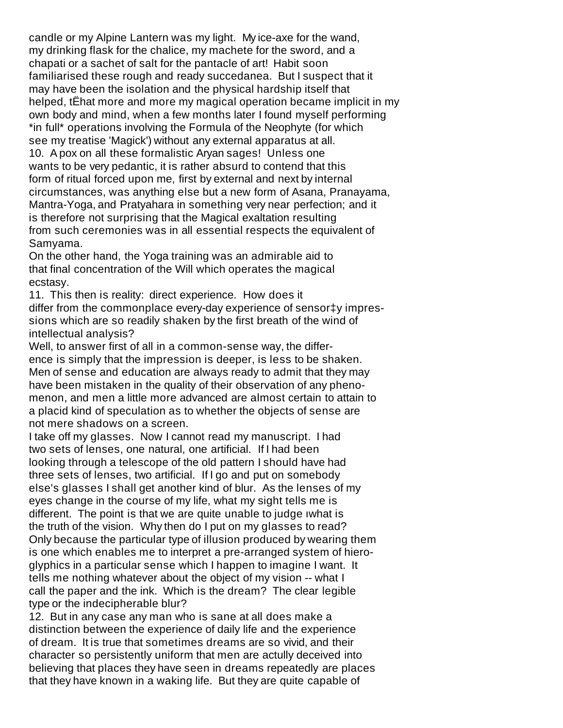candle or my Alpine Lantern was my light. My ice-axe for the wand, my drinking flask for the chalice, my machete for the sword, and a chapati or a sachet of salt for the pantacle of art! Habit soon familiarised these rough and ready succedanea. But I suspect that it may have been the isolation and the physical hardship itself that helped, tËhat more and more my magical operation became implicit in my own body and mind, when a few months later I found myself performing \*in full\* operations involving the Formula of the Neophyte (for which see my treatise 'Magick') without any external apparatus at all. 10. Apox on all these formalistic Aryan sages! Unless one wants to be very pedantic, it is rather absurd to contend that this form of ritual forced upon me, first by external and next by internal circumstances, was anything else but a new form of Asana, Pranayama, Mantra-Yoga, and Pratyahara in something very near perfection; and it is therefore not surprising that the Magical exaltation resulting from such ceremonies was in all essential respects the equivalent of Samyama.

On the other hand, the Yoga training was an admirable aid to that final concentration of the Will which operates the magical ecstasy.

11. This then is reality: direct experience. How does it differ from the commonplace every-day experience of sensor‡y impressions which are so readily shaken by the first breath of the wind of intellectual analysis?

Well, to answer first of all in a common-sense way, the difference is simply that the impression is deeper, is less to be shaken. Men of sense and education are always ready to admit that they may have been mistaken in the quality of their observation of any phenomenon, and men a little more advanced are almost certain to attain to a placid kind of speculation as to whether the objects of sense are not mere shadows on a screen.

I take off my glasses. Now I cannot read my manuscript. I had two sets of lenses, one natural, one artificial. If I had been looking through a telescope of the old pattern I should have had three sets of lenses, two artificial. If I go and put on somebody else's glasses I shall get another kind of blur. As the lenses of my eyes change in the course of my life, what my sight tells me is different. The point is that we are quite unable to judge ıwhat is the truth of the vision. Why then do I put on my glasses to read? Only because the particular type of illusion produced by wearing them is one which enables me to interpret a pre-arranged system of hieroglyphics in a particular sense which I happen to imagine I want. It tells me nothing whatever about the object of my vision -- what I call the paper and the ink. Which is the dream? The clear legible type or the indecipherable blur?

12. But in any case any man who is sane at all does make a distinction between the experience of daily life and the experience of dream. It is true that sometimes dreams are so vivid, and their character so persistently uniform that men are actully deceived into believing that places they have seen in dreams repeatedly are places that they have known in a waking life. But they are quite capable of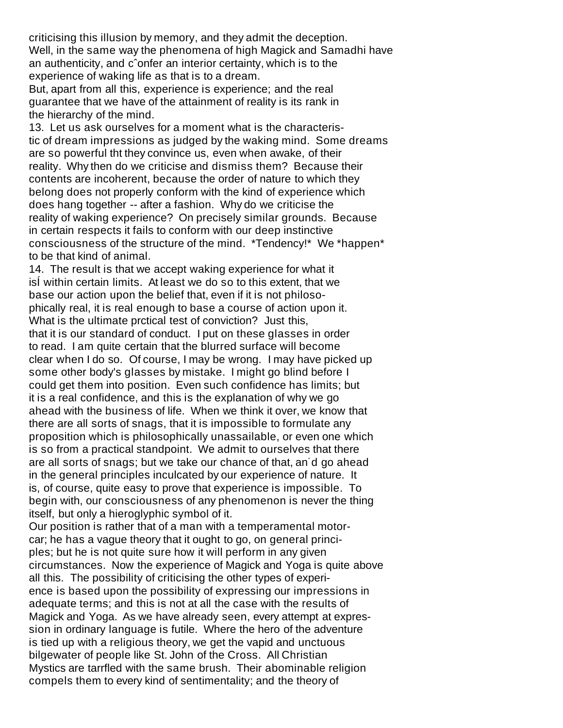criticising this illusion by memory, and they admit the deception. Well, in the same way the phenomena of high Magick and Samadhi have an authenticity, and cˆonfer an interior certainty, which is to the experience of waking life as that is to a dream.

But, apart from all this, experience is experience; and the real guarantee that we have of the attainment of reality is its rank in the hierarchy of the mind.

13. Let us ask ourselves for a moment what is the characteristic of dream impressions as judged by the waking mind. Some dreams are so powerful tht they convince us, even when awake, of their reality. Why then do we criticise and dismiss them? Because their contents are incoherent, because the order of nature to which they belong does not properly conform with the kind of experience which does hang together -- after a fashion. Why do we criticise the reality of waking experience? On precisely similar grounds. Because in certain respects it fails to conform with our deep instinctive consciousness of the structure of the mind. \*Tendency!\* We \*happen\* to be that kind of animal.

14. The result is that we accept waking experience for what it isÍ within certain limits. At least we do so to this extent, that we base our action upon the belief that, even if it is not philosophically real, it is real enough to base a course of action upon it. What is the ultimate prctical test of conviction? Just this, that it is our standard of conduct. I put on these glasses in order to read. I am quite certain that the blurred surface will become clear when I do so. Of course, I may be wrong. I may have picked up some other body's glasses by mistake. I might go blind before I could get them into position. Even such confidence has limits; but it is a real confidence, and this is the explanation of why we go ahead with the business of life. When we think it over, we know that there are all sorts of snags, that it is impossible to formulate any proposition which is philosophically unassailable, or even one which is so from a practical standpoint. We admit to ourselves that there are all sorts of snags; but we take our chance of that, an˙d go ahead in the general principles inculcated by our experience of nature. It is, of course, quite easy to prove that experience is impossible. To begin with, our consciousness of any phenomenon is never the thing itself, but only a hieroglyphic symbol of it.

Our position is rather that of a man with a temperamental motorcar; he has a vague theory that it ought to go, on general principles; but he is not quite sure how it will perform in any given circumstances. Now the experience of Magick and Yoga is quite above all this. The possibility of criticising the other types of experience is based upon the possibility of expressing our impressions in adequate terms; and this is not at all the case with the results of Magick and Yoga. As we have already seen, every attempt at expression in ordinary language is futile. Where the hero of the adventure is tied up with a religious theory, we get the vapid and unctuous bilgewater of people like St. John of the Cross. All Christian Mystics are tarrfled with the same brush. Their abominable religion compels them to every kind of sentimentality; and the theory of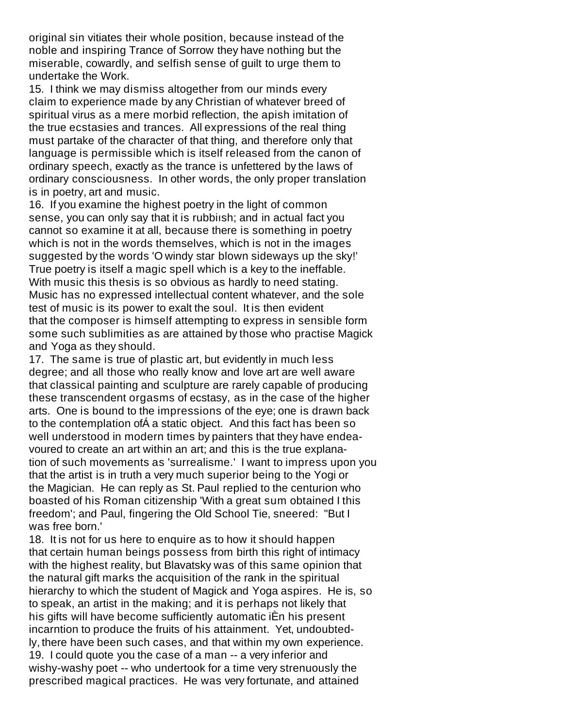original sin vitiates their whole position, because instead of the noble and inspiring Trance of Sorrow they have nothing but the miserable, cowardly, and selfish sense of guilt to urge them to undertake the Work.

15. I think we may dismiss altogether from our minds every claim to experience made by any Christian of whatever breed of spiritual virus as a mere morbid reflection, the apish imitation of the true ecstasies and trances. All expressions of the real thing must partake of the character of that thing, and therefore only that language is permissible which is itself released from the canon of ordinary speech, exactly as the trance is unfettered by the laws of ordinary consciousness. In other words, the only proper translation is in poetry, art and music.

16. If you examine the highest poetry in the light of common sense, you can only say that it is rubbiısh; and in actual fact you cannot so examine it at all, because there is something in poetry which is not in the words themselves, which is not in the images suggested by the words 'O windy star blown sideways up the sky!' True poetry is itself a magic spell which is a key to the ineffable. With music this thesis is so obvious as hardly to need stating. Music has no expressed intellectual content whatever, and the sole test of music is its power to exalt the soul. It is then evident that the composer is himself attempting to express in sensible form some such sublimities as are attained by those who practise Magick and Yoga as they should.

17. The same is true of plastic art, but evidently in much less degree; and all those who really know and love art are well aware that classical painting and sculpture are rarely capable of producing these transcendent orgasms of ecstasy, as in the case of the higher arts. One is bound to the impressions of the eye; one is drawn back to the contemplation ofÁ a static object. And this fact has been so well understood in modern times by painters that they have endeavoured to create an art within an art; and this is the true explanation of such movements as 'surrealisme.' I want to impress upon you that the artist is in truth a very much superior being to the Yogi or the Magician. He can reply as St. Paul replied to the centurion who boasted of his Roman citizenship 'With a great sum obtained I this freedom'; and Paul, fingering the Old School Tie, sneered: "But I was free born.'

18. It is not for us here to enquire as to how it should happen that certain human beings possess from birth this right of intimacy with the highest reality, but Blavatsky was of this same opinion that the natural gift marks the acquisition of the rank in the spiritual hierarchy to which the student of Magick and Yoga aspires. He is, so to speak, an artist in the making; and it is perhaps not likely that his gifts will have become sufficiently automatic iÈn his present incarntion to produce the fruits of his attainment. Yet, undoubtedly, there have been such cases, and that within my own experience. 19. I could quote you the case of a man -- a very inferior and wishy-washy poet -- who undertook for a time very strenuously the prescribed magical practices. He was very fortunate, and attained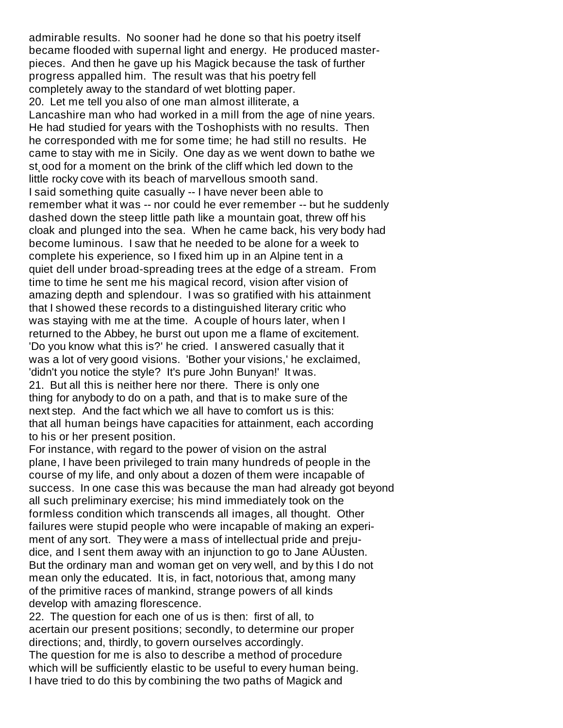admirable results. No sooner had he done so that his poetry itself became flooded with supernal light and energy. He produced masterpieces. And then he gave up his Magick because the task of further progress appalled him. The result was that his poetry fell completely away to the standard of wet blotting paper. 20. Let me tell you also of one man almost illiterate, a Lancashire man who had worked in a mill from the age of nine years. He had studied for years with the Toshophists with no results. Then he corresponded with me for some time; he had still no results. He came to stay with me in Sicily. One day as we went down to bathe we st ood for a moment on the brink of the cliff which led down to the little rocky cove with its beach of marvellous smooth sand. I said something quite casually -- I have never been able to remember what it was -- nor could he ever remember -- but he suddenly dashed down the steep little path like a mountain goat, threw off his cloak and plunged into the sea. When he came back, his very body had become luminous. I saw that he needed to be alone for a week to complete his experience, so I fixed him up in an Alpine tent in a quiet dell under broad-spreading trees at the edge of a stream. From time to time he sent me his magical record, vision after vision of amazing depth and splendour. I was so gratified with his attainment that I showed these records to a distinguished literary critic who was staying with me at the time. Acouple of hours later, when I returned to the Abbey, he burst out upon me a flame of excitement. 'Do you know what this is?' he cried. I answered casually that it was a lot of very gooıd visions. 'Bother your visions,' he exclaimed, 'didn't you notice the style? It's pure John Bunyan!' It was. 21. But all this is neither here nor there. There is only one thing for anybody to do on a path, and that is to make sure of the next step. And the fact which we all have to comfort us is this: that all human beings have capacities for attainment, each according to his or her present position.

For instance, with regard to the power of vision on the astral plane, I have been privileged to train many hundreds of people in the course of my life, and only about a dozen of them were incapable of success. In one case this was because the man had already got beyond all such preliminary exercise; his mind immediately took on the formless condition which transcends all images, all thought. Other failures were stupid people who were incapable of making an experiment of any sort. They were a mass of intellectual pride and prejudice, and I sent them away with an injunction to go to Jane AÙusten. But the ordinary man and woman get on very well, and by this I do not mean only the educated. It is, in fact, notorious that, among many of the primitive races of mankind, strange powers of all kinds develop with amazing florescence.

22. The question for each one of us is then: first of all, to acertain our present positions; secondly, to determine our proper directions; and, thirdly, to govern ourselves accordingly.

The question for me is also to describe a method of procedure which will be sufficiently elastic to be useful to every human being. I have tried to do this by combining the two paths of Magick and